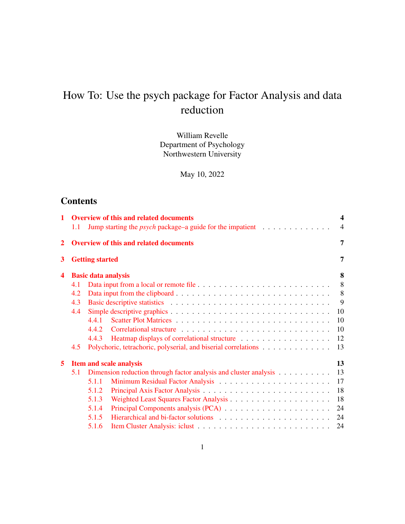# How To: Use the psych package for Factor Analysis and data reduction

William Revelle Department of Psychology Northwestern University

May 10, 2022

# **Contents**

| $\mathbf{1}$<br><b>Overview of this and related documents</b><br>Jump starting the <i>psych</i> package–a guide for the impatient $\ldots \ldots \ldots \ldots$<br>1.1 |     |                                                                  |  |    |  |  |
|------------------------------------------------------------------------------------------------------------------------------------------------------------------------|-----|------------------------------------------------------------------|--|----|--|--|
| $\mathbf{2}$                                                                                                                                                           |     | <b>Overview of this and related documents</b>                    |  |    |  |  |
| 3                                                                                                                                                                      |     | <b>Getting started</b>                                           |  | 7  |  |  |
| 4                                                                                                                                                                      |     | <b>Basic data analysis</b>                                       |  | 8  |  |  |
|                                                                                                                                                                        | 4.1 |                                                                  |  | 8  |  |  |
|                                                                                                                                                                        | 4.2 |                                                                  |  | 8  |  |  |
|                                                                                                                                                                        | 4.3 |                                                                  |  | 9  |  |  |
|                                                                                                                                                                        | 4.4 |                                                                  |  | 10 |  |  |
|                                                                                                                                                                        |     | 4.4.1                                                            |  | 10 |  |  |
|                                                                                                                                                                        |     | 4.4.2                                                            |  | 10 |  |  |
|                                                                                                                                                                        |     | 4.4.3                                                            |  | 12 |  |  |
|                                                                                                                                                                        | 4.5 |                                                                  |  | 13 |  |  |
| 5                                                                                                                                                                      |     | <b>Item and scale analysis</b>                                   |  | 13 |  |  |
|                                                                                                                                                                        | 5.1 | Dimension reduction through factor analysis and cluster analysis |  | 13 |  |  |
|                                                                                                                                                                        |     | 5.1.1                                                            |  | 17 |  |  |
|                                                                                                                                                                        |     | 5.1.2                                                            |  | 18 |  |  |
|                                                                                                                                                                        |     | 5.1.3                                                            |  | 18 |  |  |
|                                                                                                                                                                        |     | 5.1.4                                                            |  | 24 |  |  |
|                                                                                                                                                                        |     | 5.1.5                                                            |  | 24 |  |  |
|                                                                                                                                                                        |     | 5.1.6                                                            |  | 24 |  |  |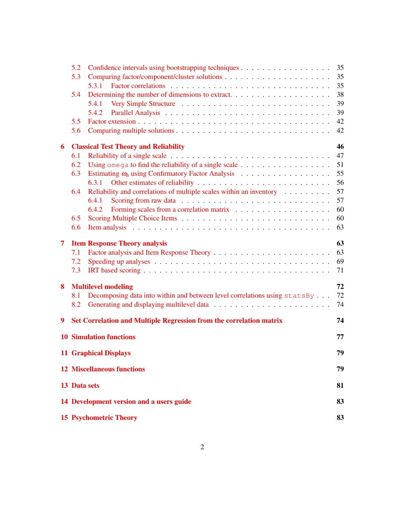|   | 5.2                                     |                                                                                                                                                                                                                                | 35 |  |  |  |  |  |  |
|---|-----------------------------------------|--------------------------------------------------------------------------------------------------------------------------------------------------------------------------------------------------------------------------------|----|--|--|--|--|--|--|
|   | 5.3                                     |                                                                                                                                                                                                                                | 35 |  |  |  |  |  |  |
|   |                                         | 5.3.1                                                                                                                                                                                                                          | 35 |  |  |  |  |  |  |
|   | 5.4                                     |                                                                                                                                                                                                                                | 38 |  |  |  |  |  |  |
|   |                                         | 5.4.1                                                                                                                                                                                                                          | 39 |  |  |  |  |  |  |
|   |                                         | 5.4.2                                                                                                                                                                                                                          | 39 |  |  |  |  |  |  |
|   | 5.5                                     |                                                                                                                                                                                                                                | 42 |  |  |  |  |  |  |
|   | 5.6                                     |                                                                                                                                                                                                                                | 42 |  |  |  |  |  |  |
| 6 |                                         | <b>Classical Test Theory and Reliability</b>                                                                                                                                                                                   | 46 |  |  |  |  |  |  |
|   | 6.1                                     |                                                                                                                                                                                                                                | 47 |  |  |  |  |  |  |
|   | 6.2                                     |                                                                                                                                                                                                                                | 51 |  |  |  |  |  |  |
|   | 6.3                                     |                                                                                                                                                                                                                                | 55 |  |  |  |  |  |  |
|   |                                         | 6.3.1                                                                                                                                                                                                                          | 56 |  |  |  |  |  |  |
|   | 6.4                                     | Reliability and correlations of multiple scales within an inventory $\dots \dots$                                                                                                                                              | 57 |  |  |  |  |  |  |
|   |                                         | 6.4.1                                                                                                                                                                                                                          | 57 |  |  |  |  |  |  |
|   |                                         | 6.4.2                                                                                                                                                                                                                          | 60 |  |  |  |  |  |  |
|   | 6.5                                     |                                                                                                                                                                                                                                | 60 |  |  |  |  |  |  |
|   | 6.6                                     | Item analysis enterpreteration of the contract of the contract of the contract of the contract of the contract of the contract of the contract of the contract of the contract of the contract of the contract of the contract | 63 |  |  |  |  |  |  |
| 7 |                                         | <b>Item Response Theory analysis</b>                                                                                                                                                                                           | 63 |  |  |  |  |  |  |
|   | 7.1                                     |                                                                                                                                                                                                                                | 63 |  |  |  |  |  |  |
|   | 7.2                                     |                                                                                                                                                                                                                                | 69 |  |  |  |  |  |  |
|   | 7.3                                     |                                                                                                                                                                                                                                | 71 |  |  |  |  |  |  |
| 8 |                                         | <b>Multilevel modeling</b>                                                                                                                                                                                                     | 72 |  |  |  |  |  |  |
|   | 8.1                                     | Decomposing data into within and between level correlations using statsBy                                                                                                                                                      | 72 |  |  |  |  |  |  |
|   | 8.2                                     |                                                                                                                                                                                                                                | 74 |  |  |  |  |  |  |
| 9 |                                         | Set Correlation and Multiple Regression from the correlation matrix                                                                                                                                                            | 74 |  |  |  |  |  |  |
|   |                                         | <b>10 Simulation functions</b>                                                                                                                                                                                                 | 77 |  |  |  |  |  |  |
|   |                                         | <b>11 Graphical Displays</b>                                                                                                                                                                                                   | 79 |  |  |  |  |  |  |
|   |                                         |                                                                                                                                                                                                                                |    |  |  |  |  |  |  |
|   | <b>12 Miscellaneous functions</b><br>79 |                                                                                                                                                                                                                                |    |  |  |  |  |  |  |
|   | 13 Data sets                            |                                                                                                                                                                                                                                | 81 |  |  |  |  |  |  |
|   |                                         | 14 Development version and a users guide                                                                                                                                                                                       | 83 |  |  |  |  |  |  |
|   |                                         | <b>15 Psychometric Theory</b>                                                                                                                                                                                                  | 83 |  |  |  |  |  |  |
|   |                                         |                                                                                                                                                                                                                                |    |  |  |  |  |  |  |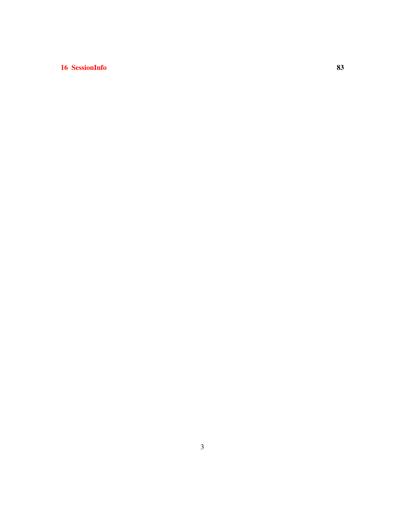# 16 SessionInfo 83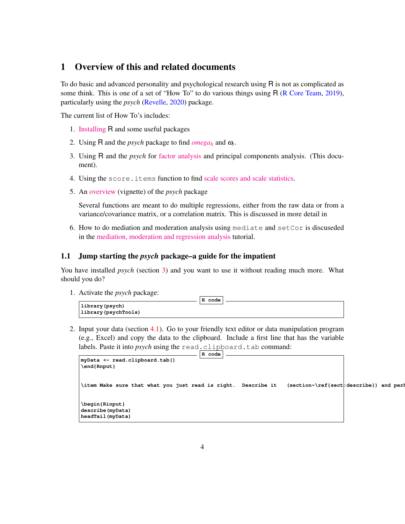# 1 Overview of this and related documents

To do basic and advanced personality and psychological research using R is not as complicated as some think. This is one of a set of "How To" to do various things using R (R Core Team, 2019), particularly using the *psych* (Revelle, 2020) package.

The current list of How To's includes:

- 1. [Installing](http://personality-project.org/r/psych/HowTo/getting_started.pdf) R and some useful packages
- 2. Using R and the *psych* package to find  $omega_h$  $omega_h$  and  $\omega_t$ .
- 3. Using R and the *psych* for [factor analysis](http://personality-project.org/r/psych/HowTo/factor.pdf) and principal components analysis. (This document).
- 4. Using the score.items function to find [scale scores and scale statistics.](http://personality-project.org/r/psych/HowTo/scoring.pdf)
- 5. An [overview](http://personality-project.org/r/psych/overview.pdf) (vignette) of the *psych* package

Several functions are meant to do multiple regressions, either from the raw data or from a variance/covariance matrix, or a correlation matrix. This is discussed in more detail in

6. How to do mediation and moderation analysis using mediate and setCor is discuseded in the [mediation, moderation and regression analysis](https://personality-project.org/r/psych/HowTo/mediation.pdf) tutorial.

### 1.1 Jump starting the *psych* package–a guide for the impatient

You have installed *psych* (section 3) and you want to use it without reading much more. What should you do?

1. Activate the *psych* package:

| .                                         | R code |
|-------------------------------------------|--------|
| library (psych)<br>  library (psychTools) |        |

2. Input your data (section 4.1). Go to your friendly text editor or data manipulation program (e.g., Excel) and copy the data to the clipboard. Include a first line that has the variable labels. Paste it into *psych* using the read.clipboard.tab command:

```
R code
myData <- read.clipboard.tab()
\end{Rnput}
\item Make sure that what you just read is right. Describe it (section~\ref{sect: describe}) and perh
\begin{Rinput}
describe(myData)
headTail(myData)
```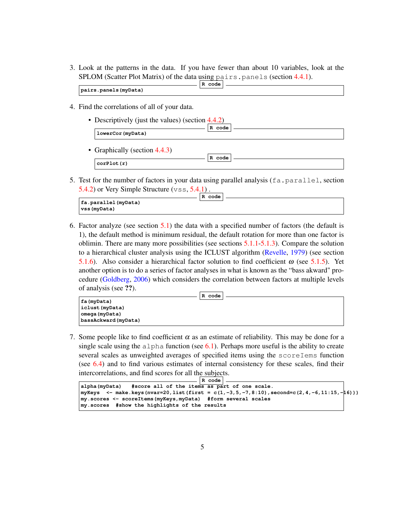3. Look at the patterns in the data. If you have fewer than about 10 variables, look at the SPLOM (Scatter Plot Matrix) of the data using pairs.panels (section 4.4.1).

|                       | code<br>R |  |
|-----------------------|-----------|--|
| pairs.panels (myData) |           |  |

- 4. Find the correlations of all of your data.
	- Descriptively (just the values) (section 4.4.2) **R code lowerCor(myData)** • Graphically (section 4.4.3)
	- **R code corPlot(r)**
- 5. Test for the number of factors in your data using parallel analysis  $(fa,parallel)$ , section 5.4.2) or Very Simple Structure  $(\forall s s, 5.4.1)$ .

|                                        | R code |  |
|----------------------------------------|--------|--|
| fa.parallel (myData)<br>  vss (myData) |        |  |

6. Factor analyze (see section 5.1) the data with a specified number of factors (the default is 1), the default method is minimum residual, the default rotation for more than one factor is oblimin. There are many more possibilities (see sections 5.1.1-5.1.3). Compare the solution to a hierarchical cluster analysis using the ICLUST algorithm (Revelle, 1979) (see section 5.1.6). Also consider a hierarchical factor solution to find coefficient  $\omega$  (see 5.1.5). Yet another option is to do a series of factor analyses in what is known as the "bass akward" procedure (Goldberg, 2006) which considers the correlation between factors at multiple levels of analysis (see ??).



7. Some people like to find coefficient  $\alpha$  as an estimate of reliability. This may be done for a single scale using the alpha function (see  $6.1$ ). Perhaps more useful is the ability to create several scales as unweighted averages of specified items using the scoreIems function (see 6.4) and to find various estimates of internal consistency for these scales, find their intercorrelations, and find scores for all the subjects.

```
R code
alpha(myData) #score all of the items as part of one scale.
\texttt{myKeys} <- make.keys(nvar=20,list(first = c(1,-3,5,-7,8:10),second=c(2,4,-6,11:15,-16)))
my.scores <- scoreItems(myKeys,myData) #form several scales
my.scores #show the highlights of the results
```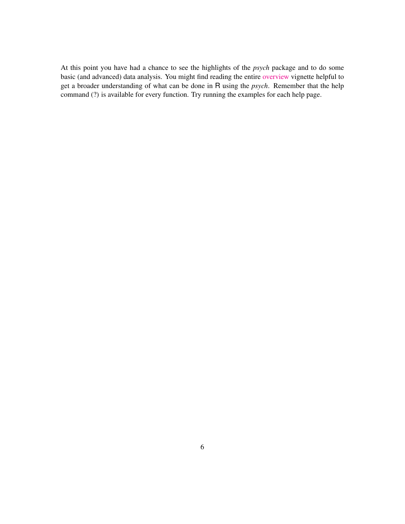At this point you have had a chance to see the highlights of the *psych* package and to do some basic (and advanced) data analysis. You might find reading the entire [overview](http://personality-project.org/r/psych/overview.pdf) vignette helpful to get a broader understanding of what can be done in R using the *psych*. Remember that the help command (?) is available for every function. Try running the examples for each help page.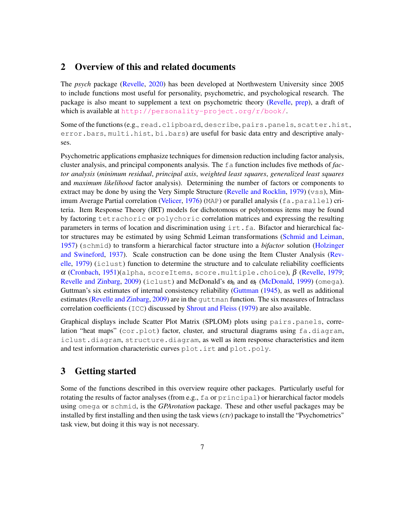# 2 Overview of this and related documents

The *psych* package (Revelle, 2020) has been developed at Northwestern University since 2005 to include functions most useful for personality, psychometric, and psychological research. The package is also meant to supplement a text on psychometric theory (Revelle, prep), a draft of which is available at <http://personality-project.org/r/book/>.

Some of the functions (e.g., read.clipboard, describe, pairs.panels, scatter.hist, error.bars, multi.hist, bi.bars) are useful for basic data entry and descriptive analyses.

Psychometric applications emphasize techniques for dimension reduction including factor analysis, cluster analysis, and principal components analysis. The fa function includes five methods of *factor analysis* (*minimum residual*, *principal axis*, *weighted least squares*, *generalized least squares* and *maximum likelihood* factor analysis). Determining the number of factors or components to extract may be done by using the Very Simple Structure (Revelle and Rocklin, 1979) ( $vss$ ), Minimum Average Partial correlation (Velicer, 1976) (MAP) or parallel analysis (fa.parallel) criteria. Item Response Theory (IRT) models for dichotomous or polytomous items may be found by factoring tetrachoric or polychoric correlation matrices and expressing the resulting parameters in terms of location and discrimination using irt.fa. Bifactor and hierarchical factor structures may be estimated by using Schmid Leiman transformations (Schmid and Leiman, 1957) (schmid) to transform a hierarchical factor structure into a *bifactor* solution (Holzinger and Swineford, 1937). Scale construction can be done using the Item Cluster Analysis (Revelle, 1979) (iclust) function to determine the structure and to calculate reliability coefficients  $\alpha$  (Cronbach, 1951)(alpha, scoreItems, score.multiple.choice),  $\beta$  (Revelle, 1979; Revelle and Zinbarg, 2009) (iclust) and McDonald's  $\omega_h$  and  $\omega_t$  (McDonald, 1999) (omega). Guttman's six estimates of internal consistency reliability (Guttman (1945), as well as additional estimates (Revelle and Zinbarg, 2009) are in the quttman function. The six measures of Intraclass correlation coefficients ( $ICC$ ) discussed by Shrout and Fleiss (1979) are also available.

Graphical displays include Scatter Plot Matrix (SPLOM) plots using pairs.panels, correlation "heat maps" (cor.plot) factor, cluster, and structural diagrams using fa.diagram, iclust.diagram, structure.diagram, as well as item response characteristics and item and test information characteristic curves plot.irt and plot.poly.

# 3 Getting started

Some of the functions described in this overview require other packages. Particularly useful for rotating the results of factor analyses (from e.g., fa or principal) or hierarchical factor models using omega or schmid, is the *GPArotation* package. These and other useful packages may be installed by first installing and then using the task views (*ctv*) package to install the "Psychometrics" task view, but doing it this way is not necessary.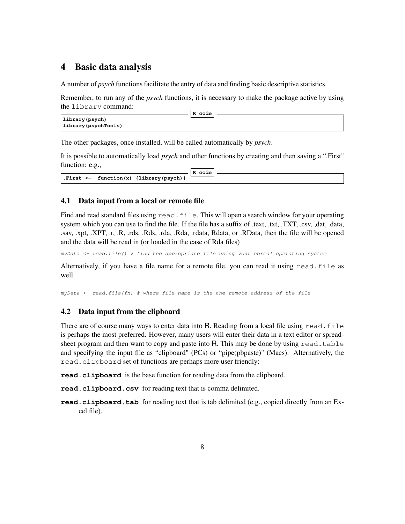# 4 Basic data analysis

A number of *psych* functions facilitate the entry of data and finding basic descriptive statistics.

Remember, to run any of the *psych* functions, it is necessary to make the package active by using the library command: **R code**

|                      | R code |  |
|----------------------|--------|--|
| library (psych)      |        |  |
| library (psychTools) |        |  |

The other packages, once installed, will be called automatically by *psych*.

It is possible to automatically load *psych* and other functions by creating and then saving a ".First" function: e.g.,

|  |                                                        | R code |  |
|--|--------------------------------------------------------|--------|--|
|  | . First $\leftarrow$ function $(x)$ {library (psych) } |        |  |

### 4.1 Data input from a local or remote file

Find and read standard files using read.file. This will open a search window for your operating system which you can use to find the file. If the file has a suffix of .text, .txt, .TXT, .csv, ,dat, .data, .sav, .xpt, .XPT, .r, .R, .rds, .Rds, .rda, .Rda, .rdata, Rdata, or .RData, then the file will be opened and the data will be read in (or loaded in the case of Rda files)

*myData <- read.file() # find the appropriate file using your normal operating system*

Alternatively, if you have a file name for a remote file, you can read it using read.file as well.

*myData <- read.file(fn) # where file name is the the remote address of the file*

# 4.2 Data input from the clipboard

There are of course many ways to enter data into R. Reading from a local file using read. file is perhaps the most preferred. However, many users will enter their data in a text editor or spreadsheet program and then want to copy and paste into R. This may be done by using  $read$ ,  $table$ and specifying the input file as "clipboard" (PCs) or "pipe(pbpaste)" (Macs). Alternatively, the read.clipboard set of functions are perhaps more user friendly:

**read.clipboard** is the base function for reading data from the clipboard.

**read.clipboard.csv** for reading text that is comma delimited.

**read.clipboard.tab** for reading text that is tab delimited (e.g., copied directly from an Excel file).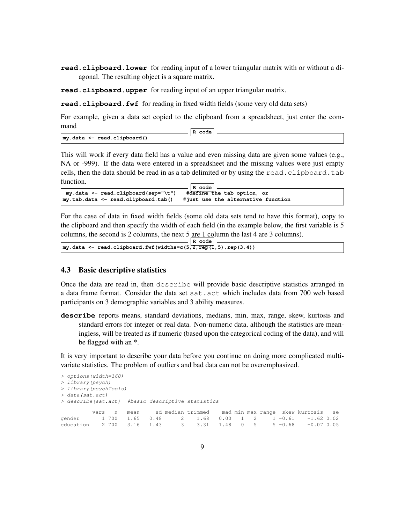**read.clipboard.lower** for reading input of a lower triangular matrix with or without a diagonal. The resulting object is a square matrix.

**read.clipboard.upper** for reading input of an upper triangular matrix.

**read.clipboard.fwf** for reading in fixed width fields (some very old data sets)

For example, given a data set copied to the clipboard from a spreadsheet, just enter the command  $\sqrt{R}$  code

|                                     | к.<br>coae |  |
|-------------------------------------|------------|--|
| $\vert$ my.data <- read.clipboard() |            |  |

This will work if every data field has a value and even missing data are given some values (e.g., NA or -999). If the data were entered in a spreadsheet and the missing values were just empty cells, then the data should be read in as a tab delimited or by using the read.clipboard.tab function.

```
R code
my.data <- read.clipboard(sep="\t") #define the tab option, or
my.tab.data <- read.clipboard.tab()
```
For the case of data in fixed width fields (some old data sets tend to have this format), copy to the clipboard and then specify the width of each field (in the example below, the first variable is 5 columns, the second is 2 columns, the next  $5 \underline{\text{are } 1 \text{ column}}$  the last 4 are 3 columns).

|                                                                         | R code |
|-------------------------------------------------------------------------|--------|
| $\vert$ my.data <- read.clipboard.fwf(widths=c(5,2, rep(1,5), rep(3,4)) |        |

#### 4.3 Basic descriptive statistics

Once the data are read in, then describe will provide basic descriptive statistics arranged in a data frame format. Consider the data set sat.act which includes data from 700 web based participants on 3 demographic variables and 3 ability measures.

**describe** reports means, standard deviations, medians, min, max, range, skew, kurtosis and standard errors for integer or real data. Non-numeric data, although the statistics are meaningless, will be treated as if numeric (based upon the categorical coding of the data), and will be flagged with an \*.

It is very important to describe your data before you continue on doing more complicated multivariate statistics. The problem of outliers and bad data can not be overemphasized.

```
> options(width=160)
> library(psych)
> library(psychTools)
> data(sat.act)
> describe(sat.act) #basic descriptive statistics
        vars n mean sd median trimmed mad min max range skew kurtosis se
gender 1 700 1.65 0.48 2 1.68 0.00 1 2 1 -0.61 -1.62 0.02
education 2 700 3.16 1.43 3 3.31 1.48 0 5 5 -0.68 -0.07 0.05
```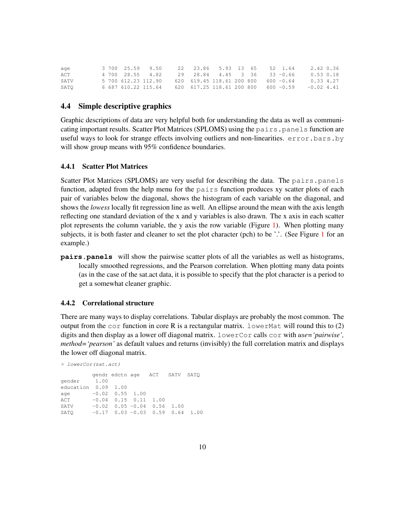| aqe  |  | 3 700 25.59 9.50 | 22 23.86 5.93 13 65 52 1.64                                                    |  |  | 2.42 0.36                                                          |  |
|------|--|------------------|--------------------------------------------------------------------------------|--|--|--------------------------------------------------------------------|--|
| ACT  |  | 4 700 28.55 4.82 | 29 28.84 4.45 3 36 33 -0.66                                                    |  |  | $0.53$ $0.18$                                                      |  |
| SATV |  |                  | $5\,700\,612.23\,112.90\qquad 620\,619.45\,118.61\,200\,800\qquad 600\, -0.64$ |  |  | 0.33 4.27                                                          |  |
| SATO |  |                  |                                                                                |  |  | 6 687 610.22 115.64 620 617.25 118.61 200 800 600 -0.59 -0.02 4.41 |  |

### 4.4 Simple descriptive graphics

Graphic descriptions of data are very helpful both for understanding the data as well as communicating important results. Scatter Plot Matrices (SPLOMS) using the pairs.panels function are useful ways to look for strange effects involving outliers and non-linearities. error.bars.by will show group means with 95% confidence boundaries.

#### 4.4.1 Scatter Plot Matrices

Scatter Plot Matrices (SPLOMS) are very useful for describing the data. The pairs.panels function, adapted from the help menu for the pairs function produces xy scatter plots of each pair of variables below the diagonal, shows the histogram of each variable on the diagonal, and shows the *lowess* locally fit regression line as well. An ellipse around the mean with the axis length reflecting one standard deviation of the x and y variables is also drawn. The x axis in each scatter plot represents the column variable, the y axis the row variable (Figure 1). When plotting many subjects, it is both faster and cleaner to set the plot character (pch) to be '.'. (See Figure 1 for an example.)

**pairs.panels** will show the pairwise scatter plots of all the variables as well as histograms, locally smoothed regressions, and the Pearson correlation. When plotting many data points (as in the case of the sat.act data, it is possible to specify that the plot character is a period to get a somewhat cleaner graphic.

#### 4.4.2 Correlational structure

There are many ways to display correlations. Tabular displays are probably the most common. The output from the  $\cot$  function in core R is a rectangular matrix. LowerMat will round this to (2) digits and then display as a lower off diagonal matrix. lowerCor calls cor with *use='pairwise', method='pearson'* as default values and returns (invisibly) the full correlation matrix and displays the lower off diagonal matrix.

```
> lowerCor(sat.act)
        gendr edctn age ACT SATV SATQ
gender 1.00
education 0.09 1.00
age -0.02 0.55 1.00
ACT -0.04 0.15 0.11 1.00
SATV -0.02 0.05 -0.04 0.56 1.00
SATQ -0.17 0.03 -0.03 0.59 0.64 1.00
```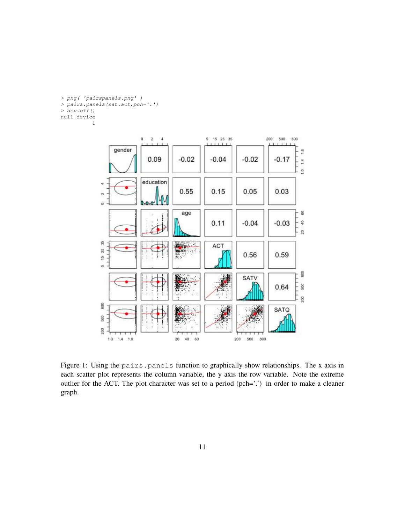```
> png( 'pairspanels.png' )
> pairs.panels(sat.act,pch='.')
> dev.off()
null device
          1
```


Figure 1: Using the pairs.panels function to graphically show relationships. The x axis in each scatter plot represents the column variable, the y axis the row variable. Note the extreme outlier for the ACT. The plot character was set to a period (pch='.') in order to make a cleaner graph.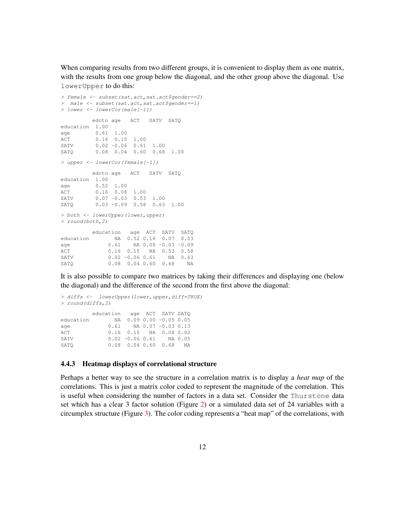When comparing results from two different groups, it is convenient to display them as one matrix, with the results from one group below the diagonal, and the other group above the diagonal. Use lowerUpper to do this:

```
> female <- subset(sat.act,sat.act$gender==2)
> male <- subset(sat.act,sat.act$gender==1)
> lower <- lowerCor(male[-1])
       edctn age ACT SATV SATQ
education 1.00
age 0.61 1.00
ACT 0.16 0.15 1.00<br>SATV 0.02 -0.06 0.61
       0.02 -0.06 0.61 1.00
SATQ 0.08 0.04 0.60 0.68 1.00
> upper <- lowerCor(female[-1])
       edctn age ACT SATV SATQ
education 1.00
age 0.52 1.00
ACT 0.16 0.08 1.00
SATV 0.07 -0.03 0.53 1.00
SATQ 0.03 -0.09 0.58 0.63 1.00
> both <- lowerUpper(lower,upper)
> round(both,2)
       education age ACT SATV SATQ
education NA 0.52 0.16 0.07 0.03
age 0.61 NA 0.08 -0.03 -0.09
ACT 0.16 0.15 NA 0.53 0.58
SATV 0.02 -0.06 0.61 NA 0.63
SATQ 0.08 0.04 0.60 0.68 NA
```
It is also possible to compare two matrices by taking their differences and displaying one (below the diagonal) and the difference of the second from the first above the diagonal:

```
> diffs <- lowerUpper(lower,upper,diff=TRUE)
> round(diffs,2)
       education age ACT SATV SATQ
education NA 0.09 0.00 -0.05 0.05
age 0.61 NA 0.07 -0.03 0.13
ACT 0.16 0.15 NA 0.08 0.02
SATV 0.02 -0.06 0.61 NA 0.05
SATQ 0.08 0.04 0.60 0.68 NA
```
### 4.4.3 Heatmap displays of correlational structure

Perhaps a better way to see the structure in a correlation matrix is to display a *heat map* of the correlations. This is just a matrix color coded to represent the magnitude of the correlation. This is useful when considering the number of factors in a data set. Consider the Thurstone data set which has a clear 3 factor solution (Figure 2) or a simulated data set of 24 variables with a circumplex structure (Figure 3). The color coding represents a "heat map" of the correlations, with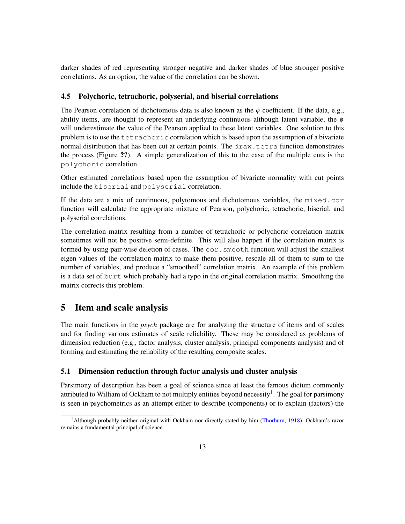darker shades of red representing stronger negative and darker shades of blue stronger positive correlations. As an option, the value of the correlation can be shown.

### 4.5 Polychoric, tetrachoric, polyserial, and biserial correlations

The Pearson correlation of dichotomous data is also known as the  $\phi$  coefficient. If the data, e.g., ability items, are thought to represent an underlying continuous although latent variable, the  $\phi$ will underestimate the value of the Pearson applied to these latent variables. One solution to this problem is to use the tetrachoric correlation which is based upon the assumption of a bivariate normal distribution that has been cut at certain points. The draw.tetra function demonstrates the process (Figure ??). A simple generalization of this to the case of the multiple cuts is the polychoric correlation.

Other estimated correlations based upon the assumption of bivariate normality with cut points include the biserial and polyserial correlation.

If the data are a mix of continuous, polytomous and dichotomous variables, the mixed.cor function will calculate the appropriate mixture of Pearson, polychoric, tetrachoric, biserial, and polyserial correlations.

The correlation matrix resulting from a number of tetrachoric or polychoric correlation matrix sometimes will not be positive semi-definite. This will also happen if the correlation matrix is formed by using pair-wise deletion of cases. The  $cor$ , smooth function will adjust the smallest eigen values of the correlation matrix to make them positive, rescale all of them to sum to the number of variables, and produce a "smoothed" correlation matrix. An example of this problem is a data set of burt which probably had a typo in the original correlation matrix. Smoothing the matrix corrects this problem.

# 5 Item and scale analysis

The main functions in the *psych* package are for analyzing the structure of items and of scales and for finding various estimates of scale reliability. These may be considered as problems of dimension reduction (e.g., factor analysis, cluster analysis, principal components analysis) and of forming and estimating the reliability of the resulting composite scales.

# 5.1 Dimension reduction through factor analysis and cluster analysis

Parsimony of description has been a goal of science since at least the famous dictum commonly attributed to William of Ockham to not multiply entities beyond necessity<sup>1</sup>. The goal for parsimony is seen in psychometrics as an attempt either to describe (components) or to explain (factors) the

<sup>&</sup>lt;sup>1</sup>Although probably neither original with Ockham nor directly stated by him (Thorburn, 1918), Ockham's razor remains a fundamental principal of science.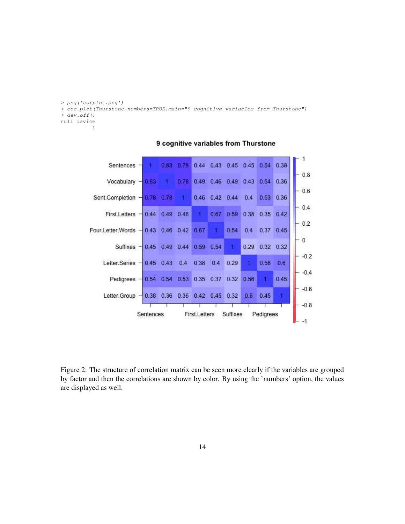```
> png('corplot.png')
> cor.plot(Thurstone,numbers=TRUE,main="9 cognitive variables from Thurstone")
> dev.off()
null device
          1
```


### 9 cognitive variables from Thurstone

Figure 2: The structure of correlation matrix can be seen more clearly if the variables are grouped by factor and then the correlations are shown by color. By using the 'numbers' option, the values are displayed as well.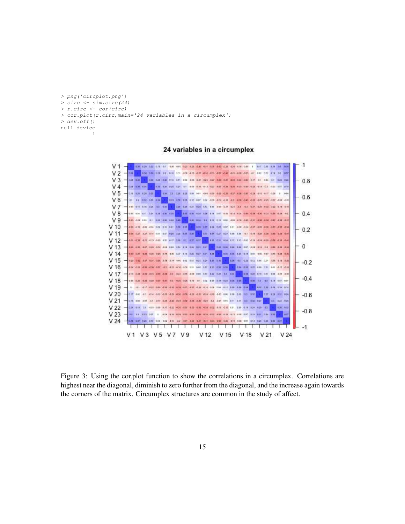```
> png('circplot.png')
> circ <- sim.circ(24)
> r.circ <- cor(circ)
> cor.plot(r.circ,main='24 variables in a circumplex')
> dev.off()
null device
          1
```
24 variables in a circumplex



Figure 3: Using the cor.plot function to show the correlations in a circumplex. Correlations are highest near the diagonal, diminish to zero further from the diagonal, and the increase again towards the corners of the matrix. Circumplex structures are common in the study of affect.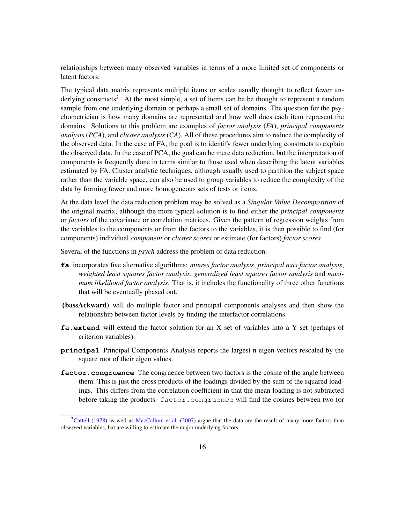relationships between many observed variables in terms of a more limited set of components or latent factors.

The typical data matrix represents multiple items or scales usually thought to reflect fewer underlying constructs<sup>2</sup>. At the most simple, a set of items can be be thought to represent a random sample from one underlying domain or perhaps a small set of domains. The question for the psychometrician is how many domains are represented and how well does each item represent the domains. Solutions to this problem are examples of *factor analysis* (*FA*), *principal components analysis* (*PCA*), and *cluster analysis* (*CA*). All of these procedures aim to reduce the complexity of the observed data. In the case of FA, the goal is to identify fewer underlying constructs to explain the observed data. In the case of PCA, the goal can be mere data reduction, but the interpretation of components is frequently done in terms similar to those used when describing the latent variables estimated by FA. Cluster analytic techniques, although usually used to partition the subject space rather than the variable space, can also be used to group variables to reduce the complexity of the data by forming fewer and more homogeneous sets of tests or items.

At the data level the data reduction problem may be solved as a *Singular Value Decomposition* of the original matrix, although the more typical solution is to find either the *principal components* or *factors* of the covariance or correlation matrices. Given the pattern of regression weights from the variables to the components or from the factors to the variables, it is then possible to find (for components) individual *component* or *cluster scores* or estimate (for factors) *factor scores*.

Several of the functions in *psych* address the problem of data reduction.

- **fa** incorporates five alternative algorithms: *minres factor analysis*, *principal axis factor analysis*, *weighted least squares factor analysis*, *generalized least squares factor analysis* and *maximum likelihood factor analysis*. That is, it includes the functionality of three other functions that will be eventually phased out.
- **(**bassAckward) will do multiple factor and principal components analyses and then show the relationship between factor levels by finding the interfactor correlations.
- **fa.extend** will extend the factor solution for an X set of variables into a Y set (perhaps of criterion variables).
- **principal** Principal Components Analysis reports the largest n eigen vectors rescaled by the square root of their eigen values.
- **factor.congruence** The congruence between two factors is the cosine of the angle between them. This is just the cross products of the loadings divided by the sum of the squared loadings. This differs from the correlation coefficient in that the mean loading is not subtracted before taking the products. factor.congruence will find the cosines between two (or

<sup>&</sup>lt;sup>2</sup>Cattell (1978) as well as MacCallum et al. (2007) argue that the data are the result of many more factors than observed variables, but are willing to estimate the major underlying factors.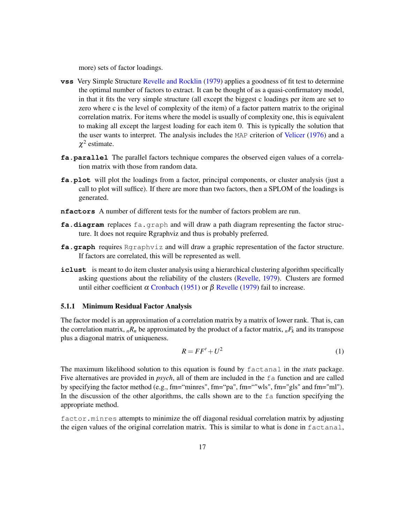more) sets of factor loadings.

- **vss** Very Simple Structure Revelle and Rocklin (1979) applies a goodness of fit test to determine the optimal number of factors to extract. It can be thought of as a quasi-confirmatory model, in that it fits the very simple structure (all except the biggest c loadings per item are set to zero where c is the level of complexity of the item) of a factor pattern matrix to the original correlation matrix. For items where the model is usually of complexity one, this is equivalent to making all except the largest loading for each item 0. This is typically the solution that the user wants to interpret. The analysis includes the MAP criterion of Velicer (1976) and a  $\chi^2$  estimate.
- **fa.parallel** The parallel factors technique compares the observed eigen values of a correlation matrix with those from random data.
- **fa.plot** will plot the loadings from a factor, principal components, or cluster analysis (just a call to plot will suffice). If there are more than two factors, then a SPLOM of the loadings is generated.
- **nfactors** A number of different tests for the number of factors problem are run.
- **fa.diagram** replaces fa.graph and will draw a path diagram representing the factor structure. It does not require Rgraphviz and thus is probably preferred.
- **fa.graph** requires Rgraphviz and will draw a graphic representation of the factor structure. If factors are correlated, this will be represented as well.
- iclust is meant to do item cluster analysis using a hierarchical clustering algorithm specifically asking questions about the reliability of the clusters (Revelle, 1979). Clusters are formed until either coefficient  $\alpha$  Cronbach (1951) or  $\beta$  Revelle (1979) fail to increase.

#### 5.1.1 Minimum Residual Factor Analysis

The factor model is an approximation of a correlation matrix by a matrix of lower rank. That is, can the correlation matrix,  $_nR_n$  be approximated by the product of a factor matrix,  $_nF_k$  and its transpose plus a diagonal matrix of uniqueness.

$$
R = FF' + U^2 \tag{1}
$$

The maximum likelihood solution to this equation is found by factanal in the *stats* package. Five alternatives are provided in *psych*, all of them are included in the fa function and are called by specifying the factor method (e.g., fm="minres", fm="pa", fm=""wls", fm="gls" and fm="ml"). In the discussion of the other algorithms, the calls shown are to the  $fa$  function specifying the appropriate method.

factor.minres attempts to minimize the off diagonal residual correlation matrix by adjusting the eigen values of the original correlation matrix. This is similar to what is done in factanal,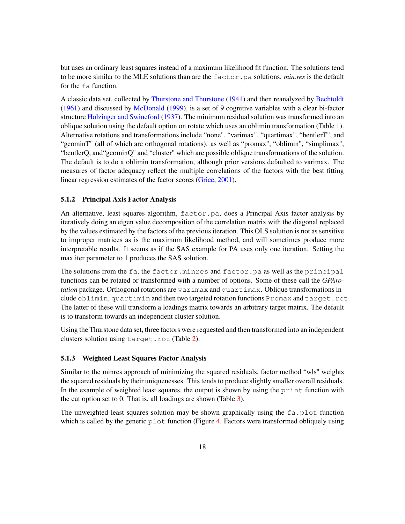but uses an ordinary least squares instead of a maximum likelihood fit function. The solutions tend to be more similar to the MLE solutions than are the factor.pa solutions. *min.res* is the default for the fa function.

A classic data set, collected by Thurstone and Thurstone (1941) and then reanalyzed by Bechtoldt (1961) and discussed by McDonald (1999), is a set of 9 cognitive variables with a clear bi-factor structure Holzinger and Swineford (1937). The minimum residual solution was transformed into an oblique solution using the default option on rotate which uses an oblimin transformation (Table 1). Alternative rotations and transformations include "none", "varimax", "quartimax", "bentlerT", and "geominT" (all of which are orthogonal rotations). as well as "promax", "oblimin", "simplimax", "bentlerQ, and"geominQ" and "cluster" which are possible oblique transformations of the solution. The default is to do a oblimin transformation, although prior versions defaulted to varimax. The measures of factor adequacy reflect the multiple correlations of the factors with the best fitting linear regression estimates of the factor scores (Grice, 2001).

#### 5.1.2 Principal Axis Factor Analysis

An alternative, least squares algorithm, factor.pa, does a Principal Axis factor analysis by iteratively doing an eigen value decomposition of the correlation matrix with the diagonal replaced by the values estimated by the factors of the previous iteration. This OLS solution is not as sensitive to improper matrices as is the maximum likelihood method, and will sometimes produce more interpretable results. It seems as if the SAS example for PA uses only one iteration. Setting the max.iter parameter to 1 produces the SAS solution.

The solutions from the fa, the factor.minres and factor.pa as well as the principal functions can be rotated or transformed with a number of options. Some of these call the *GPArotation* package. Orthogonal rotations are varimax and quartimax. Oblique transformations include oblimin, quartimin and then two targeted rotation functions Promax and target.rot. The latter of these will transform a loadings matrix towards an arbitrary target matrix. The default is to transform towards an independent cluster solution.

Using the Thurstone data set, three factors were requested and then transformed into an independent clusters solution using target.rot (Table 2).

### 5.1.3 Weighted Least Squares Factor Analysis

Similar to the minres approach of minimizing the squared residuals, factor method "wls" weights the squared residuals by their uniquenesses. This tends to produce slightly smaller overall residuals. In the example of weighted least squares, the output is shown by using the print function with the cut option set to 0. That is, all loadings are shown (Table 3).

The unweighted least squares solution may be shown graphically using the  $fa$ ,  $p$ lot function which is called by the generic  $p$  l ot function (Figure 4. Factors were transformed obliquely using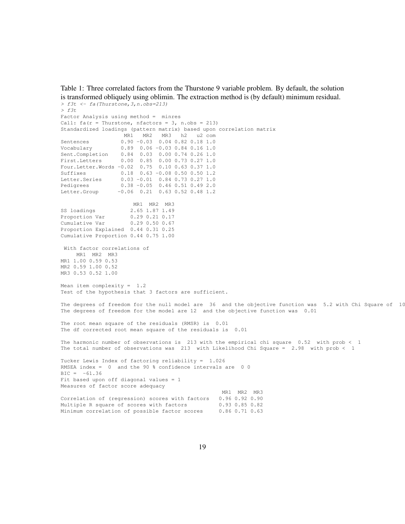Table 1: Three correlated factors from the Thurstone 9 variable problem. By default, the solution is transformed obliquely using oblimin. The extraction method is (by default) minimum residual. *> f3t <- fa(Thurstone,3,n.obs=213)*

```
> f3t
Factor Analysis using method = minres
Call: fa(r = Thurstone, nfactors = 3, n.obs = 213)
Standardized loadings (pattern matrix) based upon correlation matrix
                   MR1 MR2 MR3 h2 u2 com
Sentences 0.90 -0.03 0.04 0.82 0.18 1.0
Vocabulary 0.89 0.06 -0.03 0.84 0.16 1.0
Sent.Completion 0.84 0.03 0.00 0.74 0.26 1.0
First.Letters 0.00 0.85 0.00 0.73 0.27 1.0
Four.Letter.Words -0.02 0.75 0.10 0.63 0.37 1.0
Suffixes 0.18 0.63 -0.08 0.50 0.50 1.2
Letter.Series 0.03 -0.01 0.84 0.73 0.27 1.0
Pedigrees 0.38 -0.05 0.46 0.51 0.49 2.0
Letter.Group -0.06 0.21 0.63 0.52 0.48 1.2
                     MR1 MR2 MR3
SS loadings 2.65 1.87 1.49<br>Proportion Var 0.29 0.21 0.17
Proportion Var
Cumulative Var 0.29 0.50 0.67
Proportion Explained 0.44 0.31 0.25
Cumulative Proportion 0.44 0.75 1.00
With factor correlations of
    MR1 MR2 MR3
MR1 1.00 0.59 0.53
MR2 0.59 1.00 0.52
MR3 0.53 0.52 1.00
Mean item complexity = 1.2
Test of the hypothesis that 3 factors are sufficient.
The degrees of freedom for the null model are 36 and the objective function was 5.2 with Chi Square of 10
The degrees of freedom for the model are 12 and the objective function was 0.01
The root mean square of the residuals (RMSR) is 0.01
The df corrected root mean square of the residuals is 0.01
The harmonic number of observations is 213 with the empirical chi square 0.52 with prob < 1
The total number of observations was 213 with Likelihood Chi Square = 2.98 with prob < 1
Tucker Lewis Index of factoring reliability = 1.026
RMSEA index = 0 and the 90 % confidence intervals are 0 0
BIC = -61.36Fit based upon off diagonal values = 1Measures of factor score adequacy
                                                 MR1 MR2 MR3
Correlation of (regression) scores with factors 0.96 0.92 0.90
Multiple R square of scores with factors 0.93 0.85 0.82<br>Minimum correlation of possible factor scores 0.86 0.71 0.63
Minimum correlation of possible factor scores
```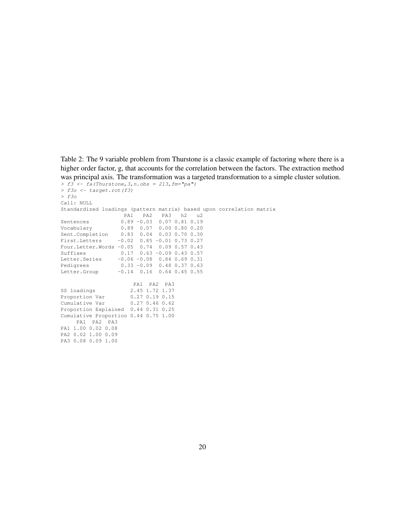Table 2: The 9 variable problem from Thurstone is a classic example of factoring where there is a higher order factor, g, that accounts for the correlation between the factors. The extraction method was principal axis. The transformation was a targeted transformation to a simple cluster solution.

```
> f3 <- fa(Thurstone,3,n.obs = 213,fm="pa")
> f3o <- target.rot(f3)
> f3o
Call: NULL
Standardized loadings (pattern matrix) based upon correlation matrix
             PA1 PA2 PA3 h2 u2
Sentences 0.89 -0.03 0.07 0.81 0.19
Vocabulary 0.89 0.07 0.00 0.80 0.20
Sent.Completion 0.83 0.04 0.03 0.70 0.30
First.Letters -0.02 0.85 -0.01 0.73 0.27
Four.Letter.Words -0.05 0.74 0.09 0.57 0.43
Suffixes 0.17 0.63 -0.09 0.43 0.57
Letter.Series -0.06 -0.08 0.84 0.69 0.31<br>Pedigrees 0.33 -0.09 0.48 0.37 0.63
Pedigrees 0.33 -0.09 0.48 0.37 0.63
Letter.Group -0.14 0.16 0.64 0.45 0.55
                     PA1 PA2 PA3
SS loadings 2.45 1.72 1.37
Proportion Var 0.27 0.19 0.15
Cumulative Var 0.27 0.46 0.62
Proportion Explained 0.44 0.31 0.25
Cumulative Proportion 0.44 0.75 1.00
   PA1 PA2 PA3
PA1 1.00 0.02 0.08
PA2 0.02 1.00 0.09
PA3 0.08 0.09 1.00
```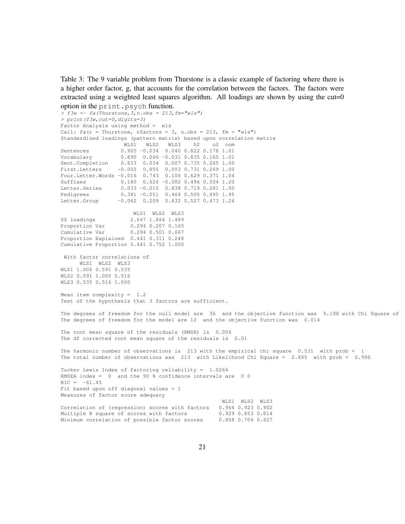Table 3: The 9 variable problem from Thurstone is a classic example of factoring where there is a higher order factor, g, that accounts for the correlation between the factors. The factors were extracted using a weighted least squares algorithm. All loadings are shown by using the cut=0 option in the print.psych function.

```
> f3w <- fa(Thurstone,3,n.obs = 213,fm="wls")
> print(f3w,cut=0,digits=3)
Factor Analysis using method = wls
Call: fa(r = Thurstone, nfactors = 3, n.obs = 213, fm = "wls")Standardized loadings (pattern matrix) based upon correlation matrix
                  WLS1 WLS2 WLS3 h2 u2 com
Sentences 0.905 -0.034 0.040 0.822 0.178 1.01
Vocabulary 0.890 0.066 -0.031 0.835 0.165 1.01
Sent.Completion 0.833 0.034 0.007 0.735 0.265 1.00
First.Letters -0.002 0.855 0.003 0.731 0.269 1.00
Four.Letter.Words -0.016 0.743 0.106 0.629 0.371 1.04
Suffixes 0.180 0.626 -0.082 0.496 0.504 1.20
Letter.Series 0.033 -0.015 0.838 0.719 0.281 1.00
Pedigrees 0.381 -0.051 0.464 0.505 0.495 1.95
Letter.Group -0.062 0.209 0.632 0.527 0.473 1.24
                     WLS1 WLS2 WLS3
SS loadings 2.647 1.864 1.489<br>Proportion Var 0.294 0.207 0.165
                    0.294 0.207 0.165Cumulative Var 0.294 0.501 0.667
Proportion Explained 0.441 0.311 0.248
Cumulative Proportion 0.441 0.752 1.000
With factor correlations of
     WLS1 WLS2 WLS3
WLS1 1.000 0.591 0.535
WLS2 0.591 1.000 0.516
WLS3 0.535 0.516 1.000
Mean item complexity = 1.2
Test of the hypothesis that 3 factors are sufficient.
The degrees of freedom for the null model are 36 and the objective function was 5.198 with Chi Square of
The degrees of freedom for the model are 12 and the objective function was 0.014
The root mean square of the residuals (RMSR) is 0.006
The df corrected root mean square of the residuals is 0.01
The harmonic number of observations is 213 with the empirical chi square 0.531 with prob < 1
The total number of observations was 213 with Likelihood Chi Square = 2.885 with prob < 0.996
Tucker Lewis Index of factoring reliability = 1.0264
RMSEA index = 0 and the 90 % confidence intervals are 0 0
BIC = -61.45Fit based upon off diagonal values = 1
Measures of factor score adequacy
                                                WLS1 WLS2 WLS3
Correlation of (regression) scores with factors 0.964 0.923 0.902
Multiple R square of scores with factors 0.929 0.853 0.814
Minimum correlation of possible factor scores 0.858 0.706 0.627
```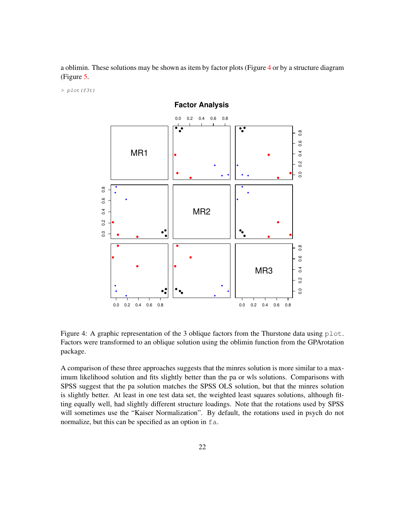a oblimin. These solutions may be shown as item by factor plots (Figure 4 or by a structure diagram (Figure 5.

*> plot(f3t)*



**Factor Analysis**

Figure 4: A graphic representation of the 3 oblique factors from the Thurstone data using  $plot$ . Factors were transformed to an oblique solution using the oblimin function from the GPArotation package.

A comparison of these three approaches suggests that the minres solution is more similar to a maximum likelihood solution and fits slightly better than the pa or wls solutions. Comparisons with SPSS suggest that the pa solution matches the SPSS OLS solution, but that the minres solution is slightly better. At least in one test data set, the weighted least squares solutions, although fitting equally well, had slightly different structure loadings. Note that the rotations used by SPSS will sometimes use the "Kaiser Normalization". By default, the rotations used in psych do not normalize, but this can be specified as an option in fa.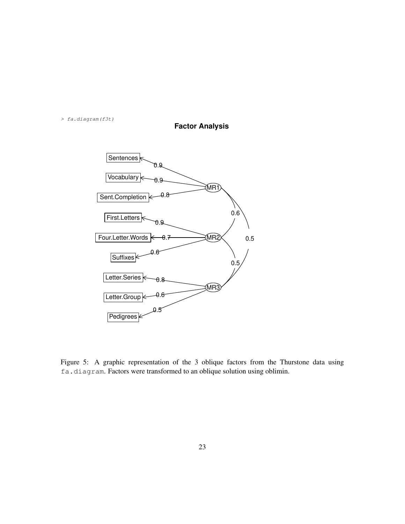*> fa.diagram(f3t)*





Figure 5: A graphic representation of the 3 oblique factors from the Thurstone data using fa.diagram. Factors were transformed to an oblique solution using oblimin.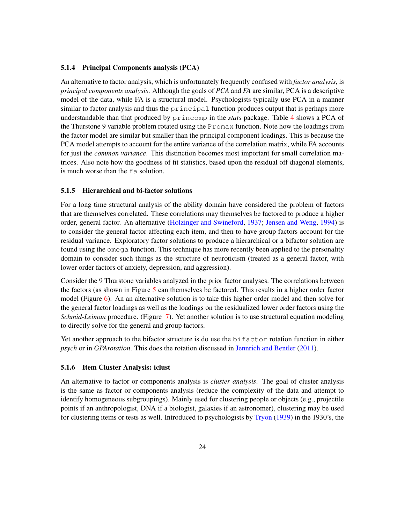#### 5.1.4 Principal Components analysis (PCA)

An alternative to factor analysis, which is unfortunately frequently confused with *factor analysis*, is *principal components analysis*. Although the goals of *PCA* and *FA* are similar, PCA is a descriptive model of the data, while FA is a structural model. Psychologists typically use PCA in a manner similar to factor analysis and thus the principal function produces output that is perhaps more understandable than that produced by princomp in the *stats* package. Table 4 shows a PCA of the Thurstone 9 variable problem rotated using the  $P_{\text{POMAX}}$  function. Note how the loadings from the factor model are similar but smaller than the principal component loadings. This is because the PCA model attempts to account for the entire variance of the correlation matrix, while FA accounts for just the *common variance*. This distinction becomes most important for small correlation matrices. Also note how the goodness of fit statistics, based upon the residual off diagonal elements, is much worse than the fa solution.

#### 5.1.5 Hierarchical and bi-factor solutions

For a long time structural analysis of the ability domain have considered the problem of factors that are themselves correlated. These correlations may themselves be factored to produce a higher order, general factor. An alternative (Holzinger and Swineford, 1937; Jensen and Weng, 1994) is to consider the general factor affecting each item, and then to have group factors account for the residual variance. Exploratory factor solutions to produce a hierarchical or a bifactor solution are found using the omega function. This technique has more recently been applied to the personality domain to consider such things as the structure of neuroticism (treated as a general factor, with lower order factors of anxiety, depression, and aggression).

Consider the 9 Thurstone variables analyzed in the prior factor analyses. The correlations between the factors (as shown in Figure 5 can themselves be factored. This results in a higher order factor model (Figure 6). An an alternative solution is to take this higher order model and then solve for the general factor loadings as well as the loadings on the residualized lower order factors using the *Schmid-Leiman* procedure. (Figure 7). Yet another solution is to use structural equation modeling to directly solve for the general and group factors.

Yet another approach to the bifactor structure is do use the bifactor rotation function in either *psych* or in *GPArotation*. This does the rotation discussed in Jennrich and Bentler (2011).

### 5.1.6 Item Cluster Analysis: iclust

An alternative to factor or components analysis is *cluster analysis*. The goal of cluster analysis is the same as factor or components analysis (reduce the complexity of the data and attempt to identify homogeneous subgroupings). Mainly used for clustering people or objects (e.g., projectile points if an anthropologist, DNA if a biologist, galaxies if an astronomer), clustering may be used for clustering items or tests as well. Introduced to psychologists by Tryon (1939) in the 1930's, the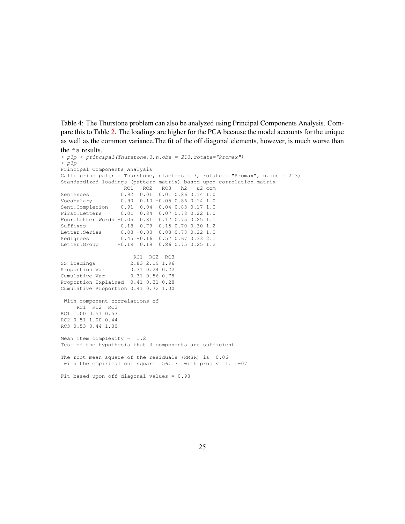Table 4: The Thurstone problem can also be analyzed using Principal Components Analysis. Compare this to Table 2. The loadings are higher for the PCA because the model accounts for the unique as well as the common variance.The fit of the off diagonal elements, however, is much worse than the fa results.

```
> p3p <-principal(Thurstone,3,n.obs = 213,rotate="Promax")
> p3p
Principal Components Analysis
Call: principal(r = Thurstone, nfactors = 3, rotate = "Promax", n.obs = 213)
Standardized loadings (pattern matrix) based upon correlation matrix
                   RC1 RC2 RC3 h2 u2 com
Sentences 0.92 0.01 0.01 0.86 0.14 1.0
Vocabulary 0.90 0.10 -0.05 0.86 0.14 1.0
Sent.Completion 0.91 0.04 -0.04 0.83 0.17 1.0
First.Letters 0.01 0.84 0.07 0.78 0.22 1.0
Four.Letter.Words -0.05 0.81 0.17 0.75 0.25 1.1
Suffixes 0.18 0.79 -0.15 0.70 0.30 1.2
Letter.Series 0.03 -0.03 0.88 0.78 0.22 1.0
Pedigrees 0.45 -0.16 0.57 0.67 0.33 2.1
Letter.Group -0.19 0.19 0.86 0.75 0.25 1.2
                      RC1 RC2 RC3
SS loadings 2.83 2.19 1.96<br>Proportion Var 0.31 0.24 0.22
                     0.31 0.24 0.22<br>0.31 0.56 0.78Cumulative Var
Proportion Explained 0.41 0.31 0.28
Cumulative Proportion 0.41 0.72 1.00
With component correlations of
    RC1 RC2 RC3
RC1 1.00 0.51 0.53
RC2 0.51 1.00 0.44
RC3 0.53 0.44 1.00
Mean item complexity = 1.2
Test of the hypothesis that 3 components are sufficient.
The root mean square of the residuals (RMSR) is 0.06
 with the empirical chi square 56.17 with prob < 1.1e-07
Fit based upon off diagonal values = 0.98
```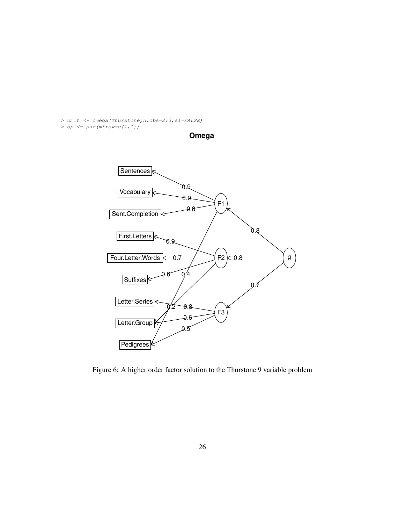*> om.h <- omega(Thurstone,n.obs=213,sl=FALSE)*

*> op <- par(mfrow=c(1,1))*



**Omega**

Figure 6: A higher order factor solution to the Thurstone 9 variable problem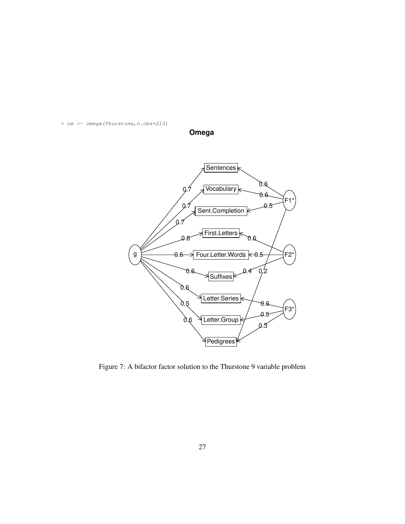*> om <- omega(Thurstone,n.obs=213)*



**Omega**

Figure 7: A bifactor factor solution to the Thurstone 9 variable problem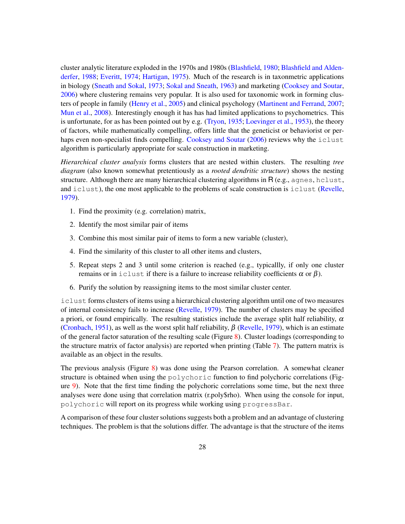cluster analytic literature exploded in the 1970s and 1980s (Blashfield, 1980; Blashfield and Aldenderfer, 1988; Everitt, 1974; Hartigan, 1975). Much of the research is in taxonmetric applications in biology (Sneath and Sokal, 1973; Sokal and Sneath, 1963) and marketing (Cooksey and Soutar, 2006) where clustering remains very popular. It is also used for taxonomic work in forming clusters of people in family (Henry et al., 2005) and clinical psychology (Martinent and Ferrand, 2007; Mun et al., 2008). Interestingly enough it has has had limited applications to psychometrics. This is unfortunate, for as has been pointed out by e.g. (Tryon, 1935; Loevinger et al., 1953), the theory of factors, while mathematically compelling, offers little that the geneticist or behaviorist or perhaps even non-specialist finds compelling. Cooksey and Soutar (2006) reviews why the iclust algorithm is particularly appropriate for scale construction in marketing.

*Hierarchical cluster analysis* forms clusters that are nested within clusters. The resulting *tree diagram* (also known somewhat pretentiously as a *rooted dendritic structure*) shows the nesting structure. Although there are many hierarchical clustering algorithms in  $R(e.g.,\ aqnes, \text{hclust},\text{dS}$ and iclust), the one most applicable to the problems of scale construction is iclust (Revelle, 1979).

- 1. Find the proximity (e.g. correlation) matrix,
- 2. Identify the most similar pair of items
- 3. Combine this most similar pair of items to form a new variable (cluster),
- 4. Find the similarity of this cluster to all other items and clusters,
- 5. Repeat steps 2 and 3 until some criterion is reached (e.g., typicallly, if only one cluster remains or in iclust if there is a failure to increase reliability coefficients  $\alpha$  or  $\beta$ ).
- 6. Purify the solution by reassigning items to the most similar cluster center.

iclust forms clusters of items using a hierarchical clustering algorithm until one of two measures of internal consistency fails to increase (Revelle, 1979). The number of clusters may be specified a priori, or found empirically. The resulting statistics include the average split half reliability,  $\alpha$ (Cronbach, 1951), as well as the worst split half reliability,  $\beta$  (Revelle, 1979), which is an estimate of the general factor saturation of the resulting scale (Figure 8). Cluster loadings (corresponding to the structure matrix of factor analysis) are reported when printing (Table 7). The pattern matrix is available as an object in the results.

The previous analysis (Figure 8) was done using the Pearson correlation. A somewhat cleaner structure is obtained when using the polychoric function to find polychoric correlations (Figure 9). Note that the first time finding the polychoric correlations some time, but the next three analyses were done using that correlation matrix (r.poly\$rho). When using the console for input, polychoric will report on its progress while working using progressBar.

A comparison of these four cluster solutions suggests both a problem and an advantage of clustering techniques. The problem is that the solutions differ. The advantage is that the structure of the items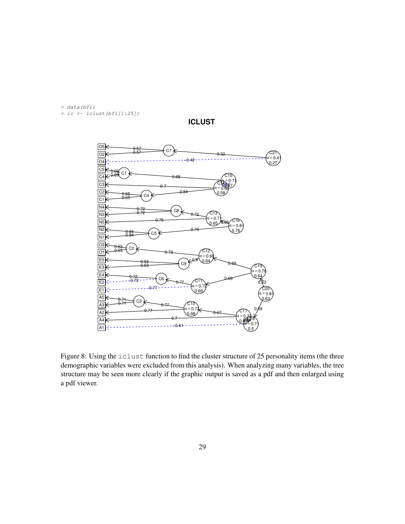*> data(bfi) > ic <- iclust(bfi[1:25])*



**ICLUST**

Figure 8: Using the iclust function to find the cluster structure of 25 personality items (the three demographic variables were excluded from this analysis). When analyzing many variables, the tree structure may be seen more clearly if the graphic output is saved as a pdf and then enlarged using a pdf viewer.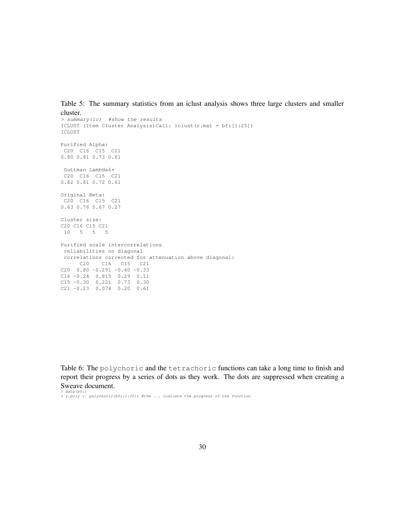Table 5: The summary statistics from an iclust analysis shows three large clusters and smaller cluster.

```
> summary(ic) #show the results
ICLUST (Item Cluster Analysis)Call: iclust(r.mat = bfi[1:25])
ICLUST
Purified Alpha:
C20 C16 C15 C21
0.80 0.81 0.73 0.61
Guttman Lambda6*
C20 C16 C15 C21
0.82 0.81 0.72 0.61
Original Beta:
C20 C16 C15 C21
0.63 0.76 0.67 0.27
Cluster size:
C20 C16 C15 C21
10 5 5 5
Purified scale intercorrelations
 reliabilities on diagonal
correlations corrected for attenuation above diagonal:
     C20 C16 C15 C21
C20 0.80 -0.291 -0.40 -0.33C16 -0.24 0.815 0.29 0.11
C15 -0.30 0.221 0.73 0.30
C21 -0.23 0.074 0.20 0.61
```
Table 6: The polychoric and the tetrachoric functions can take a long time to finish and report their progress by a series of dots as they work. The dots are suppressed when creating a Sweave document.

*> data(bfi) > r.poly <- polychoric(bfi[1:25]) #the ... indicate the progress of the function*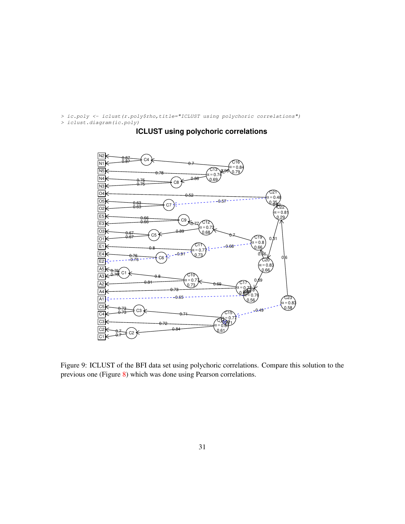*> ic.poly <- iclust(r.poly\$rho,title="ICLUST using polychoric correlations")*

*> iclust.diagram(ic.poly)*



# **ICLUST using polychoric correlations**

Figure 9: ICLUST of the BFI data set using polychoric correlations. Compare this solution to the previous one (Figure 8) which was done using Pearson correlations.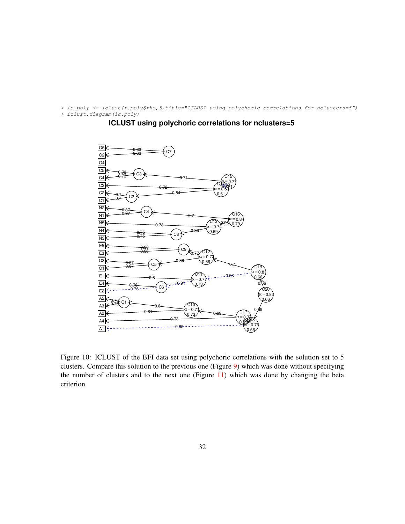*> ic.poly <- iclust(r.poly\$rho,5,title="ICLUST using polychoric correlations for nclusters=5") > iclust.diagram(ic.poly)*

### **ICLUST using polychoric correlations for nclusters=5**



Figure 10: ICLUST of the BFI data set using polychoric correlations with the solution set to 5 clusters. Compare this solution to the previous one (Figure 9) which was done without specifying the number of clusters and to the next one (Figure 11) which was done by changing the beta criterion.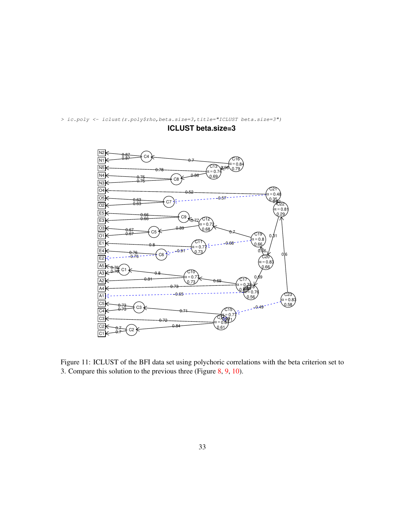

*> ic.poly <- iclust(r.poly\$rho,beta.size=3,title="ICLUST beta.size=3")*

**ICLUST beta.size=3**

Figure 11: ICLUST of the BFI data set using polychoric correlations with the beta criterion set to 3. Compare this solution to the previous three (Figure 8, 9, 10).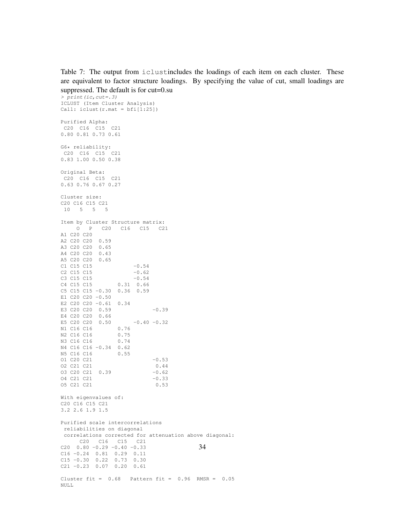Table 7: The output from iclustincludes the loadings of each item on each cluster. These are equivalent to factor structure loadings. By specifying the value of cut, small loadings are suppressed. The default is for cut=0.su

*> print(ic,cut=.3)* ICLUST (Item Cluster Analysis) Call: iclust(r.mat = bfi[1:25]) Purified Alpha: C20 C16 C15 C21 0.80 0.81 0.73 0.61 G6\* reliability: C20 C16 C15 C21 0.83 1.00 0.50 0.38 Original Beta: C20 C16 C15 C21 0.63 0.76 0.67 0.27 Cluster size: C20 C16 C15 C21 10 5 5 5 Item by Cluster Structure matrix: O P C20 C16 C15 C21 A1 C20 C20 A2 C20 C20 0.59 A3 C20 C20 0.65 A4 C20 C20 0.43 A5 C20 C20 0.65  $C1 \, C15 \, C15$   $-0.54$ C2 C15 C15  $-0.62$ <br>C3 C15 C15  $-0.54$ C3 C15  $-0.54$ C4 C15 C15 0.31 0.66 C5 C15 C15 -0.30 0.36 0.59 E1 C20 C20 -0.50 E2 C20 C20 -0.61 0.34 E3 C20 C20 0.59 -0.39 E4 C20 C20 0.66 E5 C20 C20 0.50  $-0.40$   $-0.32$ N1 C16 C16 0.76<br>N2 C16 C16 0.75 N2 C16 C16 0.75 N3 C16 C16 0.74 N4 C16 C16 -0.34 0.62 N5 C16 C16 0.55 01 C20 C21 -0.53 O2 C21 C21 0.44 O3 C20 C21 0.39 -0.62 04 C21 C21 -0.33 O5 C21 C21 0.53 With eigenvalues of: C20 C16 C15 C21 3.2 2.6 1.9 1.5 Purified scale intercorrelations reliabilities on diagonal correlations corrected for attenuation above diagonal: C20 C16 C15 C21  $C20$   $0.80$   $-0.29$   $-0.40$   $-0.33$ C16 -0.24 0.81 0.29 0.11 C15 -0.30 0.22 0.73 0.30 C21 -0.23 0.07 0.20 0.61 Cluster fit =  $0.68$  Pattern fit =  $0.96$  RMSR =  $0.05$ NULL 34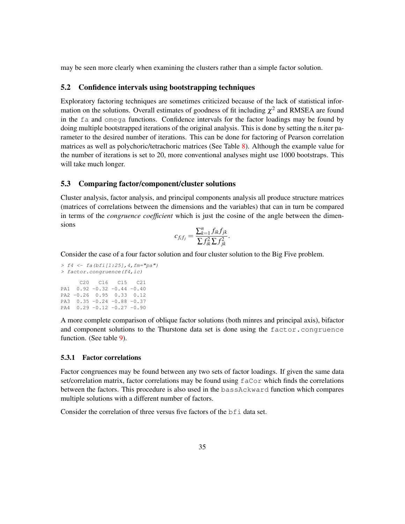may be seen more clearly when examining the clusters rather than a simple factor solution.

## 5.2 Confidence intervals using bootstrapping techniques

Exploratory factoring techniques are sometimes criticized because of the lack of statistical information on the solutions. Overall estimates of goodness of fit including  $\chi^2$  and RMSEA are found in the fa and omega functions. Confidence intervals for the factor loadings may be found by doing multiple bootstrapped iterations of the original analysis. This is done by setting the n.iter parameter to the desired number of iterations. This can be done for factoring of Pearson correlation matrices as well as polychoric/tetrachoric matrices (See Table 8). Although the example value for the number of iterations is set to 20, more conventional analyses might use 1000 bootstraps. This will take much longer.

### 5.3 Comparing factor/component/cluster solutions

Cluster analysis, factor analysis, and principal components analysis all produce structure matrices (matrices of correlations between the dimensions and the variables) that can in turn be compared in terms of the *congruence coefficient* which is just the cosine of the angle between the dimensions

$$
c_{f_i f_j} = \frac{\sum_{k=1}^n f_{ik} f_{jk}}{\sum f_{ik}^2 \sum f_{jk}^2}.
$$

Consider the case of a four factor solution and four cluster solution to the Big Five problem.

```
> f4 <- fa(bfi[1:25],4,fm="pa")
> factor.congruence(f4,ic)
     C20 C16 C15 C21
PA1 0.92 -0.32 -0.44 -0.40
PA2 -0.26 0.95 0.33 0.12
PA3 0.35 -0.24 -0.88 -0.37
PA4 0.29 -0.12 -0.27 -0.90
```
A more complete comparison of oblique factor solutions (both minres and principal axis), bifactor and component solutions to the Thurstone data set is done using the factor.congruence function. (See table 9).

#### 5.3.1 Factor correlations

Factor congruences may be found between any two sets of factor loadings. If given the same data set/correlation matrix, factor correlations may be found using faCor which finds the correlations between the factors. This procedure is also used in the bassAckward function which compares multiple solutions with a different number of factors.

Consider the correlation of three versus five factors of the bfi data set.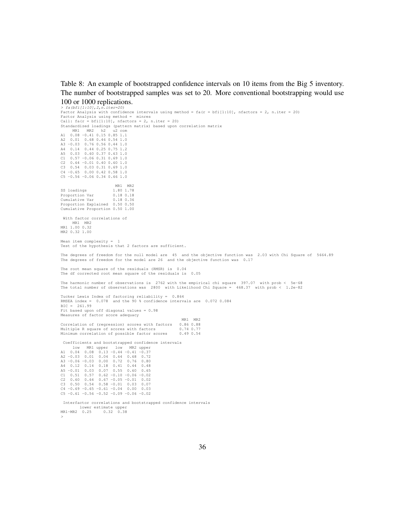Table 8: An example of bootstrapped confidence intervals on 10 items from the Big 5 inventory. The number of bootstrapped samples was set to 20. More conventional bootstrapping would use 100 or 1000 replications.

*> fa(bfi[1:10],2,n.iter=20)* Factor Analysis with confidence intervals using method = fa(r = bfi[1:10], nfactors = 2, n.iter = 20) Factor Analysis using method = minres  $\text{Call: } \text{fa}(r = \text{bf}[1:10], \text{nfactors} = 2, \text{ n.iter} = 20)$ Standardized loadings (pattern matrix) based upon correlation matrix MR1 MR2 h2 u2 com A1 0.08 -0.41 0.15 0.85 1.1 A2 0.01 0.68 0.46 0.54 1.0 A3 -0.03 0.76 0.56 0.44 1.0 A4 0.14 0.44 0.25 0.75 1.2 A5 0.03 0.60 0.37 0.63 1.0 C1 0.57 -0.06 0.31 0.69 1.0 C2 0.64 -0.01 0.40 0.60 1.0 C3 0.54 0.03 0.31 0.69 1.0 C4 -0.65 0.00 0.42 0.58 1.0 C5 -0.56 -0.06 0.34 0.66 1.0 MR1 MR2<br>1.80 1.78 SS loadings 1.80 1.78 Proportion Var Cumulative Var 0.18 0.36 Proportion Explained 0.50 0.50 Cumulative Proportion 0.50 1.00 With factor correlations of MR1 MR2<br>MR1 1.00 0.32 MR2 0.32 1.00 Mean item complexity  $=$ Test of the hypothesis that 2 factors are sufficient. The degrees of freedom for the null model are 45 and the objective function was 2.03 with Chi Square of 5664.89 The degrees of freedom for the model are 26 and the objective function was 0.17 The root mean square of the residuals (RMSR) is 0.04 The df corrected root mean square of the residuals is 0.05 The harmonic number of observations is 2762 with the empirical chi square 397.07 with prob < 5e-68 The total number of observations was 2800 with Likelihood Chi Square = 468.37 with prob < 1.2e-82 Tucker Lewis Index of factoring reliability = 0.864 RMSEA index = 0.078 and the 90 % confidence intervals are 0.072 0.084 BIC = 261.99 Fit based upon off diagonal values = 0.98 Measures of factor score adequacy MR1 MR2 Correlation of (regression) scores with factors 0.86 0.88<br>Multiple R square of scores with factors 0.74 0.77 Multiple R square of scores with factors 0.74 0.77<br>Minimum correlation of possible factor scores 0.49 0.54 Minimum correlation of possible factor scores Coefficients and bootstrapped confidence intervals low MR1 upper low MR2 upper A1 0.04 0.08 0.13 -0.44 -0.41 -0.37 A2 -0.03 0.01 0.04 0.64 0.68 0.72 A3 -0.06 -0.03 0.00 0.72 0.76 0.80 A4 0.12 0.14 0.18 0.41 0.44 0.48 A5 -0.01 0.03 0.07 0.55 C1 0.51 0.57 0.62 -0.10 -0.06 -0.02 C2 0.60 0.64 0.67 -0.05 -0.01 0.02  $0.50 \t 0.54 \t 0.58 \t -0.01 \t 0.03 \t 0.07$  $C4 -0.69 -0.65 -0.61 -0.04$  0.00 0.03  $C5 -0.61 -0.56 -0.52 -0.09 -0.06 -0.02$ Interfactor correlations and bootstrapped confidence intervals lower estimate upper MR1-MR2 0.25 0.32 0.38

36

*>*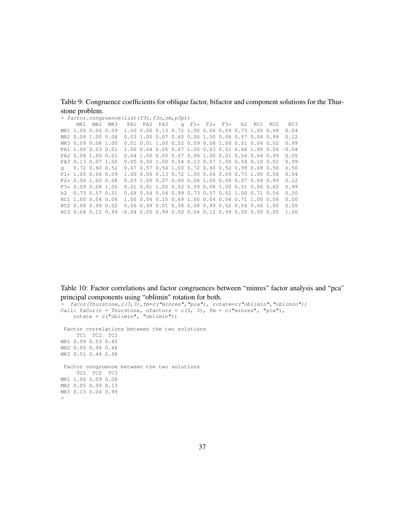Table 9: Congruence coefficients for oblique factor, bifactor and component solutions for the Thurstone problem.

|     | > factor.congruence(list(f3t,f3o,om,p3p)) |             |  |                                                                       |  |  |  |  |  |  |  |                                                                       |         |
|-----|-------------------------------------------|-------------|--|-----------------------------------------------------------------------|--|--|--|--|--|--|--|-----------------------------------------------------------------------|---------|
|     |                                           | MR1 MR2 MR3 |  | PA1 PA2 PA3 q F1 $\star$ F2 $\star$ F3 $\star$ h2 RC1 RC2             |  |  |  |  |  |  |  |                                                                       | RC3     |
|     | MR1 1.00 0.06 0.09                        |             |  |                                                                       |  |  |  |  |  |  |  | 1.00 0.06 0.13 0.72 1.00 0.06 0.09 0.73 1.00 0.08                     | 0.04    |
|     | MR2 0.06 1.00 0.08                        |             |  |                                                                       |  |  |  |  |  |  |  | 0.03 1.00 0.07 0.60 0.06 1.00 0.08 0.57 0.04 0.99                     | 0.12    |
|     | MR3 0.09 0.08 1.00                        |             |  |                                                                       |  |  |  |  |  |  |  | $0.01$ $0.01$ $1.00$ $0.52$ $0.09$ $0.08$ $1.00$ $0.51$ $0.06$ $0.02$ | 0.99    |
|     | PA1 1.00 0.03 0.01                        |             |  |                                                                       |  |  |  |  |  |  |  | 1.00 0.04 0.05 0.67 1.00 0.03 0.01 0.68 1.00 0.06                     | $-0.04$ |
|     | PA2 0.06 1.00 0.01                        |             |  |                                                                       |  |  |  |  |  |  |  | $0.04$ 1.00 0.00 0.57 0.06 1.00 0.01 0.54 0.04 0.99                   | 0.05    |
|     | PA3 0.13 0.07 1.00                        |             |  |                                                                       |  |  |  |  |  |  |  | $0.05$ $0.00$ $1.00$ $0.54$ $0.13$ $0.07$ $1.00$ $0.54$ $0.10$ $0.01$ | 0.99    |
| q   | $0.72$ $0.60$ $0.52$                      |             |  |                                                                       |  |  |  |  |  |  |  | 0.67 0.57 0.54 1.00 0.72 0.60 0.52 0.99 0.69 0.58                     | 0.50    |
|     | $F1* 1.00 0.06 0.09$                      |             |  |                                                                       |  |  |  |  |  |  |  | 1.00 0.06 0.13 0.72 1.00 0.06 0.09 0.73 1.00 0.08                     | 0.04    |
|     | $F2*0.061.000.08$                         |             |  |                                                                       |  |  |  |  |  |  |  | $0.03$ 1.00 0.07 0.60 0.06 1.00 0.08 0.57 0.04 0.99                   | 0.12    |
|     | $F3* 0.09 0.08 1.00$                      |             |  |                                                                       |  |  |  |  |  |  |  | $0.01$ $0.01$ $1.00$ $0.52$ $0.09$ $0.08$ $1.00$ $0.51$ $0.06$ $0.02$ | 0.99    |
| h2. | $0.73$ $0.57$ $0.51$                      |             |  |                                                                       |  |  |  |  |  |  |  | 0.68 0.54 0.54 0.99 0.73 0.57 0.51 1.00 0.71 0.56                     | 0.50    |
|     | RC1 1.00 0.04 0.06                        |             |  |                                                                       |  |  |  |  |  |  |  | 1.00 0.04 0.10 0.69 1.00 0.04 0.06 0.71 1.00 0.06                     | 0.00    |
|     | RC2 0.08 0.99 0.02                        |             |  |                                                                       |  |  |  |  |  |  |  | 0.06 0.99 0.01 0.58 0.08 0.99 0.02 0.56 0.06 1.00                     | 0.05    |
|     |                                           |             |  | RC3 0.04 0.12 0.99 -0.04 0.05 0.99 0.50 0.04 0.12 0.99 0.50 0.00 0.05 |  |  |  |  |  |  |  |                                                                       | 1.00    |

Table 10: Factor correlations and factor congruences between "minres" factor analysis and "pca" principal components using "oblimin" rotation for both.

```
> faCor(Thurstone,c(3,3),fm=c("minres","pca"), rotate=c("oblimin","oblimin"))
Call: faCor(r = Thurstone, nfactors = c(3, 3), fm = c("minres", "pca"),rotate = c("oblimin", "oblimin"))
Factor correlations between the two solutions
    TC1 TC2 TC3
MR1 0.99 0.53 0.45
MR2 0.55 0.98 0.48
MR3 0.51 0.44 0.98
Factor congruence between the two solutions
    TC1 TC2 TC3
MR1 1.00 0.09 0.08
MR2 0.05 0.99 0.13
MR3 0.13 0.04 0.99
>
```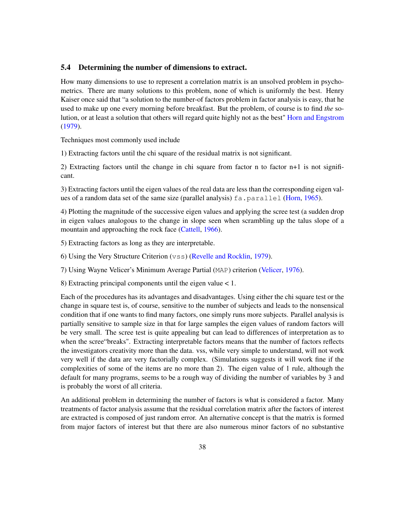### 5.4 Determining the number of dimensions to extract.

How many dimensions to use to represent a correlation matrix is an unsolved problem in psychometrics. There are many solutions to this problem, none of which is uniformly the best. Henry Kaiser once said that "a solution to the number-of factors problem in factor analysis is easy, that he used to make up one every morning before breakfast. But the problem, of course is to find *the* solution, or at least a solution that others will regard quite highly not as the best" Horn and Engstrom (1979).

Techniques most commonly used include

1) Extracting factors until the chi square of the residual matrix is not significant.

2) Extracting factors until the change in chi square from factor n to factor n+1 is not significant.

3) Extracting factors until the eigen values of the real data are less than the corresponding eigen values of a random data set of the same size (parallel analysis) fa.parallel (Horn, 1965).

4) Plotting the magnitude of the successive eigen values and applying the scree test (a sudden drop in eigen values analogous to the change in slope seen when scrambling up the talus slope of a mountain and approaching the rock face (Cattell, 1966).

5) Extracting factors as long as they are interpretable.

6) Using the Very Structure Criterion (vss) (Revelle and Rocklin, 1979).

7) Using Wayne Velicer's Minimum Average Partial (MAP) criterion (Velicer, 1976).

8) Extracting principal components until the eigen value < 1.

Each of the procedures has its advantages and disadvantages. Using either the chi square test or the change in square test is, of course, sensitive to the number of subjects and leads to the nonsensical condition that if one wants to find many factors, one simply runs more subjects. Parallel analysis is partially sensitive to sample size in that for large samples the eigen values of random factors will be very small. The scree test is quite appealing but can lead to differences of interpretation as to when the scree"breaks". Extracting interpretable factors means that the number of factors reflects the investigators creativity more than the data. vss, while very simple to understand, will not work very well if the data are very factorially complex. (Simulations suggests it will work fine if the complexities of some of the items are no more than 2). The eigen value of 1 rule, although the default for many programs, seems to be a rough way of dividing the number of variables by 3 and is probably the worst of all criteria.

An additional problem in determining the number of factors is what is considered a factor. Many treatments of factor analysis assume that the residual correlation matrix after the factors of interest are extracted is composed of just random error. An alternative concept is that the matrix is formed from major factors of interest but that there are also numerous minor factors of no substantive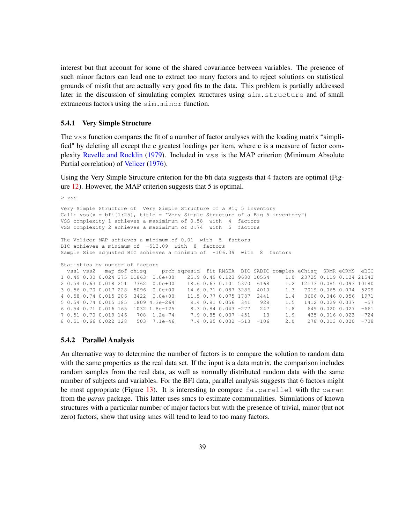interest but that account for some of the shared covariance between variables. The presence of such minor factors can lead one to extract too many factors and to reject solutions on statistical grounds of misfit that are actually very good fits to the data. This problem is partially addressed later in the discussion of simulating complex structures using sim.structure and of small extraneous factors using the sim.minor function.

#### 5.4.1 Very Simple Structure

The vss function compares the fit of a number of factor analyses with the loading matrix "simplified" by deleting all except the c greatest loadings per item, where c is a measure of factor complexity Revelle and Rocklin (1979). Included in vss is the MAP criterion (Minimum Absolute Partial correlation) of Velicer (1976).

Using the Very Simple Structure criterion for the bfi data suggests that 4 factors are optimal (Figure 12). However, the MAP criterion suggests that 5 is optimal.

```
> vss
Very Simple Structure of Very Simple Structure of a Big 5 inventory
Call: vss(x = bfi[1:25], title = "Very Simple Structure of a Big 5 inventory")
VSS complexity 1 achieves a maximimum of 0.58 with 4 factors
VSS complexity 2 achieves a maximimum of 0.74 with 5 factors
The Velicer MAP achieves a minimum of 0.01 with 5 factors
BIC achieves a minimum of -513.09 with 8 factors
Sample Size adjusted BIC achieves a minimum of -106.39 with 8 factors
Statistics by number of factors<br>vss1 vss2 map dof chisq
                            prob sqresid fit RMSEA BIC SABIC complex eChisq SRMR eCRMS eBIC
1 0.49 0.00 0.024 275 11863 0.0e+00 25.9 0.49 0.123 9680 10554 1.0 23725 0.119 0.124 21542
2 0.54 0.63 0.018 251 7362 0.0e+00 18.6 0.63 0.101 5370 6168 1.2 12173 0.085 0.093 10180
3 0.56 0.70 0.017 228 5096 0.0e+00 14.6 0.71 0.087 3286 4010 1.3 7019 0.065 0.074 5209
4 0.58 0.74 0.015 206 3422 0.0e+00 11.5 0.77 0.075 1787 2441 1.4 3606 0.046 0.056 1971
5 0.54 0.74 0.015 185 1809 4.3e-264 9.4 0.81 0.056 341 928 1.5 1412 0.029 0.037 -57
6 0.54 0.71 0.016 165 1032 1.8e-125 8.3 0.84 0.043 -277 247 1.8 649 0.020 0.027 -661
7 0.51 0.70 0.019 146 708 1.2e-74 7.9 0.85 0.037 -451 13 1.9 435 0.016 0.023 -724
8 0.51 0.66 0.022 128 503 7.1e-46 7.4 0.85 0.032 -513 -106 2.0 278 0.013 0.020 -738
```
#### 5.4.2 Parallel Analysis

An alternative way to determine the number of factors is to compare the solution to random data with the same properties as the real data set. If the input is a data matrix, the comparison includes random samples from the real data, as well as normally distributed random data with the same number of subjects and variables. For the BFI data, parallel analysis suggests that 6 factors might be most appropriate (Figure 13). It is interesting to compare  $fa$ , parallel with the paran from the *paran* package. This latter uses smcs to estimate communalities. Simulations of known structures with a particular number of major factors but with the presence of trivial, minor (but not zero) factors, show that using smcs will tend to lead to too many factors.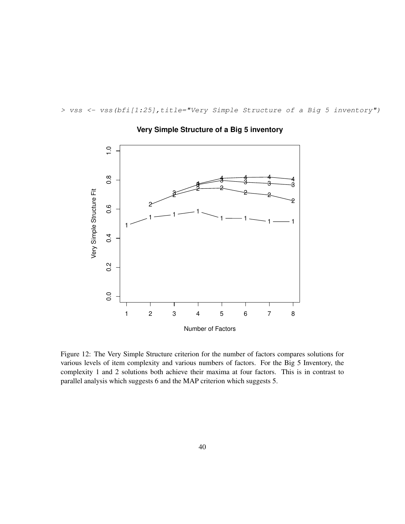*> vss <- vss(bfi[1:25],title="Very Simple Structure of a Big 5 inventory")*



# **Very Simple Structure of a Big 5 inventory**

Figure 12: The Very Simple Structure criterion for the number of factors compares solutions for various levels of item complexity and various numbers of factors. For the Big 5 Inventory, the complexity 1 and 2 solutions both achieve their maxima at four factors. This is in contrast to parallel analysis which suggests 6 and the MAP criterion which suggests 5.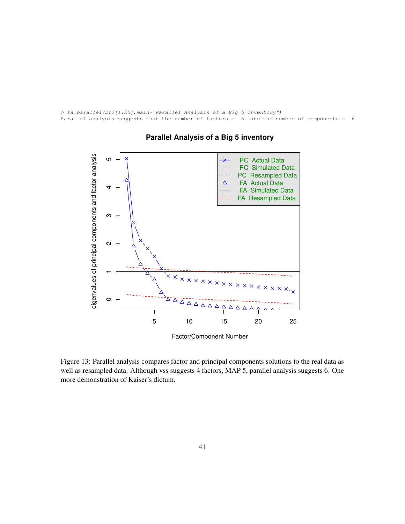```
> fa.parallel(bfi[1:25],main="Parallel Analysis of a Big 5 inventory")
Parallel analysis suggests that the number of factors = 6 and the number of components = 6
```


## **Parallel Analysis of a Big 5 inventory**

Figure 13: Parallel analysis compares factor and principal components solutions to the real data as well as resampled data. Although vss suggests 4 factors, MAP 5, parallel analysis suggests 6. One more demonstration of Kaiser's dictum.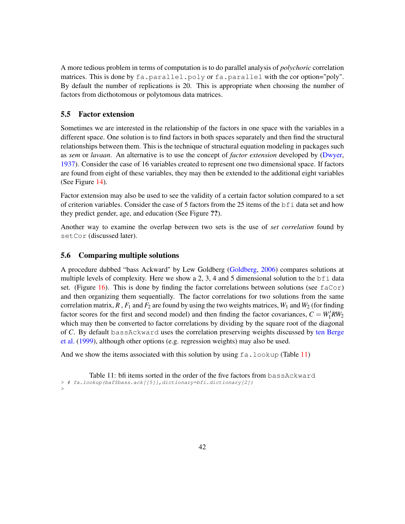A more tedious problem in terms of computation is to do parallel analysis of *polychoric* correlation matrices. This is done by fa.parallel.poly or fa.parallel with the cor option="poly". By default the number of replications is 20. This is appropriate when choosing the number of factors from dicthotomous or polytomous data matrices.

## 5.5 Factor extension

Sometimes we are interested in the relationship of the factors in one space with the variables in a different space. One solution is to find factors in both spaces separately and then find the structural relationships between them. This is the technique of structural equation modeling in packages such as *sem* or *lavaan*. An alternative is to use the concept of *factor extension* developed by (Dwyer, 1937). Consider the case of 16 variables created to represent one two dimensional space. If factors are found from eight of these variables, they may then be extended to the additional eight variables (See Figure 14).

Factor extension may also be used to see the validity of a certain factor solution compared to a set of criterion variables. Consider the case of 5 factors from the 25 items of the bfi data set and how they predict gender, age, and education (See Figure ??).

Another way to examine the overlap between two sets is the use of *set correlation* found by setCor (discussed later).

### 5.6 Comparing multiple solutions

A procedure dubbed "bass Ackward" by Lew Goldberg (Goldberg, 2006) compares solutions at multiple levels of complexity. Here we show a 2, 3, 4 and 5 dimensional solution to the  $\delta$  f data set. (Figure 16). This is done by finding the factor correlations between solutions (see  $f \text{aCor}$ ) and then organizing them sequentially. The factor correlations for two solutions from the same correlation matrix,  $R$ ,  $F_1$  and  $F_2$  are found by using the two weights matrices,  $W_1$  and  $W_2$  (for finding factor scores for the first and second model) and then finding the factor covariances,  $C = W_1' R W_2$ which may then be converted to factor correlations by dividing by the square root of the diagonal of *C*. By default bassAckward uses the correlation preserving weights discussed by ten Berge et al. (1999), although other options (e.g. regression weights) may also be used.

And we show the items associated with this solution by using  $fa$ . lookup (Table 11)

Table 11: bfi items sorted in the order of the five factors from bassAckward *> # fa.lookup(baf\$bass.ack[[5]],dictionary=bfi.dictionary[2]) >*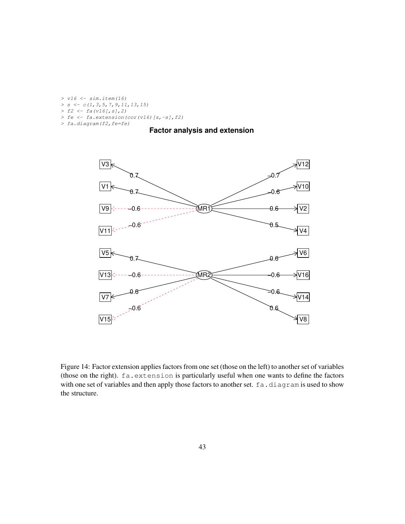```
> v16 <- sim.item(16)
> s <- c(1,3,5,7,9,11,13,15)
> f2 <- fa(v16[,s],2)
> fe <- fa.extension(cor(v16)[s,-s],f2)
> fa.diagram(f2,fe=fe)
```
## **Factor analysis and extension**



Figure 14: Factor extension applies factors from one set (those on the left) to another set of variables (those on the right). fa.extension is particularly useful when one wants to define the factors with one set of variables and then apply those factors to another set. fa.diagram is used to show the structure.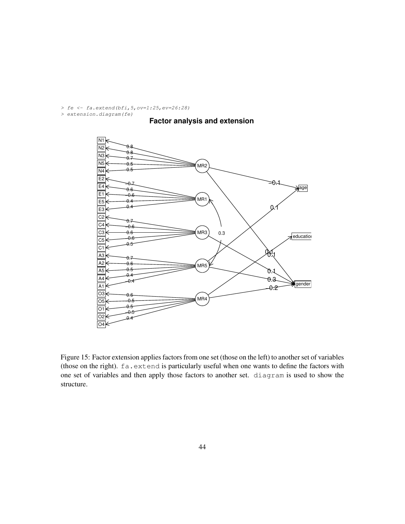*> fe <- fa.extend(bfi,5,ov=1:25,ev=26:28) > extension.diagram(fe)*





Figure 15: Factor extension applies factors from one set (those on the left) to another set of variables (those on the right). fa.extend is particularly useful when one wants to define the factors with one set of variables and then apply those factors to another set. diagram is used to show the structure.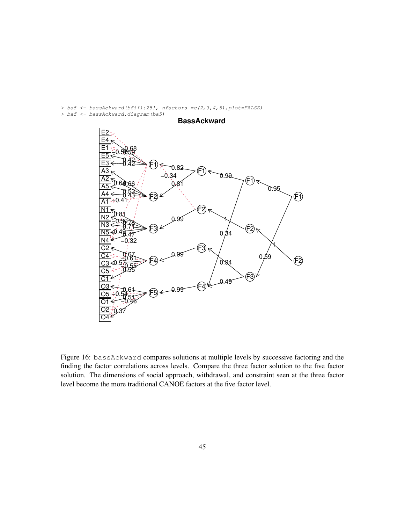*> ba5 <- bassAckward(bfi[1:25], nfactors =c(2,3,4,5),plot=FALSE) > baf <- bassAckward.diagram(ba5)*



Figure 16: bassAckward compares solutions at multiple levels by successive factoring and the finding the factor correlations across levels. Compare the three factor solution to the five factor solution. The dimensions of social approach, withdrawal, and constraint seen at the three factor level become the more traditional CANOE factors at the five factor level.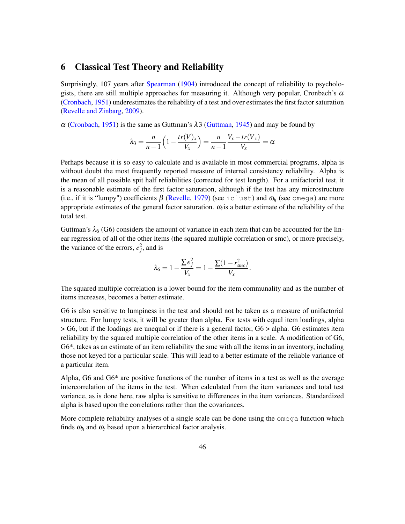## 6 Classical Test Theory and Reliability

Surprisingly, 107 years after Spearman (1904) introduced the concept of reliability to psychologists, there are still multiple approaches for measuring it. Although very popular, Cronbach's  $\alpha$ (Cronbach, 1951) underestimates the reliability of a test and over estimates the first factor saturation (Revelle and Zinbarg, 2009).

 $\alpha$  (Cronbach, 1951) is the same as Guttman's  $\lambda$ 3 (Guttman, 1945) and may be found by

$$
\lambda_3 = \frac{n}{n-1} \left( 1 - \frac{tr(V)_x}{V_x} \right) = \frac{n}{n-1} \frac{V_x - tr(V_x)}{V_x} = \alpha
$$

Perhaps because it is so easy to calculate and is available in most commercial programs, alpha is without doubt the most frequently reported measure of internal consistency reliability. Alpha is the mean of all possible spit half reliabilities (corrected for test length). For a unifactorial test, it is a reasonable estimate of the first factor saturation, although if the test has any microstructure (i.e., if it is "lumpy") coefficients  $\beta$  (Revelle, 1979) (see iclust) and  $\omega_h$  (see omega) are more appropriate estimates of the general factor saturation.  $\omega_t$  is a better estimate of the reliability of the total test.

Guttman's  $\lambda_6$  (G6) considers the amount of variance in each item that can be accounted for the linear regression of all of the other items (the squared multiple correlation or smc), or more precisely, the variance of the errors,  $e_j^2$ , and is

$$
\lambda_6 = 1 - \frac{\sum e_j^2}{V_x} = 1 - \frac{\sum (1 - r_{smc}^2)}{V_x}.
$$

The squared multiple correlation is a lower bound for the item communality and as the number of items increases, becomes a better estimate.

G6 is also sensitive to lumpiness in the test and should not be taken as a measure of unifactorial structure. For lumpy tests, it will be greater than alpha. For tests with equal item loadings, alpha > G6, but if the loadings are unequal or if there is a general factor, G6 > alpha. G6 estimates item reliability by the squared multiple correlation of the other items in a scale. A modification of G6, G6\*, takes as an estimate of an item reliability the smc with all the items in an inventory, including those not keyed for a particular scale. This will lead to a better estimate of the reliable variance of a particular item.

Alpha, G6 and G6\* are positive functions of the number of items in a test as well as the average intercorrelation of the items in the test. When calculated from the item variances and total test variance, as is done here, raw alpha is sensitive to differences in the item variances. Standardized alpha is based upon the correlations rather than the covariances.

More complete reliability analyses of a single scale can be done using the omega function which finds  $\omega_h$  and  $\omega_t$  based upon a hierarchical factor analysis.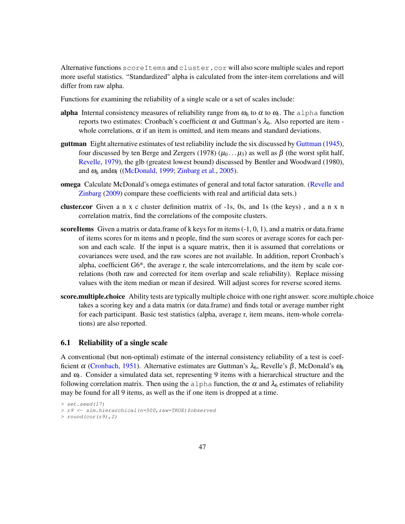Alternative functions scoreItems and cluster.cor will also score multiple scales and report more useful statistics. "Standardized" alpha is calculated from the inter-item correlations and will differ from raw alpha.

Functions for examining the reliability of a single scale or a set of scales include:

- alpha Internal consistency measures of reliability range from  $\omega_h$  to  $\alpha$  to  $\omega_t$ . The alpha function reports two estimates: Cronbach's coefficient α and Guttman's  $\lambda_6$ . Also reported are item whole correlations,  $\alpha$  if an item is omitted, and item means and standard deviations.
- guttman Eight alternative estimates of test reliability include the six discussed by Guttman (1945), four discussed by ten Berge and Zergers (1978) ( $\mu_0$ ...  $\mu_3$ ) as well as β (the worst split half, Revelle, 1979), the glb (greatest lowest bound) discussed by Bentler and Woodward (1980), and  $\omega_h$  and  $\omega_t$  ((McDonald, 1999; Zinbarg et al., 2005).
- omega Calculate McDonald's omega estimates of general and total factor saturation. (Revelle and Zinbarg (2009) compare these coefficients with real and artificial data sets.)
- cluster.cor Given a n x c cluster definition matrix of -1s, 0s, and 1s (the keys) , and a n x n correlation matrix, find the correlations of the composite clusters.
- scoreItems Given a matrix or data.frame of k keys for m items  $(-1, 0, 1)$ , and a matrix or data.frame of items scores for m items and n people, find the sum scores or average scores for each person and each scale. If the input is a square matrix, then it is assumed that correlations or covariances were used, and the raw scores are not available. In addition, report Cronbach's alpha, coefficient G6\*, the average r, the scale intercorrelations, and the item by scale correlations (both raw and corrected for item overlap and scale reliability). Replace missing values with the item median or mean if desired. Will adjust scores for reverse scored items.
- score.multiple.choice Ability tests are typically multiple choice with one right answer. score.multiple.choice takes a scoring key and a data matrix (or data.frame) and finds total or average number right for each participant. Basic test statistics (alpha, average r, item means, item-whole correlations) are also reported.

## 6.1 Reliability of a single scale

A conventional (but non-optimal) estimate of the internal consistency reliability of a test is coefficient α (Cronbach, 1951). Alternative estimates are Guttman's  $\lambda_6$ , Revelle's β, McDonald's  $ω_h$ and <sup>ω</sup>*<sup>t</sup>* . Consider a simulated data set, representing 9 items with a hierarchical structure and the following correlation matrix. Then using the alpha function, the  $\alpha$  and  $\lambda_6$  estimates of reliability may be found for all 9 items, as well as the if one item is dropped at a time.

*<sup>&</sup>gt; set.seed(17)*

*<sup>&</sup>gt; r9 <- sim.hierarchical(n=500,raw=TRUE)\$observed*

*<sup>&</sup>gt; round(cor(r9),2)*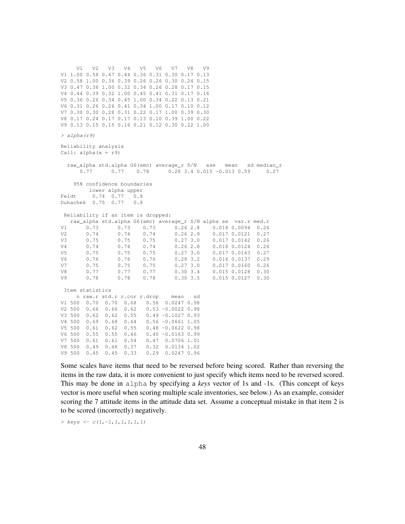V1 V2 V3 V4 V5 V6 V7 V8 V9 V1 1.00 0.58 0.47 0.44 0.36 0.31 0.30 0.17 0.13 V2 0.58 1.00 0.36 0.39 0.26 0.26 0.30 0.24 0.15 V3 0.47 0.36 1.00 0.32 0.34 0.26 0.28 0.17 0.15 V4 0.44 0.39 0.32 1.00 0.45 0.41 0.31 0.17 0.16 V5 0.36 0.26 0.34 0.45 1.00 0.34 0.22 0.13 0.21 V6 0.31 0.26 0.26 0.41 0.34 1.00 0.17 0.10 0.12 V7 0.30 0.30 0.28 0.31 0.22 0.17 1.00 0.39 0.30 V8 0.17 0.24 0.17 0.17 0.13 0.10 0.39 1.00 0.22 V9 0.13 0.15 0.15 0.16 0.21 0.12 0.30 0.22 1.00 *> alpha(r9)* Reliability analysis Call: alpha(x = r9) raw\_alpha std.alpha G6(smc) average\_r S/N ase mean sd median\_r 0.77 0.77 0.78 0.28 3.4 0.015 -0.013 0.59 0.27 95% confidence boundaries lower alpha upper Feldt 0.74 0.77 0.8 Duhachek 0.75 0.77 0.8 Reliability if an item is dropped: raw\_alpha std.alpha G6(smc) average\_r S/N alpha se var.r med.r V1 0.73 0.73 0.73 0.26 2.8 0.018 0.0094 0.26 V2 0.74 0.74 0.74 0.26 2.9 0.017 0.0121 0.27 V3 0.75 0.75 0.75 0.27 3.0 0.017 0.0142 0.26 V4 0.74 0.74 0.74 0.26 2.8 0.018 0.0124 0.26 V5 0.75 0.75 0.75 0.27 3.0 0.017 0.0143 0.27  $0.016$   $0.0137$ V7 0.75 0.75 0.75 0.27 3.0 0.017 0.0160 0.26 V8 0.77 0.77 0.77 0.30 3.4 0.015 0.0128 0.30 V9 0.78 0.78 0.78 0.30 3.5 0.015 0.0127 0.30 Item statistics n raw.r std.r r.cor r.drop mean sd V1 500 0.70 0.70 0.68 0.58 0.0247 0.98 V2 500 0.66 0.66 0.62 0.53 -0.0022 0.98 V3 500 0.62 0.62 0.55 0.49 -0.1027 0.93 V4 500 0.69 0.68 0.64 0.56 -0.0661 1.05 V5 500 0.61 0.62 0.55 0.48 -0.0622 0.98  $V6 500 0.55 0.55 0.46$ V7 500 0.61 0.61 0.54 0.47 0.0706 1.01 V8 500 0.49 0.48 0.37 0.32 0.0134 1.02 V9 500 0.45 0.45 0.33 0.29 0.0247 0.96

Some scales have items that need to be reversed before being scored. Rather than reversing the items in the raw data, it is more convenient to just specify which items need to be reversed scored. This may be done in alpha by specifying a *keys* vector of 1s and -1s. (This concept of keys vector is more useful when scoring multiple scale inventories, see below.) As an example, consider scoring the 7 attitude items in the attitude data set. Assume a conceptual mistake in that item 2 is to be scored (incorrectly) negatively.

*> keys <- c(1,-1,1,1,1,1,1)*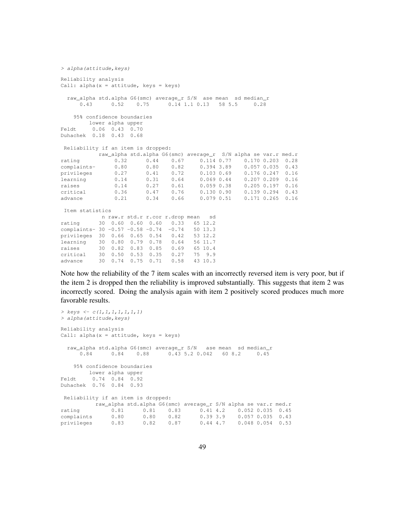```
> alpha(attitude,keys)
Reliability analysis
Call: alpha(x = attitude, keys = keys)
 raw_alpha std.alpha G6(smc) average_r S/N ase mean sd median_r
     0.43 0.52 0.75 0.14 1.1 0.13 58 5.5 0.28
   95% confidence boundaries
       lower alpha upper
Feldt 0.06 0.43 0.70
Duhachek 0.18 0.43 0.68
Reliability if an item is dropped:
        raw_alpha std.alpha G6(smc) average_r S/N alpha se var.r med.r
rating 0.32 0.44 0.67 0.114 0.77 0.170 0.203 0.28
complaints- 0.80 0.80 0.82 0.394 3.89 0.057 0.035 0.43
privileges 0.27 0.41 0.72 0.103 0.69 0.176 0.247 0.16
learning 0.14 0.31 0.64 0.069 0.44 0.207 0.209 0.16
raises 0.14 0.27 0.61 0.059 0.38 0.205 0.197 0.16
critical 0.36 0.47 0.76 0.130 0.90 0.139 0.294 0.43
advance 0.21 0.34 0.66 0.079 0.51 0.171 0.265 0.16
Item statistics
         n raw.r std.r r.cor r.drop mean sd
rating 30 0.60 0.60 0.60 0.33 65 12.2
complaints- 30 -0.57 -0.58 -0.74 -0.74 50 13.3
privileges 30 0.66 0.65 0.54 0.42 53 12.2
learning 30 0.80 0.79 0.78 0.64 56 11.7
raises 30 0.82 0.83 0.85 0.69 65 10.4
critical 30 0.50 0.53 0.35 0.27 75 9.9
advance 30 0.74 0.75 0.71 0.58 43 10.3
```
Note how the reliability of the 7 item scales with an incorrectly reversed item is very poor, but if the item 2 is dropped then the reliability is improved substantially. This suggests that item 2 was incorrectly scored. Doing the analysis again with item 2 positively scored produces much more favorable results.

```
> keys <- c(1,1,1,1,1,1,1)
> alpha(attitude,keys)
Reliability analysis
Call: alpha(x = attitude, keys = keys)
  raw_alpha std.alpha G6(smc) average_r S/N ase mean sd median_r
      0.84 0.84 0.88 0.43 5.2 0.042 60 8.2 0.45
    95% confidence boundaries
        lower alpha upper
Feldt 0.74 0.84 0.92
Duhachek 0.76 0.84 0.93
Reliability if an item is dropped:
      raw_alpha std.alpha G6(smc) average_r S/N alpha se var.r med.r
rating 0.81 0.81 0.83 0.41 4.2 0.052 0.035 0.45<br>
complaints 0.80 0.80 0.82 0.39 3.9 0.057 0.035 0.43<br>
privileges 0.83 0.82 0.87 0.44 4.7 0.048 0.054 0.53
complaints 0.80 0.80 0.82 0.39 3.9 0.057 0.035 0.43
                                                          0.048 0.054 0.53
```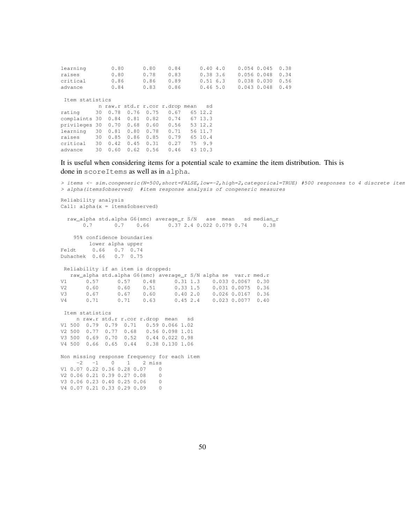| learning                | 0.80            |         | 0.80 | 0.84 |                                 | 0.404.0 |         |  | $0.054$ 0.045 | 0.38            |      |  |
|-------------------------|-----------------|---------|------|------|---------------------------------|---------|---------|--|---------------|-----------------|------|--|
| raises                  | 0.80            |         | 0.78 |      | 0.83                            |         | 0.383.6 |  | 0.0560.048    | 0.34            |      |  |
| critical                |                 | 0.86    |      | 0.86 | 0.89                            |         | 0.516.3 |  |               | $0.038$ $0.030$ | 0.56 |  |
| advance                 | 0.84            |         |      | 0.83 | 0.86                            |         | 0.465.0 |  |               | $0.043$ $0.048$ | 0.49 |  |
|                         |                 |         |      |      |                                 |         |         |  |               |                 |      |  |
|                         | Item statistics |         |      |      |                                 |         |         |  |               |                 |      |  |
|                         |                 |         |      |      | n raw.r std.r r.cor r.drop mean |         | sd      |  |               |                 |      |  |
| rating                  |                 | 30 0.78 | 0.76 | 0.75 | 0.67                            |         | 65 12.2 |  |               |                 |      |  |
| complaints 30 0.84 0.81 |                 |         |      | 0.82 | 0.74                            |         | 67 13.3 |  |               |                 |      |  |
| privileges 30 0.70      |                 |         | 0.68 | 0.60 | 0.56                            |         | 53 12.2 |  |               |                 |      |  |
| learning                |                 | 30 0.81 | 0.80 | 0.78 | 0.71                            |         | 56 11.7 |  |               |                 |      |  |
| raises                  | 30              | 0.85    | 0.86 | 0.85 | 0.79                            |         | 65 10.4 |  |               |                 |      |  |
| critical                | 30              | 0.42    | 0.45 | 0.31 | 0.27                            |         | 75 9.9  |  |               |                 |      |  |
| advance                 | 30              | 0.60    | 0.62 | 0.56 | 0.46                            |         | 43 10.3 |  |               |                 |      |  |
|                         |                 |         |      |      |                                 |         |         |  |               |                 |      |  |

## It is useful when considering items for a potential scale to examine the item distribution. This is

done in scoreItems as well as in alpha.

*> items <- sim.congeneric(N=500,short=FALSE,low=-2,high=2,categorical=TRUE) #500 responses to 4 discrete items > alpha(items\$observed) #item response analysis of congeneric measures* Reliability analysis Call: alpha(x = items\$observed) raw\_alpha std.alpha G6(smc) average\_r S/N ase mean sd median\_r 0.7 0.7 0.66 0.37 2.4 0.022 0.079 0.74 0.38 95% confidence boundaries lower alpha upper Feldt 0.66 0.7 0.74 Duhachek 0.66 0.7 0.75 Reliability if an item is dropped: raw\_alpha std.alpha G6(smc) average\_r S/N alpha se var.r med.r V1 0.57 0.57 0.48 0.31 1.3 0.033 0.0067 0.30 V2 0.60 0.60 0.51 0.33 1.5 0.031 0.0075 0.36  $0.026$   $0.0167$  0.36 V4 0.71 0.71 0.63 0.45 2.4 0.023 0.0077 0.40 Item statistics n raw.r std.r r.cor r.drop mean sd V1 500 0.79 0.79 0.71 0.59 0.066 1.02 V2 500 0.77 0.77 0.68 0.56 0.098 1.01 V3 500 0.69 0.70 0.52 0.44 0.022 0.98 V4 500 0.66 0.65 0.44 0.38 0.130 1.06 Non missing response frequency for each item  $-2$   $-1$  0 1 2 miss V1 0.07 0.22 0.36 0.28 0.07 0 V2 0.06 0.21 0.39 0.27 0.08 0<br>V3 0 06 0 23 0 40 0 25 0 06 0 V3 0.06 0.23 0.40 0.25 0.06 V4 0.07 0.21 0.33 0.29 0.09 0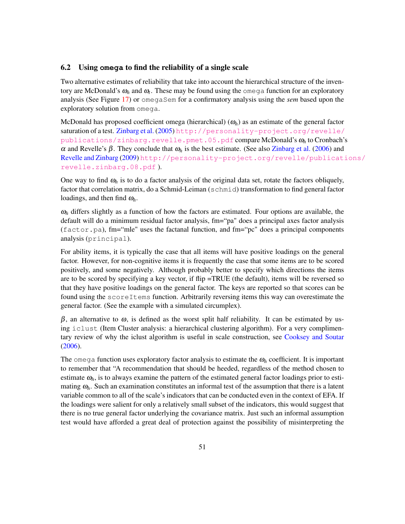## 6.2 Using **omega** to find the reliability of a single scale

Two alternative estimates of reliability that take into account the hierarchical structure of the inventory are McDonald's  $\omega_h$  and  $\omega_t$ . These may be found using the omega function for an exploratory analysis (See Figure 17) or omegaSem for a confirmatory analysis using the *sem* based upon the exploratory solution from omega.

McDonald has proposed coefficient omega (hierarchical)  $(\omega_h)$  as an estimate of the general factor saturation of a test. Zinbarg et al. (2005) [http://personality-project.org/revelle/](http://personality-project.org/revelle/publications/zinbarg.revelle.pmet.05.pdf) [publications/zinbarg.revelle.pmet.05.pdf](http://personality-project.org/revelle/publications/zinbarg.revelle.pmet.05.pdf) compare McDonald's <sup>ω</sup>*<sup>h</sup>* to Cronbach's <sup>α</sup> and Revelle's β. They conclude that <sup>ω</sup>*<sup>h</sup>* is the best estimate. (See also Zinbarg et al. (2006) and Revelle and Zinbarg (2009) [http://personality-project.org/revelle/publicati](http://personality-project.org/revelle/publications/revelle.zinbarg.08.pdf)ons/ [revelle.zinbarg.08.pdf](http://personality-project.org/revelle/publications/revelle.zinbarg.08.pdf) ).

One way to find  $\omega_h$  is to do a factor analysis of the original data set, rotate the factors obliquely, factor that correlation matrix, do a Schmid-Leiman (schmid) transformation to find general factor loadings, and then find <sup>ω</sup>*h*.

 $\omega_h$  differs slightly as a function of how the factors are estimated. Four options are available, the default will do a minimum residual factor analysis, fm="pa" does a principal axes factor analysis (factor.pa), fm="mle" uses the factanal function, and fm="pc" does a principal components analysis (principal).

For ability items, it is typically the case that all items will have positive loadings on the general factor. However, for non-cognitive items it is frequently the case that some items are to be scored positively, and some negatively. Although probably better to specify which directions the items are to be scored by specifying a key vector, if flip =TRUE (the default), items will be reversed so that they have positive loadings on the general factor. The keys are reported so that scores can be found using the scoreItems function. Arbitrarily reversing items this way can overestimate the general factor. (See the example with a simulated circumplex).

 $β$ , an alternative to  $ω$ , is defined as the worst split half reliability. It can be estimated by using iclust (Item Cluster analysis: a hierarchical clustering algorithm). For a very complimentary review of why the iclust algorithm is useful in scale construction, see Cooksey and Soutar (2006).

The omega function uses exploratory factor analysis to estimate the  $\omega_h$  coefficient. It is important to remember that "A recommendation that should be heeded, regardless of the method chosen to estimate  $\omega_h$ , is to always examine the pattern of the estimated general factor loadings prior to estimating  $\omega_h$ . Such an examination constitutes an informal test of the assumption that there is a latent variable common to all of the scale's indicators that can be conducted even in the context of EFA. If the loadings were salient for only a relatively small subset of the indicators, this would suggest that there is no true general factor underlying the covariance matrix. Just such an informal assumption test would have afforded a great deal of protection against the possibility of misinterpreting the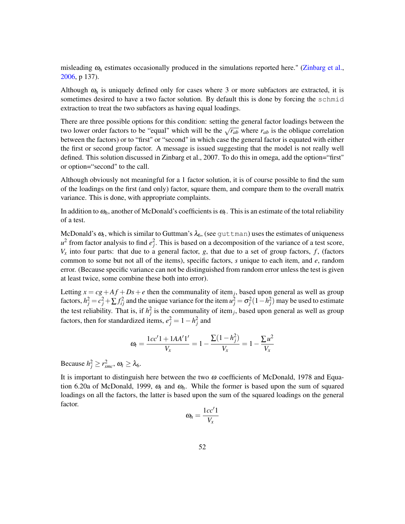misleading  $\omega_h$  estimates occasionally produced in the simulations reported here." (Zinbarg et al., 2006, p 137).

Although  $\omega_h$  is uniquely defined only for cases where 3 or more subfactors are extracted, it is sometimes desired to have a two factor solution. By default this is done by forcing the schmid extraction to treat the two subfactors as having equal loadings.

There are three possible options for this condition: setting the general factor loadings between the two lower order factors to be "equal" which will be the  $\sqrt{r_{ab}}$  where  $r_{ab}$  is the oblique correlation between the factors) or to "first" or "second" in which case the general factor is equated with either the first or second group factor. A message is issued suggesting that the model is not really well defined. This solution discussed in Zinbarg et al., 2007. To do this in omega, add the option="first" or option="second" to the call.

Although obviously not meaningful for a 1 factor solution, it is of course possible to find the sum of the loadings on the first (and only) factor, square them, and compare them to the overall matrix variance. This is done, with appropriate complaints.

In addition to  $\omega_h$ , another of McDonald's coefficients is  $\omega_t$ . This is an estimate of the total reliability of a test.

McDonald's  $\omega_t$ , which is similar to Guttman's  $\lambda_6$ , (see  $\texttt{guttman}$ ) uses the estimates of uniqueness  $u^2$  from factor analysis to find  $e_j^2$ . This is based on a decomposition of the variance of a test score,  $V_x$  into four parts: that due to a general factor, *g*, that due to a set of group factors, *f*, (factors common to some but not all of the items), specific factors, *s* unique to each item, and *e*, random error. (Because specific variance can not be distinguished from random error unless the test is given at least twice, some combine these both into error).

Letting  $x = cg + Af + Ds + e$  then the communality of item<sub>j</sub>, based upon general as well as group factors,  $h_j^2 = c_j^2 + \sum f_{ij}^2$  and the unique variance for the item  $u_j^2 = \sigma_j^2 (1 - h_j^2)$  may be used to estimate the test reliability. That is, if  $h_j^2$  is the communality of item<sub>j</sub>, based upon general as well as group factors, then for standardized items,  $e_j^2 = 1 - h_j^2$  and

$$
\omega_t = \frac{1cc'1 + 1AA'1'}{V_x} = 1 - \frac{\sum (1 - h_j^2)}{V_x} = 1 - \frac{\sum u^2}{V_x}
$$

Because  $h_j^2 \ge r_{smc}^2$ ,  $\omega_t \ge \lambda_6$ .

It is important to distinguish here between the two  $\omega$  coefficients of McDonald, 1978 and Equation 6.20a of McDonald, 1999,  $\omega_t$  and  $\omega_h$ . While the former is based upon the sum of squared loadings on all the factors, the latter is based upon the sum of the squared loadings on the general factor.

$$
\omega_h = \frac{1cc'1}{V_x}
$$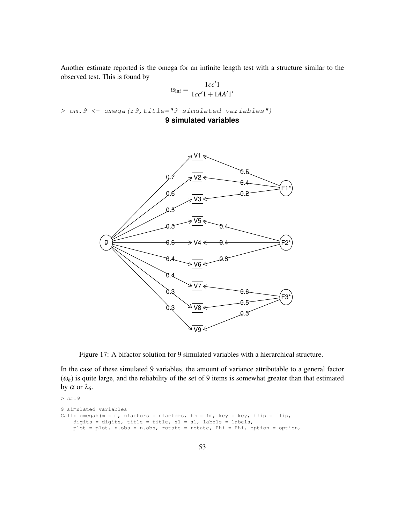Another estimate reported is the omega for an infinite length test with a structure similar to the observed test. This is found by

$$
\omega_{\text{inf}} = \frac{1cc'1}{1cc'1 + 1AA'1'}
$$

*> om.9 <- omega(r9,title="9 simulated variables")*

**9 simulated variables**



Figure 17: A bifactor solution for 9 simulated variables with a hierarchical structure.

In the case of these simulated 9 variables, the amount of variance attributable to a general factor  $(\omega_h)$  is quite large, and the reliability of the set of 9 items is somewhat greater than that estimated by α or  $λ_6$ .

```
> om.9
9 simulated variables
Call: omegah(m = m, nfactors = nfactors, fm = fm, key = key, flip = flip,
    digits = digits, title = title, sl = sl, labels = labels,
   plot = plot, n.obs = n.obs, rotate = rotate, Phi = Phi, option = option,
```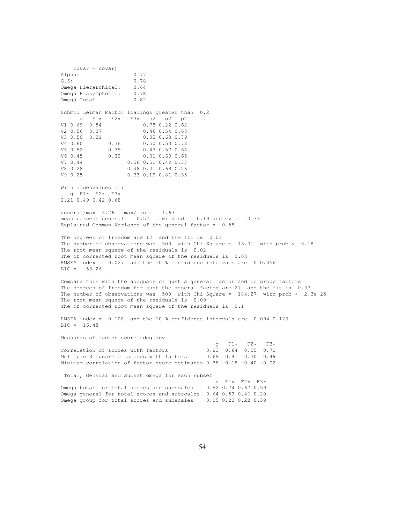covar = covar) Alpha: 0.77 G.6: 0.78 Omega Hierarchical: 0.64<br>Omega H asymptotic: 0.78 Omega H asymptotic: Omega Total 0.82 Schmid Leiman Factor loadings greater than 0.2  $g$  F1\* F2\* F3\* h2 u2 p2<br>V1 0.69 0.54 0.78 0.22 0.62 V1 0.69 0.54 0.78 0.22 0.62  $0.46$   $0.54$   $0.68$ V3 0.50 0.21 0.32 0.68 0.79<br>V4 0.60 0.36 0.50 0.50 0.73 V4 0.60 0.36 0.50 0.50 0.73 V5 0.52 0.39 0.43 0.57 0.64 V6 0.45 0.32 0.31 0.69 0.65 V7 0.44 0.56 0.51 0.49 0.37 V8 0.28 0.48 0.31 0.69 0.26<br>V9 0.25 0.33 0.19 0.81 0.35 V9 0.25 0.33 0.19 0.81 0.35 With eigenvalues of: g F1\* F2\* F3\* 2.21 0.49 0.42 0.68 qeneral/max  $3.26$  max/min = 1.63 mean percent general =  $0.57$  with sd =  $0.19$  and cv of  $0.33$ Explained Common Variance of the general factor = 0.58 The degrees of freedom are 12 and the fit is 0.03 The number of observations was 500 with Chi Square = 16.31 with prob < 0.18 The root mean square of the residuals is 0.02 The df corrected root mean square of the residuals is 0.03 RMSEA index = 0.027 and the 10 % confidence intervals are 0 0.056  $BIC = -58.26$ Compare this with the adequacy of just a general factor and no group factors The degrees of freedom for just the general factor are 27 and the fit is 0.37 The number of observations was 500 with Chi Square = 184.27 with prob < 2.3e-25 The root mean square of the residuals is 0.09 The df corrected root mean square of the residuals is 0.1 RMSEA index = 0.108 and the 10 % confidence intervals are 0.094 0.123 BIC = 16.48 Measures of factor score adequacy  $9$  F1\* F2\* F3\*<br>0.83 0.64 0.55 0.70 Correlation of scores with factors Multiple R square of scores with factors 0.69 0.41 0.30 0.49 Minimum correlation of factor score estimates 0.38 -0.18 -0.40 -0.02 Total, General and Subset omega for each subset g  $F1*$   $F2*$   $F3*$ <br>0.82 0.74 0.67 0.59 Omega total for total scores and subscales

Omega general for total scores and subscales 0.64 0.53 0.46 0.20 Omega group for total scores and subscales 0.15 0.22 0.22 0.39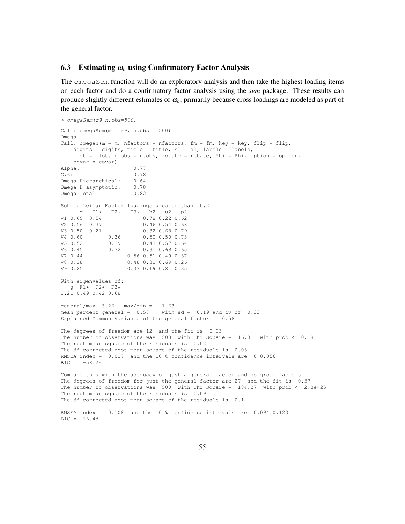#### 6.3 Estimating <sup>ω</sup>*<sup>h</sup>* using Confirmatory Factor Analysis

The omegaSem function will do an exploratory analysis and then take the highest loading items on each factor and do a confirmatory factor analysis using the *sem* package. These results can produce slightly different estimates of <sup>ω</sup>*h*, primarily because cross loadings are modeled as part of the general factor.

```
> omegaSem(r9,n.obs=500)
Call: omegaSem(m = r9, n.obs = 500)Omega
Call: omegah(m = m, nfactors = nfactors, fm = fm, key = key, flip = flip,
    digits = digits, title = title, sl = sl, labels = labels,
    plot = plot, n.obs = n.obs, rotate = rotate, Phi = Phi, option = option,
    covar = covar)
Alpha: 0.77
G.6: 0.78
Omega Hierarchical: 0.64
Omega H asymptotic: 0.78
Omega Total 0.82
Schmid Leiman Factor loadings greater than 0.2
\begin{array}{ccccccccc}\n & g & F1* & F2* & F3* & h2 & u2 & p2 \\
\text{V1 0.69 0.54} & & & 0.78 & 0.22 & 0.62\n\end{array}0.78 0.22 0.62
V2 0.56 0.37 0.46 0.54 0.68
V3 0.50 0.21 0.32 0.68 0.79<br>V4 0.60 0.36 0.50 0.50 0.73<br>--- ^ F2 0.39 0.43 0.57 0.64
V4 0.60 0.36 0.50 0.50 0.73<br>V5 0.52 0.39 0.43 0.57 0.64
\begin{array}{cccccc} \tt V5 & 0.52 & 0.39 & 0.43 & 0.57 & 0.64 \\ \tt V6 & 0.45 & 0.32 & 0.31 & 0.69 & 0.65 \end{array}V6 0.45 0.32 0.31 0.69 0.65
              V7 0.44 0.56 0.51 0.49 0.37
V8 0.28 0.48 0.31 0.69 0.26
V9 0.25 0.33 0.19 0.81 0.35
With eigenvalues of:
  g F1* F2* F3*
2.21 0.49 0.42 0.68
qeneral/max 3.26 max/min = 1.63mean percent general = 0.57 with sd = 0.19 and cv of 0.33Explained Common Variance of the general factor = 0.58
The degrees of freedom are 12 and the fit is 0.03
The number of observations was 500 with Chi Square = 16.31 with prob < 0.18
The root mean square of the residuals is 0.02
The df corrected root mean square of the residuals is 0.03
RMSEA index = 0.027 and the 10 % confidence intervals are 0 0.056
BTC = -58.26Compare this with the adequacy of just a general factor and no group factors
The degrees of freedom for just the general factor are 27 and the fit is 0.37
The number of observations was 500 with Chi Square = 184.27 with prob < 2.3e-25The root mean square of the residuals is 0.09
The df corrected root mean square of the residuals is 0.1
RMSEA index = 0.108 and the 10 % confidence intervals are 0.094 0.123
BIC = 16.48
```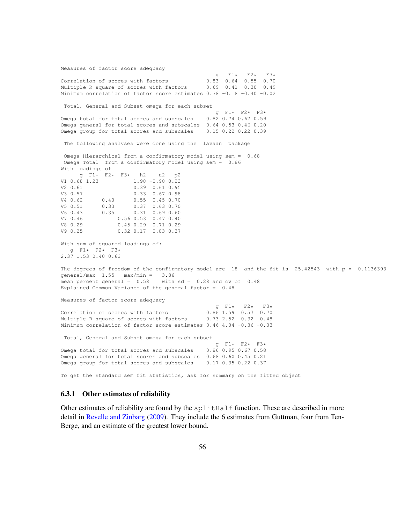Measures of factor score adequacy  $9$  F1\* F2\* F3\*<br>0.83 0.64 0.55 0.70 Correlation of scores with factors  $0.83$  0.64 0.55 0.70 Multiple R square of scores with factors 0.69 0.41 0.30 0.49 Minimum correlation of factor score estimates 0.38 -0.18 -0.40 -0.02 Total, General and Subset omega for each subset  $g$  F1\* F2\* F3\*<br>0.82 0.74 0.67 0.59 Omega total for total scores and subscales Omega general for total scores and subscales 0.64 0.53 0.46 0.20 Omega group for total scores and subscales 0.15 0.22 0.22 0.39 The following analyses were done using the lavaan package Omega Hierarchical from a confirmatory model using sem = 0.68 Omega Total from a confirmatory model using sem = 0.86 With loadings of  $9$  F1\* F2\* F3\* h2 u2 p2<br>V1 0.68 1.23 1.98 -0.98 0.23  $1.98 - 0.98$  0.23 V2 0.61 0.39 0.61 0.95 V3 0.57<br>
V4 0.62 0.40 0.55 0.45 0.70 V4 0.62 0.40 0.55 0.45 0.70<br>
V5 0.51 0.33 0.37 0.63 0.70<br>
V6 0.43 0.35 0.31 0.69 0.60  $0.37$  0.63 0.70<br> $0.31$  0.69 0.60 V6 0.43 0.35 0.31 0.69 0.60 V7 0.46 0.56 0.53 0.47 0.40 V8 0.29 0.45 0.29 0.71 0.29<br>V9 0.25 0.32 0.17 0.83 0.37 V9 0.25 0.32 0.17 0.83 0.37 With sum of squared loadings of: g F1\* F2\* F3\* 2.37 1.53 0.40 0.63 The degrees of freedom of the confirmatory model are 18 and the fit is 25.42543 with p = 0.1136393 general/max 1.55 max/min = 3.86 mean percent general =  $0.58$  with sd = 0.28 and cv of 0.48 Explained Common Variance of the general factor = 0.48 Measures of factor score adequacy g F1\* F2\* F3\*<br>0.86 1.59 0.57 0.70 Correlation of scores with factors Multiple R square of scores with factors 0.73 2.52 0.32 0.48 Minimum correlation of factor score estimates 0.46 4.04 -0.36 -0.03 Total, General and Subset omega for each subset g F1\* F2\* F3\*<br>0.86 0.95 0.67 0.58 Omega total for total scores and subscales Omega general for total scores and subscales 0.68 0.60 0.45 0.21 Omega group for total scores and subscales 0.17 0.35 0.22 0.37

To get the standard sem fit statistics, ask for summary on the fitted object

#### 6.3.1 Other estimates of reliability

Other estimates of reliability are found by the  $splift$  function. These are described in more detail in Revelle and Zinbarg (2009). They include the 6 estimates from Guttman, four from Ten-Berge, and an estimate of the greatest lower bound.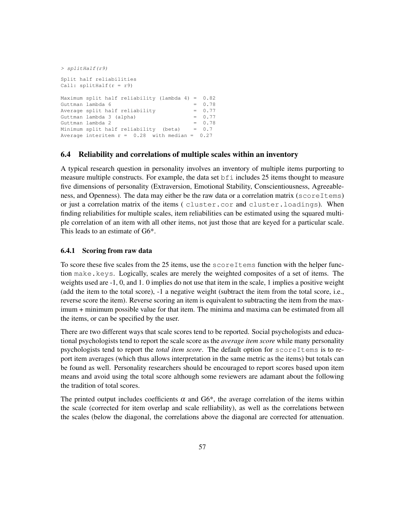```
> splitHalf(r9)
Split half reliabilities
Call: splitHalf(r = r9)Maximum split half reliability (lambda 4) = 0.82
Guttman lambda 6 = 0.78Average split half reliability = 0.77Guttman lambda 3 (alpha) = 0.77<br>Guttman lambda 2 = 0.78Guttman lambda 2
Minimum split half reliability (beta) = 0.7
Average interitem r = 0.28 with median = 0.27
```
### 6.4 Reliability and correlations of multiple scales within an inventory

A typical research question in personality involves an inventory of multiple items purporting to measure multiple constructs. For example, the data set bfi includes 25 items thought to measure five dimensions of personality (Extraversion, Emotional Stability, Conscientiousness, Agreeableness, and Openness). The data may either be the raw data or a correlation matrix (scoreItems) or just a correlation matrix of the items ( cluster.cor and cluster.loadings). When finding reliabilities for multiple scales, item reliabilities can be estimated using the squared multiple correlation of an item with all other items, not just those that are keyed for a particular scale. This leads to an estimate of G6\*.

## 6.4.1 Scoring from raw data

To score these five scales from the 25 items, use the scoreItems function with the helper function make.keys. Logically, scales are merely the weighted composites of a set of items. The weights used are -1, 0, and 1. 0 implies do not use that item in the scale, 1 implies a positive weight (add the item to the total score), -1 a negative weight (subtract the item from the total score, i.e., reverse score the item). Reverse scoring an item is equivalent to subtracting the item from the maximum + minimum possible value for that item. The minima and maxima can be estimated from all the items, or can be specified by the user.

There are two different ways that scale scores tend to be reported. Social psychologists and educational psychologists tend to report the scale score as the *average item score* while many personality psychologists tend to report the *total item score*. The default option for scoreItems is to report item averages (which thus allows interpretation in the same metric as the items) but totals can be found as well. Personality researchers should be encouraged to report scores based upon item means and avoid using the total score although some reviewers are adamant about the following the tradition of total scores.

The printed output includes coefficients  $\alpha$  and G6<sup>\*</sup>, the average correlation of the items within the scale (corrected for item overlap and scale relliability), as well as the correlations between the scales (below the diagonal, the correlations above the diagonal are corrected for attenuation.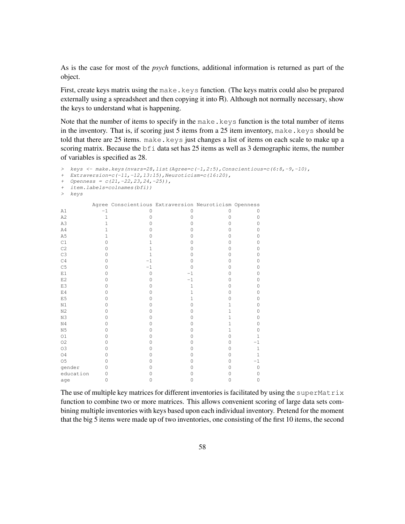As is the case for most of the *psych* functions, additional information is returned as part of the object.

First, create keys matrix using the make.keys function. (The keys matrix could also be prepared externally using a spreadsheet and then copying it into  $R$ ). Although not normally necessary, show the keys to understand what is happening.

Note that the number of items to specify in the make.  $keys$  function is the total number of items in the inventory. That is, if scoring just 5 items from a 25 item inventory, make.keys should be told that there are 25 items. make.keys just changes a list of items on each scale to make up a scoring matrix. Because the bfi data set has 25 items as well as 3 demographic items, the number of variables is specified as 28.

```
> keys <- make.keys(nvars=28,list(Agree=c(-1,2:5),Conscientious=c(6:8,-9,-10),
+ Extraversion=c(-11,-12,13:15),Neuroticism=c(16:20),
+ Openness = c(21,-22,23,24,-25)),
+ item.labels=colnames(bfi))
> keys
    Agree Conscientious Extraversion Neuroticism Openness
\begin{array}{cccccccccccc} \text{A1} & & & & -1 & & & & 0 & & & 0 & & & 0 & & & 0 \\ \text{A2} & & & & 1 & & & & 0 & & & 0 & & & 0 & & & 0 \\ \text{A3} & & & & 1 & & & & 0 & & & 0 & & & 0 & & & 0 \\ \text{A4} & & & & 1 & & & & 0 & & & 0 & & & 0 & & & 0 \\ \end{array}A2 1 0 0 0 0 0
A3 1 0 0 0 0 0
A4 1 0 0 0 0 0
A5 1 0 0 0 0 0
C1 0 1 0 0 0
C2 0 1 0 0 0
C3 0 1 0 0 0
C4 0 -1 0 0 0
C5 0 -1 0 0 0
E1 0 0 -1 0 0
E2 0 0 0 -1 0 0
E3 0 0 0 1 0 0
E4 0 0 0 1 0 0
E5 0 0 0 1 0 0
N1 0 0 0 0 1 0
N2 0 0 0 0 1 0
N3 0 0 0 0 1 0
N4 0 0 0 0 0 1 0
N5 0 0 0 0 1 0
O1 0 0 0 0 1
O2 0 0 0 0 0 1
O3 0 0 0 0 0 1
O4 0 0 0 0 0 1
O5 0 0 0 0 1
gender 0 0 0 0 0 0 0
education 0 0 0 0 0 0
age 0 0 0 0 0 0 0
```
The use of multiple key matrices for different inventories is facilitated by using the superMatrix function to combine two or more matrices. This allows convenient scoring of large data sets combining multiple inventories with keys based upon each individual inventory. Pretend for the moment that the big 5 items were made up of two inventories, one consisting of the first 10 items, the second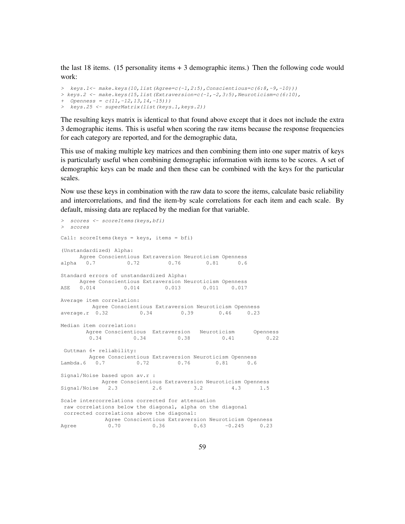the last 18 items. (15 personality items + 3 demographic items.) Then the following code would work:

```
> keys.1<- make.keys(10,list(Agree=c(-1,2:5),Conscientious=c(6:8,-9,-10)))
> keys.2 <- make.keys(15,list(Extraversion=c(-1,-2,3:5),Neuroticism=c(6:10),
+ Openness = c(11,-12,13,14,-15)))
> keys.25 <- superMatrix(list(keys.1,keys.2))
```
The resulting keys matrix is identical to that found above except that it does not include the extra 3 demographic items. This is useful when scoring the raw items because the response frequencies for each category are reported, and for the demographic data,

This use of making multiple key matrices and then combining them into one super matrix of keys is particularly useful when combining demographic information with items to be scores. A set of demographic keys can be made and then these can be combined with the keys for the particular scales.

Now use these keys in combination with the raw data to score the items, calculate basic reliability and intercorrelations, and find the item-by scale correlations for each item and each scale. By default, missing data are replaced by the median for that variable.

```
> scores <- scoreItems(keys,bfi)
> scores
Call: scoreItems(keys = keys, items = bfi)
(Unstandardized) Alpha:
   Agree Conscientious Extraversion Neuroticism Openness
alpha 0.7 0.72 0.76 0.81 0.6
Standard errors of unstandardized Alpha:
   Agree Conscientious Extraversion Neuroticism Openness
ASE 0.014 0.014 0.013 0.011 0.017
Average item correlation:
       Agree Conscientious Extraversion Neuroticism Openness
average.r 0.32 0.34 0.39 0.46 0.23
Median item correlation:
      Agree Conscientious Extraversion Neuroticism Openness<br>0.34 0.38 0.41 0.22
            0.34 0.34 0.38 0.41 0.22
Guttman 6* reliability:
      Agree Conscientious Extraversion Neuroticism Openness
Lambda.6 0.7 0.72 0.76 0.81 0.6
Signal/Noise based upon av.r :
         Agree Conscientious Extraversion Neuroticism Openness
Signal/Noise 2.3 2.6 3.2 4.3 1.5
Scale intercorrelations corrected for attenuation
raw correlations below the diagonal, alpha on the diagonal
corrected correlations above the diagonal:
      Agree Conscientious Extraversion Neuroticism Openness
Agree 0.70 0.36 0.63 -0.245 0.23
```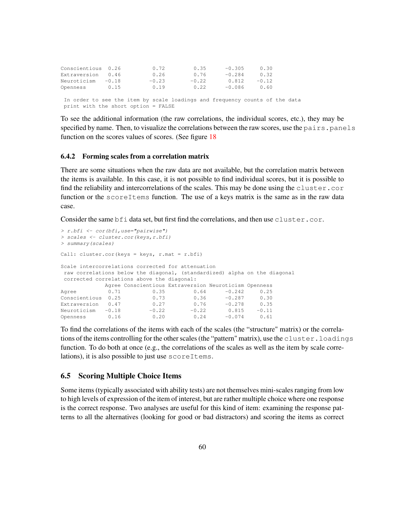| Conscientious 0.26 |         | 0.72    | 0.35    | $-0.305$ | 0.30    |  |
|--------------------|---------|---------|---------|----------|---------|--|
| Extraversion       | 0.46    | 0.26    | 0.76    | $-0.284$ | 0.32    |  |
| Neuroticism        | $-0.18$ | $-0.23$ | $-0.22$ | 0.812    | $-0.12$ |  |
| Openness           | 0.15    | 0.19    | 0.22    | $-0.086$ | 0.60    |  |

In order to see the item by scale loadings and frequency counts of the data print with the short option = FALSE

To see the additional information (the raw correlations, the individual scores, etc.), they may be specified by name. Then, to visualize the correlations between the raw scores, use the pairs. panels function on the scores values of scores. (See figure 18

#### 6.4.2 Forming scales from a correlation matrix

There are some situations when the raw data are not available, but the correlation matrix between the items is available. In this case, it is not possible to find individual scores, but it is possible to find the reliability and intercorrelations of the scales. This may be done using the cluster.cor function or the scoreItems function. The use of a keys matrix is the same as in the raw data case.

Consider the same bfi data set, but first find the correlations, and then use cluster.cor.

```
> r.bfi <- cor(bfi,use="pairwise")
> scales <- cluster.cor(keys,r.bfi)
> summary(scales)
Call: cluster.cor(keys = keys, r.\text{mat} = r.\text{bfi})
Scale intercorrelations corrected for attenuation
raw correlations below the diagonal, (standardized) alpha on the diagonal
corrected correlations above the diagonal:
           Agree Conscientious Extraversion Neuroticism Openness
Agree 0.71 0.35 0.64 -0.242 0.25<br>Conscientious 0.25 0.73 0.36 -0.287 0.30
Conscientious 0.25 0.73 0.36 -0.287 0.30
Extraversion 0.47 0.27 0.76 -0.278 0.35<br>Neuroticism -0.18 -0.22 -0.22 0.815 -0.11Neuroticism -0.18 -0.22 -0.22 0.815 -0.11
Openness 0.16 0.20 0.24 -0.074 0.61
```
To find the correlations of the items with each of the scales (the "structure" matrix) or the correlations of the items controlling for the other scales (the "pattern" matrix), use the cluster. loadings function. To do both at once (e.g., the correlations of the scales as well as the item by scale correlations), it is also possible to just use scoreItems.

#### 6.5 Scoring Multiple Choice Items

Some items (typically associated with ability tests) are not themselves mini-scales ranging from low to high levels of expression of the item of interest, but are rather multiple choice where one response is the correct response. Two analyses are useful for this kind of item: examining the response patterns to all the alternatives (looking for good or bad distractors) and scoring the items as correct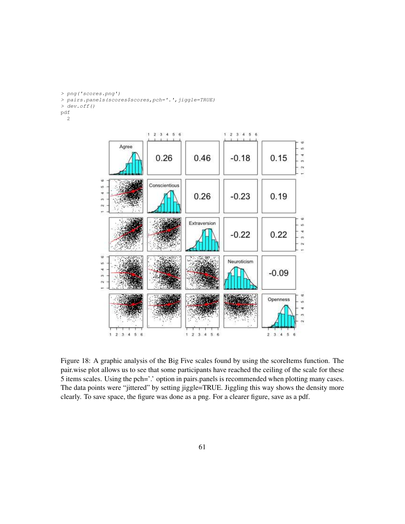*> png('scores.png')*

*> pairs.panels(scores\$scores,pch='.',jiggle=TRUE)*

*> dev.off()*

pdf

2



Figure 18: A graphic analysis of the Big Five scales found by using the scoreItems function. The pair.wise plot allows us to see that some participants have reached the ceiling of the scale for these 5 items scales. Using the pch='.' option in pairs.panels is recommended when plotting many cases. The data points were "jittered" by setting jiggle=TRUE. Jiggling this way shows the density more clearly. To save space, the figure was done as a png. For a clearer figure, save as a pdf.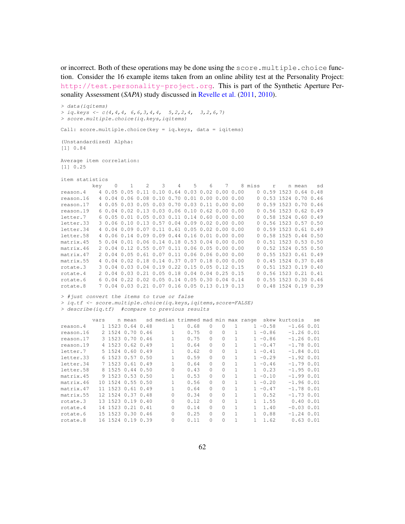or incorrect. Both of these operations may be done using the score.multiple.choice function. Consider the 16 example items taken from an online ability test at the Personality Project: <http://test.personality-project.org>. This is part of the Synthetic Aperture Personality Assessment (*SAPA*) study discussed in Revelle et al. (2011, 2010).

*> data(iqitems) > iq.keys <- c(4,4,4, 6,6,3,4,4, 5,2,2,4, 3,2,6,7) > score.multiple.choice(iq.keys,iqitems)*

Call: score.multiple.choice(key = iq.keys, data = iqitems)

(Unstandardized) Alpha: [1] 0.84

Average item correlation: [1] 0.25

item statistics

|           | kev | 0      | 2 | 3                                              | 4 | .5 | 6 |               | 8 miss | r | n mean                    | sd   |
|-----------|-----|--------|---|------------------------------------------------|---|----|---|---------------|--------|---|---------------------------|------|
| reason.4  |     |        |   | 4 0.05 0.05 0.11 0.10 0.64 0.03 0.02 0.00 0.00 |   |    |   |               |        |   | 0.59 1523 0.64            | 0.48 |
| reason.16 |     | 4 0.04 |   | $0.06$ $0.08$ $0.10$ $0.70$ $0.01$ $0.00$      |   |    |   | 0.00 0.00     |        |   | $0.53$ 1524 0.70 0.46     |      |
| reason.17 |     |        |   | 4 0.05 0.03 0.05 0.03 0.70 0.03 0.11 0.00 0.00 |   |    |   |               |        |   | 0.59 1523 0.70 0.46       |      |
| reason.19 |     |        |   | 6 0.04 0.02 0.13 0.03 0.06 0.10 0.62 0.00 0.00 |   |    |   |               |        |   | 0 0.56 1523 0.62 0.49     |      |
| letter.7  |     |        |   | 6 0.05 0.01 0.05 0.03 0.11 0.14 0.60 0.00 0.00 |   |    |   |               |        |   | 0, 0.58, 1524, 0.60, 0.49 |      |
| letter.33 |     |        |   | 3 0.06 0.10 0.13 0.57 0.04 0.09 0.02 0.00 0.00 |   |    |   |               |        |   | 0 0.56 1523 0.57 0.50     |      |
| letter.34 |     |        |   | 4 0.04 0.09 0.07 0.11 0.61 0.05 0.02 0.00 0.00 |   |    |   |               |        |   | 0, 0.59, 1523, 0.61, 0.49 |      |
| letter.58 |     |        |   | 4 0.06 0.14 0.09 0.09 0.44 0.16 0.01 0.00 0.00 |   |    |   |               |        |   | $0, 0.58$ 1525 0.44 0.50  |      |
| matrix.45 |     |        |   | 5 0.04 0.01 0.06 0.14 0.18 0.53 0.04 0.00 0.00 |   |    |   |               |        |   | 0, 0.51, 1523, 0.53, 0.50 |      |
| matrix.46 |     |        |   | 2 0.04 0.12 0.55 0.07 0.11 0.06 0.05 0.00 0.00 |   |    |   |               |        |   | 0, 0.52, 1524, 0.55, 0.50 |      |
| matrix.47 |     |        |   | 2 0.04 0.05 0.61 0.07 0.11 0.06 0.06 0.00 0.00 |   |    |   |               |        |   | 0 0.55 1523 0.61 0.49     |      |
| matrix.55 |     |        |   | 4 0.04 0.02 0.18 0.14 0.37 0.07 0.18 0.00 0.00 |   |    |   |               |        |   | 0 0.45 1524 0.37 0.48     |      |
| rotate.3  |     |        |   | 3 0.04 0.03 0.04 0.19 0.22 0.15 0.05 0.12 0.15 |   |    |   |               |        |   | $0.51$ 1523 0.19 0.40     |      |
| rotate.4  |     |        |   | 2 0.04 0.03 0.21 0.05 0.18 0.04 0.04           |   |    |   | 0.25 0.15     |        |   | 0 0.56 1523 0.21 0.41     |      |
| rotate.6  |     |        |   | 6 0.04 0.22 0.02 0.05 0.14 0.05 0.30           |   |    |   | $0.04$ $0.14$ |        |   | 0.55 1523 0.30 0.46       |      |
| rotate.8  |     |        |   | 7 0.04 0.03 0.21 0.07 0.16 0.05 0.13 0.19 0.13 |   |    |   |               |        |   | $0.48$ 1524 0.19 0.39     |      |

*> #just convert the items to true or false*

*> iq.tf <- score.multiple.choice(iq.keys,iqitems,score=FALSE)*

*> describe(iq.tf) #compare to previous results*

|           | vars | n mean            |          | sd median trimmed mad min max range |          |          |   |    |            | skew kurtosis  | se |
|-----------|------|-------------------|----------|-------------------------------------|----------|----------|---|----|------------|----------------|----|
| reason.4  |      | 1 1523 0.64 0.48  | 1.       | 0.68                                | $\Omega$ | $\Omega$ | 1 |    | $1 - 0.58$ | $-1.660.01$    |    |
| reason.16 |      | 2 1524 0.70 0.46  |          | 0.75                                | $\Omega$ | $\Omega$ |   |    | $1 - 0.86$ | $-1.26$ 0.01   |    |
| reason.17 |      | 3 1523 0.70 0.46  |          | 0.75                                | $\Omega$ | $\Omega$ |   |    | $1 - 0.86$ | $-1.26$ 0.01   |    |
| reason.19 |      | 4 1523 0.62 0.49  |          | 0.64                                | $\Omega$ | $\Omega$ |   |    | $1 - 0.47$ | $-1.78$ 0.01   |    |
| letter.7  |      | 5 1524 0.60 0.49  |          | 0.62                                | $\Omega$ | $\Omega$ |   |    | $1 - 0.41$ | $-1.84$ 0.01   |    |
| letter.33 |      | 6 1523 0.57 0.50  |          | 0.59                                | 0        | $\Omega$ |   |    | $1 - 0.29$ | $-1.92 0.01$   |    |
| letter.34 |      | 7 1523 0.61 0.49  |          | 0.64                                | $\Omega$ | $\Omega$ |   |    | $1 - 0.46$ | $-1.790.01$    |    |
| letter.58 |      | 8 1525 0.44 0.50  | $\Omega$ | 0.43                                | $\Omega$ | $\Omega$ |   | 1. | 0.23       | $-1.950.01$    |    |
| matrix.45 |      | 9 1523 0.53 0.50  |          | 0.53                                | $\Omega$ | $\Omega$ |   |    | $1 - 0.10$ | $-1.990.01$    |    |
| matrix.46 |      | 10 1524 0.55 0.50 |          | 0.56                                | $\Omega$ | $\Omega$ |   |    | $1 - 0.20$ | $-1.960.01$    |    |
| matrix.47 |      | 11 1523 0.61 0.49 |          | 0.64                                | $\Omega$ | $\Omega$ |   |    | $1 - 0.47$ | $-1.78$ 0.01   |    |
| matrix.55 |      | 12 1524 0.37 0.48 | $\Omega$ | 0.34                                | $\Omega$ | $\Omega$ |   |    | 0.52       | $-1.73$ 0.01   |    |
| rotate.3  |      | 13 1523 0.19 0.40 | 0        | 0.12                                | $\Omega$ | $\Omega$ |   |    | 1.55       | 0.40 0.01      |    |
| rotate.4  |      | 14 1523 0.21 0.41 | $\Omega$ | 0.14                                | 0        | $\Omega$ |   |    | 1.40       | $-0.03$ $0.01$ |    |
| rotate.6  |      | 15 1523 0.30 0.46 | $\Omega$ | 0.25                                | 0        | $\Omega$ |   |    | 0.88       | $-1.24$ 0.01   |    |
| rotate.8  |      | 16 1524 0.19 0.39 | $\Omega$ | 0.11                                | 0        | 0        |   |    | 1.62       | $0.63$ $0.01$  |    |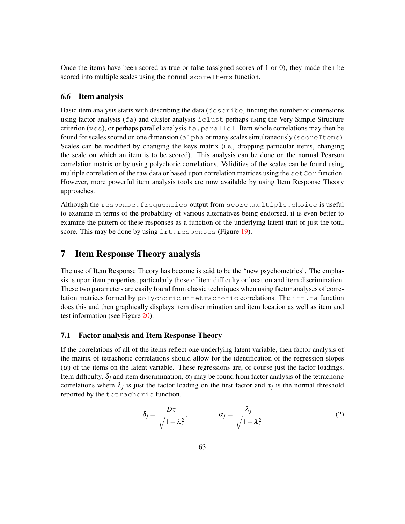Once the items have been scored as true or false (assigned scores of 1 or 0), they made then be scored into multiple scales using the normal scoreItems function.

#### 6.6 Item analysis

Basic item analysis starts with describing the data (describe, finding the number of dimensions using factor analysis (fa) and cluster analysis iclust perhaps using the Very Simple Structure criterion (vss), or perhaps parallel analysis  $fa$ ,  $parallel$  and  $leq$ . Item whole correlations may then be found for scales scored on one dimension (alpha or many scales simultaneously (scoreItems). Scales can be modified by changing the keys matrix (i.e., dropping particular items, changing the scale on which an item is to be scored). This analysis can be done on the normal Pearson correlation matrix or by using polychoric correlations. Validities of the scales can be found using multiple correlation of the raw data or based upon correlation matrices using the set  $Cor$  function. However, more powerful item analysis tools are now available by using Item Response Theory approaches.

Although the response.frequencies output from score.multiple.choice is useful to examine in terms of the probability of various alternatives being endorsed, it is even better to examine the pattern of these responses as a function of the underlying latent trait or just the total score. This may be done by using irt.responses (Figure 19).

# 7 Item Response Theory analysis

The use of Item Response Theory has become is said to be the "new psychometrics". The emphasis is upon item properties, particularly those of item difficulty or location and item discrimination. These two parameters are easily found from classic techniques when using factor analyses of correlation matrices formed by polychoric or tetrachoric correlations. The irt.fa function does this and then graphically displays item discrimination and item location as well as item and test information (see Figure 20).

#### 7.1 Factor analysis and Item Response Theory

If the correlations of all of the items reflect one underlying latent variable, then factor analysis of the matrix of tetrachoric correlations should allow for the identification of the regression slopes  $(\alpha)$  of the items on the latent variable. These regressions are, of course just the factor loadings. Item difficulty,  $\delta_i$  and item discrimination,  $\alpha_i$  may be found from factor analysis of the tetrachoric correlations where  $\lambda_j$  is just the factor loading on the first factor and  $\tau_j$  is the normal threshold reported by the tetrachoric function.

$$
\delta_j = \frac{D\tau}{\sqrt{1 - \lambda_j^2}}, \qquad \alpha_j = \frac{\lambda_j}{\sqrt{1 - \lambda_j^2}}
$$
 (2)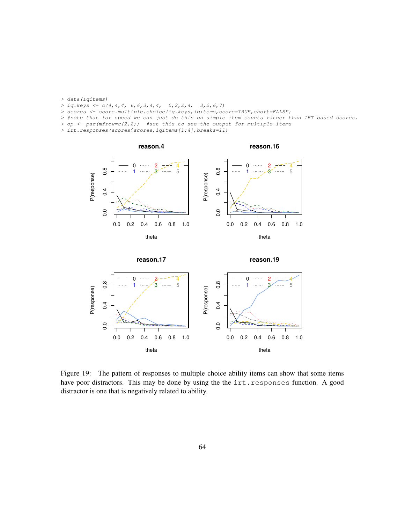- *> data(iqitems)*
- *> iq.keys <- c(4,4,4, 6,6,3,4,4, 5,2,2,4, 3,2,6,7)*
- *> scores <- score.multiple.choice(iq.keys,iqitems,score=TRUE,short=FALSE)*
- *> #note that for speed we can just do this on simple item counts rather than IRT based scores.*
- *> op <- par(mfrow=c(2,2)) #set this to see the output for multiple items*
- *> irt.responses(scores\$scores,iqitems[1:4],breaks=11)*





Figure 19: The pattern of responses to multiple choice ability items can show that some items have poor distractors. This may be done by using the the irt.responses function. A good distractor is one that is negatively related to ability.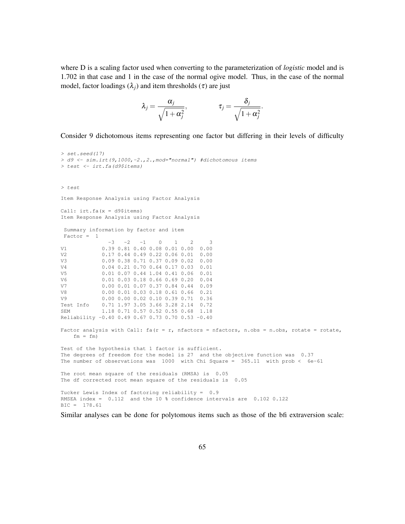where D is a scaling factor used when converting to the parameterization of *logistic* model and is 1.702 in that case and 1 in the case of the normal ogive model. Thus, in the case of the normal model, factor loadings  $(\lambda_i)$  and item thresholds ( $\tau$ ) are just

$$
\lambda_j = \frac{\alpha_j}{\sqrt{1 + \alpha_j^2}}, \qquad \qquad \tau_j = \frac{\delta_j}{\sqrt{1 + \alpha_j^2}}.
$$

Consider 9 dichotomous items representing one factor but differing in their levels of difficulty

```
> set.seed(17)
> d9 <- sim.irt(9,1000,-2.,2.,mod="normal") #dichotomous items
> test <- irt.fa(d9$items)
> test
Item Response Analysis using Factor Analysis
Call: irt.fa(x = d9$items)
Item Response Analysis using Factor Analysis
Summary information by factor and item
Factor = 1-3 -2 -1 0 1 2 3
V1 0.39 0.81 0.40 0.08 0.01 0.00 0.00
V2 0.17 0.44 0.49 0.22 0.06 0.01 0.00<br>V3 0.09 0.38 0.71 0.37 0.09 0.02 0.00
           V3 0.09 0.38 0.71 0.37 0.09 0.02 0.00
V4 0.04 0.21 0.70 0.64 0.17 0.03 0.01
V5 0.01 0.07 0.44 1.04 0.41 0.06 0.01
V6 0.01 0.03 0.18 0.66 0.69 0.20 0.04
V7 0.00 0.01 0.07 0.37 0.84 0.44 0.09<br>V8 0.00 0.01 0.03 0.18 0.61 0.66 0.21
           V8 0.00 0.01 0.03 0.18 0.61 0.66 0.21
V9 0.00 0.00 0.02 0.10 0.39 0.71 0.36
Test Info 0.71 1.97 3.05 3.66 3.28 2.14 0.72
SEM 1.18 0.71 0.57 0.52 0.55 0.68 1.18
Reliability -0.40 0.49 0.67 0.73 0.70 0.53 -0.40
Factor analysis with Call: fa(r = r, nfactors = nfactors, n.obs = n.obs, rotate = rotate,fm = fmTest of the hypothesis that 1 factor is sufficient.
The degrees of freedom for the model is 27 and the objective function was 0.37
The number of observations was 1000 with Chi Square = 365.11 with prob < 6e-61
The root mean square of the residuals (RMSA) is 0.05
The df corrected root mean square of the residuals is 0.05
Tucker Lewis Index of factoring reliability = 0.9
RMSEA index = 0.112 and the 10 % confidence intervals are 0.102 0.122
BIC = 178.61
```
Similar analyses can be done for polytomous items such as those of the bfi extraversion scale: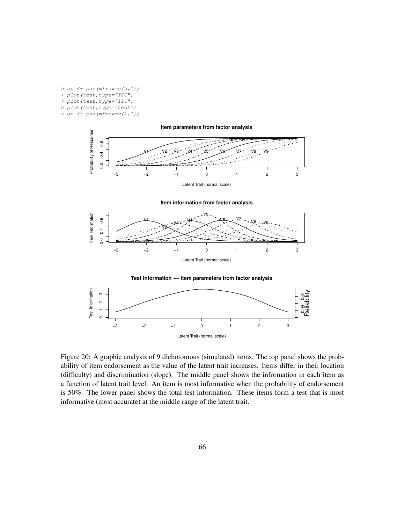*> op <- par(mfrow=c(3,1)) > plot(test,type="ICC") > plot(test,type="IIC") > plot(test,type="test") > op <- par(mfrow=c(1,1))*



Figure 20: A graphic analysis of 9 dichotomous (simulated) items. The top panel shows the probability of item endorsement as the value of the latent trait increases. Items differ in their location (difficulty) and discrimination (slope). The middle panel shows the information in each item as a function of latent trait level. An item is most informative when the probability of endorsement is 50%. The lower panel shows the total test information. These items form a test that is most informative (most accurate) at the middle range of the latent trait.

Latent Trait (normal scale)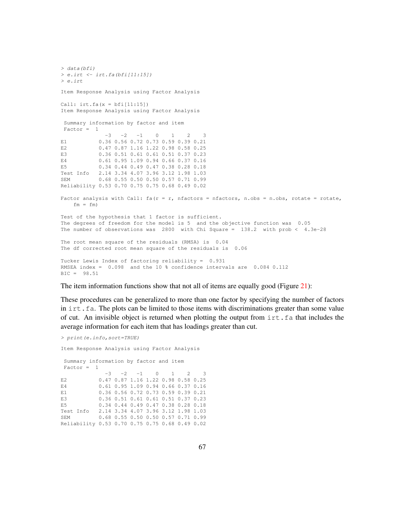```
> data(bfi)
> e.irt <- irt.fa(bfi[11:15])
> e.irt
Item Response Analysis using Factor Analysis
Call: irt.fa(x = bfi[11:15])Item Response Analysis using Factor Analysis
 Summary information by factor and item
Factor = 1-3 -2 -1 0 1 2 3
E1 0.36 0.56 0.72 0.73 0.59 0.39 0.21
E2 0.47 0.87 1.16 1.22 0.98 0.58 0.25<br>
E3 0.36 0.51 0.61 0.61 0.51 0.37 0.23
           E3 0.36 0.51 0.61 0.61 0.51 0.37 0.23
E4 0.61 0.95 1.09 0.94 0.66 0.37 0.16
E5 0.34 0.44 0.49 0.47 0.38 0.28 0.18
Test Info 2.14 3.34 4.07 3.96 3.12 1.98 1.03
SEM 0.68 0.55 0.50 0.50 0.57 0.71 0.99
Reliability 0.53 0.70 0.75 0.75 0.68 0.49 0.02
Factor analysis with Call: fa(r = r, nfactors = nfactors, n.obs = n.obs, rotate = rotate,fm = fmTest of the hypothesis that 1 factor is sufficient.
The degrees of freedom for the model is 5 and the objective function was 0.05
The number of observations was 2800 with Chi Square = 138.2 with prob < 4.3e-28
The root mean square of the residuals (RMSA) is 0.04
The df corrected root mean square of the residuals is 0.06
Tucker Lewis Index of factoring reliability = 0.931
RMSEA index = 0.098 and the 10 % confidence intervals are 0.084 0.112
BIC = 98.51
```
The item information functions show that not all of items are equally good (Figure 21):

These procedures can be generalized to more than one factor by specifying the number of factors in irt. fa. The plots can be limited to those items with discriminations greater than some value of cut. An invisible object is returned when plotting the output from  $\text{int.}$  fa that includes the average information for each item that has loadings greater than cut.

*> print(e.info,sort=TRUE)*

Item Response Analysis using Factor Analysis

Summary information by factor and item Factor = 1  $-3$   $-2$   $-1$  0 1 2 3 E2 0.47 0.87 1.16 1.22 0.98 0.58 0.25 E4 0.61 0.95 1.09 0.94 0.66 0.37 0.16 E1 0.36 0.56 0.72 0.73 0.59 0.39 0.21 E3 0.36 0.51 0.61 0.61 0.51 0.37 0.23 E5 0.34 0.44 0.49 0.47 0.38 0.28 0.18 Test Info 2.14 3.34 4.07 3.96 3.12 1.98 1.03 SEM 0.68 0.55 0.50 0.50 0.57 0.71 0.99 Reliability 0.53 0.70 0.75 0.75 0.68 0.49 0.02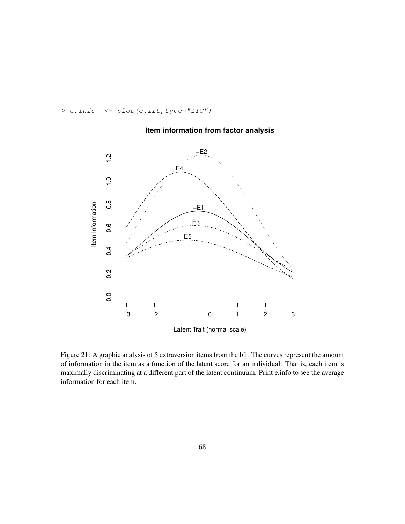*> e.info <- plot(e.irt,type="IIC")*



## **Item information from factor analysis**

Figure 21: A graphic analysis of 5 extraversion items from the bfi. The curves represent the amount of information in the item as a function of the latent score for an individual. That is, each item is maximally discriminating at a different part of the latent continuum. Print e.info to see the average information for each item.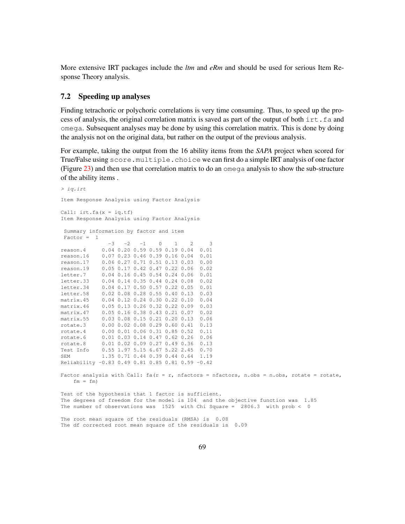More extensive IRT packages include the *ltm* and *eRm* and should be used for serious Item Response Theory analysis.

#### 7.2 Speeding up analyses

Finding tetrachoric or polychoric correlations is very time consuming. Thus, to speed up the process of analysis, the original correlation matrix is saved as part of the output of both irt. fa and omega. Subsequent analyses may be done by using this correlation matrix. This is done by doing the analysis not on the original data, but rather on the output of the previous analysis.

For example, taking the output from the 16 ability items from the *SAPA* project when scored for True/False using score.multiple.choice we can first do a simple IRT analysis of one factor (Figure 23) and then use that correlation matrix to do an omega analysis to show the sub-structure of the ability items .

```
> iq.irt
Item Response Analysis using Factor Analysis
Call: irt.fa(x = iq.tf)Item Response Analysis using Factor Analysis
 Summary information by factor and item
 Factor = 1-3 -2 -1 0 1 2 3
reason.4 0.04 0.20 0.59 0.59 0.19 0.04 0.01
reason.16 0.07 0.23 0.46 0.39 0.16 0.04 0.01
reason.17 0.06 0.27 0.71 0.51 0.13 0.03 0.00
reason.19 0.05 0.17 0.42 0.47 0.22 0.06 0.02
letter.7 0.04 0.16 0.45 0.54 0.24 0.06 0.01
letter.33 0.04 0.14 0.35 0.44 0.24 0.08 0.02
letter.34 0.04 0.17 0.50 0.57 0.22 0.05 0.01
letter.58 0.02 0.08 0.28 0.55 0.40 0.13 0.03
matrix.45 0.04 0.12 0.24 0.30 0.22 0.10 0.04
matrix.46 0.05 0.13 0.26 0.32 0.22 0.09 0.03
matrix.47 0.05 0.16 0.38 0.43 0.21 0.07 0.02
matrix.55 0.03 0.08 0.15 0.21 0.20 0.13 0.06
rotate.3 0.00 0.02 0.08 0.29 0.60 0.41 0.13
rotate.4 0.00 0.01 0.06 0.31 0.85 0.52 0.11
rotate.6 0.01 0.03 0.14 0.47 0.62 0.26 0.06
rotate.8 0.01 0.02 0.09 0.27 0.49 0.36 0.13
Test Info 0.55 1.97 5.15 6.67 5.22 2.45 0.70
SEM 1.35 0.71 0.44 0.39 0.44 0.64 1.19
Reliability -0.83 0.49 0.81 0.85 0.81 0.59 -0.42
Factor analysis with Call: fa(r = r, nfactors = nfactors, n.obs = n.obs, rotate = rotate,fm = fmTest of the hypothesis that 1 factor is sufficient.
The degrees of freedom for the model is 104 and the objective function was 1.85
The number of observations was 1525 with Chi Square = 2806.3 with prob < 0
The root mean square of the residuals (RMSA) is 0.08
```
The df corrected root mean square of the residuals is 0.09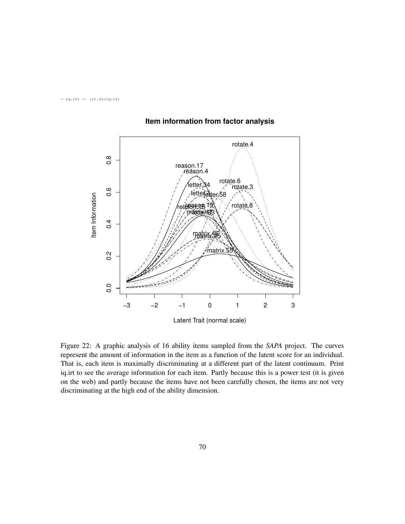*> iq.irt <- irt.fa(iq.tf)*



## **Item information from factor analysis**

Figure 22: A graphic analysis of 16 ability items sampled from the *SAPA* project. The curves represent the amount of information in the item as a function of the latent score for an individual. That is, each item is maximally discriminating at a different part of the latent continuum. Print iq.irt to see the average information for each item. Partly because this is a power test (it is given on the web) and partly because the items have not been carefully chosen, the items are not very discriminating at the high end of the ability dimension.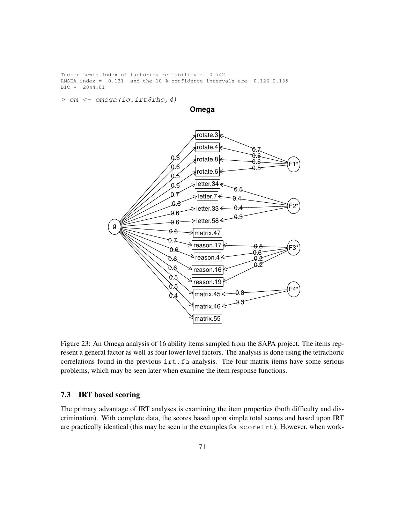Tucker Lewis Index of factoring reliability = 0.742 RMSEA index = 0.131 and the 10 % confidence intervals are 0.126 0.135 BIC = 2044.01

*> om <- omega(iq.irt\$rho,4)*

**Omega**



Figure 23: An Omega analysis of 16 ability items sampled from the SAPA project. The items represent a general factor as well as four lower level factors. The analysis is done using the tetrachoric correlations found in the previous  $\text{int.fa}$  analysis. The four matrix items have some serious problems, which may be seen later when examine the item response functions.

### 7.3 IRT based scoring

The primary advantage of IRT analyses is examining the item properties (both difficulty and discrimination). With complete data, the scores based upon simple total scores and based upon IRT are practically identical (this may be seen in the examples for scoreIrt). However, when work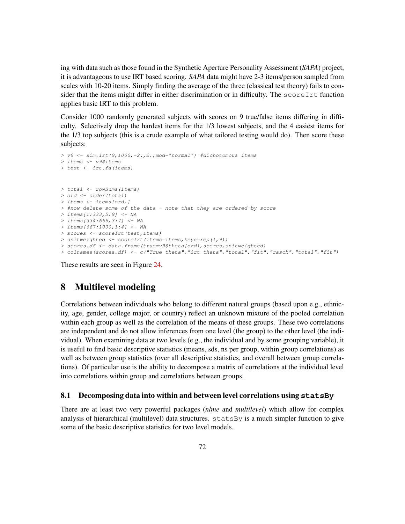ing with data such as those found in the Synthetic Aperture Personality Assessment (*SAPA*) project, it is advantageous to use IRT based scoring. *SAPA* data might have 2-3 items/person sampled from scales with 10-20 items. Simply finding the average of the three (classical test theory) fails to consider that the items might differ in either discrimination or in difficulty. The  $scoreIrt$  function applies basic IRT to this problem.

Consider 1000 randomly generated subjects with scores on 9 true/false items differing in difficulty. Selectively drop the hardest items for the 1/3 lowest subjects, and the 4 easiest items for the 1/3 top subjects (this is a crude example of what tailored testing would do). Then score these subjects:

```
> v9 <- sim.irt(9,1000,-2.,2.,mod="normal") #dichotomous items
> items <- v9$items
> test <- irt.fa(items)
> total <- rowSums(items)
> ord <- order(total)
> items <- items[ord,]
> #now delete some of the data - note that they are ordered by score
> items[1:333,5:9] <- NA
> items[334:666,3:7] <- NA
> items[667:1000,1:4] <- NA
> scores <- scoreIrt(test,items)
> unitweighted <- scoreIrt(items=items,keys=rep(1,9))
> scores.df <- data.frame(true=v9$theta[ord],scores,unitweighted)
> colnames(scores.df) <- c("True theta","irt theta","total","fit","rasch","total","fit")
```
These results are seen in Figure 24.

# 8 Multilevel modeling

Correlations between individuals who belong to different natural groups (based upon e.g., ethnicity, age, gender, college major, or country) reflect an unknown mixture of the pooled correlation within each group as well as the correlation of the means of these groups. These two correlations are independent and do not allow inferences from one level (the group) to the other level (the individual). When examining data at two levels (e.g., the individual and by some grouping variable), it is useful to find basic descriptive statistics (means, sds, ns per group, within group correlations) as well as between group statistics (over all descriptive statistics, and overall between group correlations). Of particular use is the ability to decompose a matrix of correlations at the individual level into correlations within group and correlations between groups.

### 8.1 Decomposing data into within and between level correlations using **statsBy**

There are at least two very powerful packages (*nlme* and *multilevel*) which allow for complex analysis of hierarchical (multilevel) data structures. statsBy is a much simpler function to give some of the basic descriptive statistics for two level models.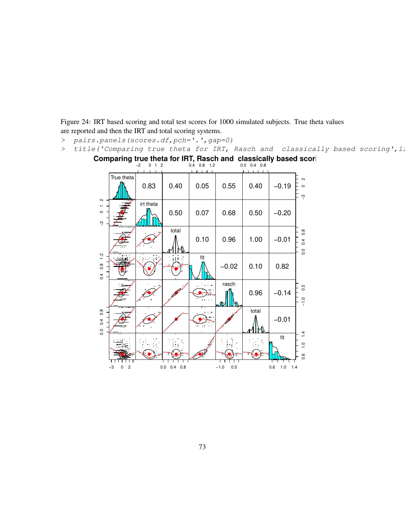Figure 24: IRT based scoring and total test scores for 1000 simulated subjects. True theta values are reported and then the IRT and total scoring systems.

- *> pairs.panels(scores.df,pch='.',gap=0)*
- *>* title('Comparing true theta for IRT, Rasch and classically based scoring', 1.



Comparing true theta for IRT, Rasch and classically based scori<br><sup>-2</sup> 0 1 <sup>2</sup> 0 1 2 0.4 0.8 1.2 0.0 0.4 0.8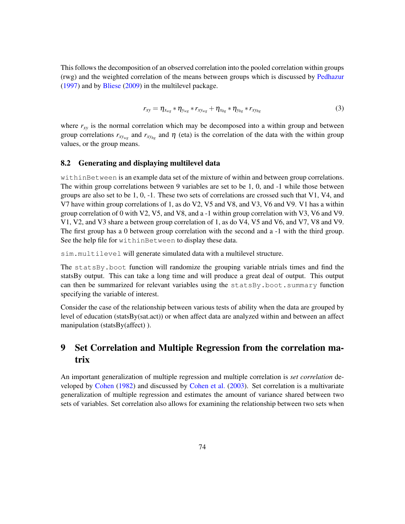This follows the decomposition of an observed correlation into the pooled correlation within groups (rwg) and the weighted correlation of the means between groups which is discussed by Pedhazur (1997) and by Bliese (2009) in the multilevel package.

$$
r_{xy} = \eta_{x_{wg}} * \eta_{y_{wg}} * r_{xy_{wg}} + \eta_{x_{bg}} * \eta_{y_{bg}} * r_{xy_{bg}}
$$
(3)

where  $r_{xy}$  is the normal correlation which may be decomposed into a within group and between group correlations  $r_{xy_{wg}}$  and  $r_{xy_{bg}}$  and  $\eta$  (eta) is the correlation of the data with the within group values, or the group means.

#### 8.2 Generating and displaying multilevel data

withinBetween is an example data set of the mixture of within and between group correlations. The within group correlations between 9 variables are set to be 1, 0, and -1 while those between groups are also set to be 1, 0, -1. These two sets of correlations are crossed such that V1, V4, and V7 have within group correlations of 1, as do V2, V5 and V8, and V3, V6 and V9. V1 has a within group correlation of 0 with V2, V5, and V8, and a  $-1$  within group correlation with V3, V6 and V9. V1, V2, and V3 share a between group correlation of 1, as do V4, V5 and V6, and V7, V8 and V9. The first group has a 0 between group correlation with the second and a -1 with the third group. See the help file for withinBetween to display these data.

sim.multilevel will generate simulated data with a multilevel structure.

The statsBy.boot function will randomize the grouping variable ntrials times and find the statsBy output. This can take a long time and will produce a great deal of output. This output can then be summarized for relevant variables using the statsBy.boot.summary function specifying the variable of interest.

Consider the case of the relationship between various tests of ability when the data are grouped by level of education (statsBy(sat.act)) or when affect data are analyzed within and between an affect manipulation (statsBy(affect) ).

# 9 Set Correlation and Multiple Regression from the correlation matrix

An important generalization of multiple regression and multiple correlation is *set correlation* developed by Cohen (1982) and discussed by Cohen et al. (2003). Set correlation is a multivariate generalization of multiple regression and estimates the amount of variance shared between two sets of variables. Set correlation also allows for examining the relationship between two sets when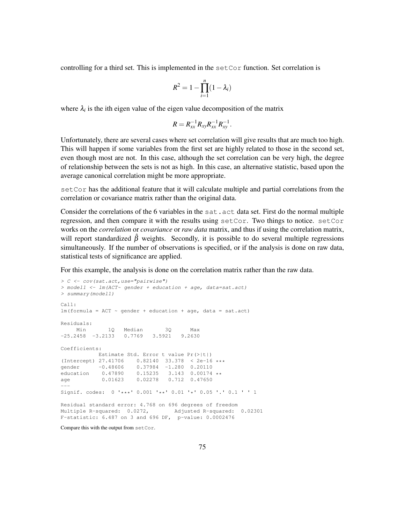controlling for a third set. This is implemented in the setCor function. Set correlation is

$$
R^2 = 1 - \prod_{i=1}^n (1 - \lambda_i)
$$

where  $\lambda_i$  is the ith eigen value of the eigen value decomposition of the matrix

$$
R=R_{xx}^{-1}R_{xy}R_{xx}^{-1}R_{xy}^{-1}.
$$

Unfortunately, there are several cases where set correlation will give results that are much too high. This will happen if some variables from the first set are highly related to those in the second set, even though most are not. In this case, although the set correlation can be very high, the degree of relationship between the sets is not as high. In this case, an alternative statistic, based upon the average canonical correlation might be more appropriate.

setCor has the additional feature that it will calculate multiple and partial correlations from the correlation or covariance matrix rather than the original data.

Consider the correlations of the 6 variables in the sat. act data set. First do the normal multiple regression, and then compare it with the results using setCor. Two things to notice. setCor works on the *correlation* or *covariance* or *raw data* matrix, and thus if using the correlation matrix, will report standardized  $\hat{\beta}$  weights. Secondly, it is possible to do several multiple regressions simultaneously. If the number of observations is specified, or if the analysis is done on raw data, statistical tests of significance are applied.

For this example, the analysis is done on the correlation matrix rather than the raw data.

```
> C <- cov(sat.act,use="pairwise")
> model1 <- lm(ACT~ gender + education + age, data=sat.act)
> summary(model1)
Call:
lm(formula = ACT ~\sim gender + education + age, data = sat.act)
Residuals:
     Min 1Q Median 3Q Max
-25.2458 -3.2133 0.7769 3.5921 9.2630
Coefficients:
         Estimate Std. Error t value Pr(>|t|)
(Intercept) 27.41706 0.82140 33.378 < 2e-16 ***
gender -0.48606 0.37984 -1.280 0.20110
education  0.47890  0.15235  3.143  0.00174 **
age 0.01623 0.02278 0.712 0.47650
---
Signif. codes: 0 '***' 0.001 '**' 0.01 '*' 0.05 '.' 0.1 ' ' 1
Residual standard error: 4.768 on 696 degrees of freedom
Multiple R-squared: 0.0272, Adjusted R-squared: 0.02301
F-statistic: 6.487 on 3 and 696 DF, p-value: 0.0002476
```
Compare this with the output from setCor.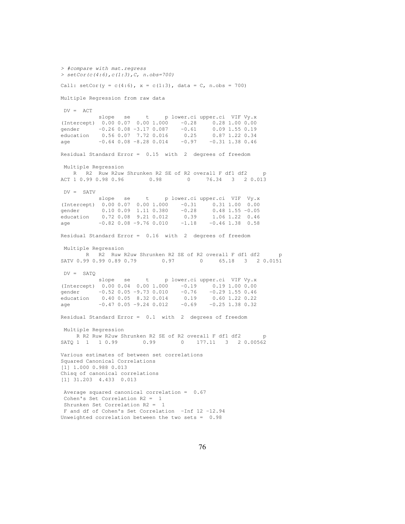*> #compare with mat.regress > setCor(c(4:6),c(1:3),C, n.obs=700)* Call:  $setCor(y = c(4:6)$ ,  $x = c(1:3)$ , data = C, n.obs = 700) Multiple Regression from raw data  $DV = ACT$ slope se t p lower.ci upper.ci VIF Vy.x (Intercept) 0.00 0.07 0.00 1.000 -0.28 0.28 1.00 0.00 gender -0.26 0.08 -3.17 0.087 -0.61 0.09 1.55 0.19 education 0.56 0.07 7.72 0.016 0.25 0.87 1.22 0.34 age -0.64 0.08 -8.28 0.014 -0.97 -0.31 1.38 0.46 Residual Standard Error = 0.15 with 2 degrees of freedom Multiple Regression R R2 Ruw R2uw Shrunken R2 SE of R2 overall F df1 df2 p ACT 1 0.99 0.98 0.96 0.98 0.98 0 76.34 3 2 0.013  $DV =$  SATV slope se t p lower.ci upper.ci VIF Vy.x (Intercept) 0.00 0.07 0.00 1.000 -0.31 0.31 1.00 0.00 gender 0.10 0.09 1.11 0.380 -0.28 0.48 1.55 -0.05 education 0.72 0.08 9.21 0.012 0.39 1.06 1.22 0.46 age -0.82 0.08 -9.76 0.010 -1.18 -0.46 1.38 0.58 Residual Standard Error = 0.16 with 2 degrees of freedom Multiple Regression R R2 Ruw R2uw Shrunken R2 SE of R2 overall F df1 df2 p SATV 0.99 0.99 0.89 0.79 0.97 0 65.18 3 2 0.0151 DV = SATQ slope se t p lower.ci upper.ci VIF Vy.x (Intercept) 0.00 0.04 0.00 1.000 -0.19 0.19 1.00 0.00 gender -0.52 0.05 -9.73 0.010 -0.76 -0.29 1.55 0.46 education 0.40 0.05 8.32 0.014 0.19 0.60 1.22 0.22  $age$  -0.47 0.05 -9.24 0.012 -0.69 -0.25 1.38 0.32 Residual Standard Error = 0.1 with 2 degrees of freedom Multiple Regression R R2 Ruw R2uw Shrunken R2 SE of R2 overall F df1 df2 p SATQ 1 1 1 0.99 0.99 0 177.11 3 2 0.00562 Various estimates of between set correlations Squared Canonical Correlations [1] 1.000 0.988 0.013 Chisq of canonical correlations [1] 31.203 4.433 0.013 Average squared canonical correlation = 0.67 Cohen's Set Correlation R2 = 1 Shrunken Set Correlation R2 = 1 F and df of Cohen's Set Correlation -Inf 12 -12.94 Unweighted correlation between the two sets =  $0.98$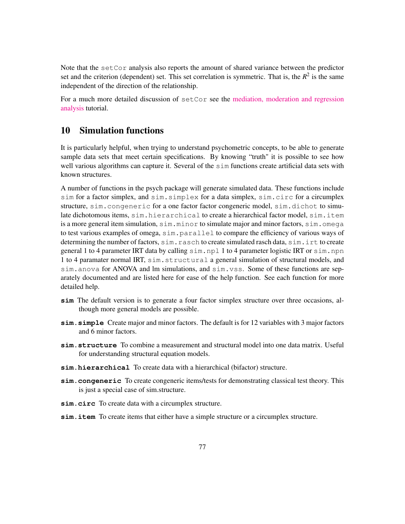Note that the set Cor analysis also reports the amount of shared variance between the predictor set and the criterion (dependent) set. This set correlation is symmetric. That is, the  $R^2$  is the same independent of the direction of the relationship.

For a much more detailed discussion of setCor see the [mediation, moderation and regression](https://personality-project.org/r/psych/HowTo/mediation.pdf) [analysis](https://personality-project.org/r/psych/HowTo/mediation.pdf) tutorial.

# 10 Simulation functions

It is particularly helpful, when trying to understand psychometric concepts, to be able to generate sample data sets that meet certain specifications. By knowing "truth" it is possible to see how well various algorithms can capture it. Several of the sim functions create artificial data sets with known structures.

A number of functions in the psych package will generate simulated data. These functions include sim for a factor simplex, and sim.simplex for a data simplex, sim.circ for a circumplex structure, sim.congeneric for a one factor factor congeneric model, sim.dichot to simulate dichotomous items, sim.hierarchical to create a hierarchical factor model, sim.item is a more general item simulation,  $\sin \dots \sin \nu$  to simulate major and minor factors,  $\sin \dots \cos \nu$ to test various examples of omega, sim.parallel to compare the efficiency of various ways of determining the number of factors, sim.rasch to create simulated rasch data, sim.irt to create general 1 to 4 parameter IRT data by calling sim.npl 1 to 4 parameter logistic IRT or sim.npn 1 to 4 paramater normal IRT, sim.structural a general simulation of structural models, and sim.anova for ANOVA and lm simulations, and sim.vss. Some of these functions are separately documented and are listed here for ease of the help function. See each function for more detailed help.

- **sim** The default version is to generate a four factor simplex structure over three occasions, although more general models are possible.
- **sim.simple** Create major and minor factors. The default is for 12 variables with 3 major factors and 6 minor factors.
- **sim.structure** To combine a measurement and structural model into one data matrix. Useful for understanding structural equation models.
- **sim.hierarchical** To create data with a hierarchical (bifactor) structure.
- **sim.congeneric** To create congeneric items/tests for demonstrating classical test theory. This is just a special case of sim.structure.
- **sim.circ** To create data with a circumplex structure.
- **sim.item** To create items that either have a simple structure or a circumplex structure.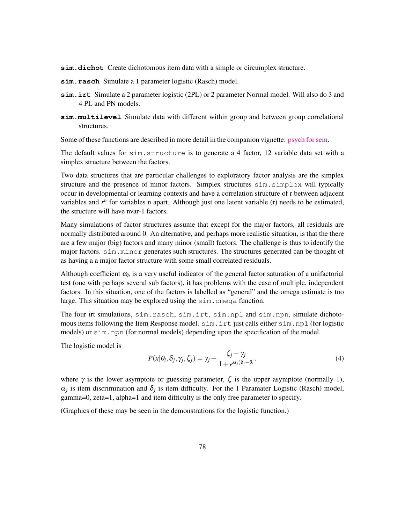**sim.dichot** Create dichotomous item data with a simple or circumplex structure.

- **sim.rasch** Simulate a 1 parameter logistic (Rasch) model.
- **sim.irt** Simulate a 2 parameter logistic (2PL) or 2 parameter Normal model. Will also do 3 and 4 PL and PN models.
- **sim.multilevel** Simulate data with different within group and between group correlational structures.

Some of these functions are described in more detail in the companion vignette: [psych for sem.]("psych_for_sem.pdf")

The default values for sim.structure is to generate a 4 factor, 12 variable data set with a simplex structure between the factors.

Two data structures that are particular challenges to exploratory factor analysis are the simplex structure and the presence of minor factors. Simplex structures sim.simplex will typically occur in developmental or learning contexts and have a correlation structure of r between adjacent variables and  $r<sup>n</sup>$  for variables n apart. Although just one latent variable (r) needs to be estimated, the structure will have nvar-1 factors.

Many simulations of factor structures assume that except for the major factors, all residuals are normally distributed around 0. An alternative, and perhaps more realistic situation, is that the there are a few major (big) factors and many minor (small) factors. The challenge is thus to identify the major factors. sim.minor generates such structures. The structures generated can be thought of as having a a major factor structure with some small correlated residuals.

Although coefficient  $\omega_h$  is a very useful indicator of the general factor saturation of a unifactorial test (one with perhaps several sub factors), it has problems with the case of multiple, independent factors. In this situation, one of the factors is labelled as "general" and the omega estimate is too large. This situation may be explored using the sim. omega function.

The four irt simulations, sim.rasch, sim.irt, sim.npl and sim.npn, simulate dichotomous items following the Item Response model. sim.irt just calls either sim.npl (for logistic models) or sim.npn (for normal models) depending upon the specification of the model.

The logistic model is

$$
P(x|\theta_i, \delta_j, \gamma_j, \zeta_j) = \gamma_j + \frac{\zeta_j - \gamma_j}{1 + e^{\alpha_j(\delta_j - \theta_i)}}.
$$
\n(4)

where  $\gamma$  is the lower asymptote or guessing parameter,  $\zeta$  is the upper asymptote (normally 1),  $\alpha_j$  is item discrimination and  $\delta_j$  is item difficulty. For the 1 Paramater Logistic (Rasch) model, gamma=0, zeta=1, alpha=1 and item difficulty is the only free parameter to specify.

(Graphics of these may be seen in the demonstrations for the logistic function.)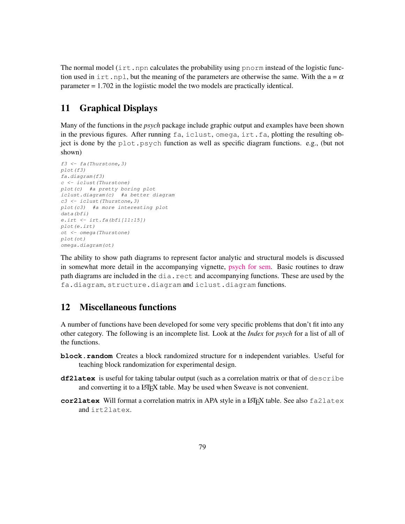The normal model (irt. npn calculates the probability using pnorm instead of the logistic function used in irt.npl, but the meaning of the parameters are otherwise the same. With the  $a = \alpha$ parameter  $= 1.702$  in the logiistic model the two models are practically identical.

# 11 Graphical Displays

Many of the functions in the *psych* package include graphic output and examples have been shown in the previous figures. After running fa, iclust, omega, irt.fa, plotting the resulting object is done by the plot.psych function as well as specific diagram functions. e.g., (but not shown)

```
f3 <- fa(Thurstone,3)
plot(f3)
fa.diagram(f3)
c <- iclust(Thurstone)
plot(c) #a pretty boring plot
iclust.diagram(c) #a better diagram
c3 <- iclust(Thurstone,3)
plot(c3) #a more interesting plot
data(bfi)
e.irt <- irt.fa(bfi[11:15])
plot(e.irt)
ot <- omega(Thurstone)
plot(ot)
omega.diagram(ot)
```
The ability to show path diagrams to represent factor analytic and structural models is discussed in somewhat more detail in the accompanying vignette, [psych for sem.]("psych_for_sem.pdf") Basic routines to draw path diagrams are included in the dia.rect and accompanying functions. These are used by the fa.diagram, structure.diagram and iclust.diagram functions.

# 12 Miscellaneous functions

A number of functions have been developed for some very specific problems that don't fit into any other category. The following is an incomplete list. Look at the *Index* for *psych* for a list of all of the functions.

- **block.random** Creates a block randomized structure for n independent variables. Useful for teaching block randomization for experimental design.
- **df2latex** is useful for taking tabular output (such as a correlation matrix or that of describe and converting it to a LAT<sub>EX</sub> table. May be used when Sweave is not convenient.
- **cor2latex** Will format a correlation matrix in APA style in a LATEX table. See also fa2latex and irt2latex.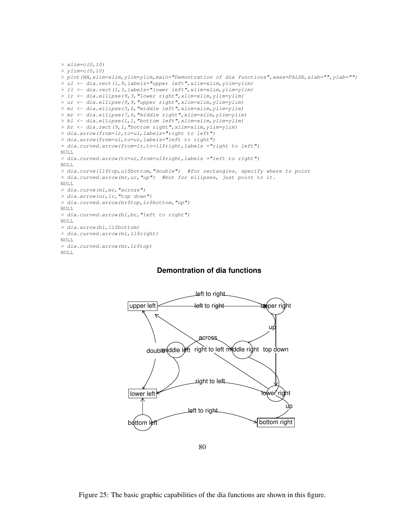```
> xlim=c(0,10)
> ylim=c(0,10)
> plot(NA,xlim=xlim,ylim=ylim,main="Demontration of dia functions",axes=FALSE,xlab="",ylab="")
> ul <- dia.rect(1,9,labels="upper left",xlim=xlim,ylim=ylim)
> ll <- dia.rect(1,3,labels="lower left",xlim=xlim,ylim=ylim)
> lr <- dia.ellipse(9,3,"lower right",xlim=xlim,ylim=ylim)
> ur <- dia.ellipse(9,9,"upper right",xlim=xlim,ylim=ylim)
> ml <- dia.ellipse(3,6,"middle left",xlim=xlim,ylim=ylim)
> mr <- dia.ellipse(7,6,"middle right",xlim=xlim,ylim=ylim)
> bl <- dia.ellipse(1,1,"bottom left",xlim=xlim,ylim=ylim)
> br <- dia.rect(9,1,"bottom right",xlim=xlim,ylim=ylim)
> dia.arrow(from=lr,to=ul,labels="right to left")
> dia.arrow(from=ul,to=ur,labels="left to right")
> dia.curved.arrow(from=lr,to=ll$right,labels ="right to left")
NULL
> dia.curved.arrow(to=ur,from=ul$right,labels ="left to right")
NULL
> dia.curve(ll$top,ul$bottom,"double") #for rectangles, specify where to point
> dia.curved.arrow(mr,ur,"up") #but for ellipses, just point to it.
NULL.
> dia.curve(ml,mr,"across")
> dia.arrow(ur,lr,"top down")
> dia.curved.arrow(br$top,lr$bottom,"up")
NULL.
> dia.curved.arrow(bl,br,"left to right")
NULL
> dia.arrow(bl,ll$bottom)
> dia.curved.arrow(ml,ll$right)
NULL.
> dia.curved.arrow(mr,lr$top)
NULL.
```
#### **Demontration of dia functions**



80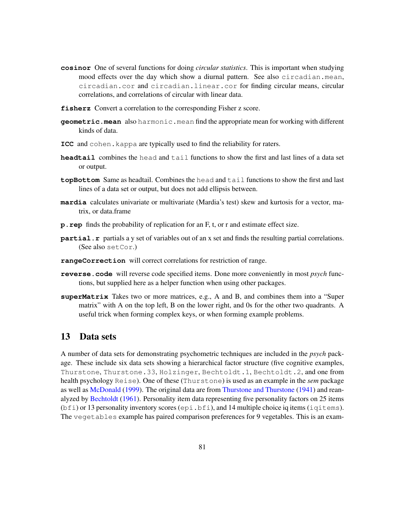- **cosinor** One of several functions for doing *circular statistics*. This is important when studying mood effects over the day which show a diurnal pattern. See also circadian.mean, circadian.cor and circadian.linear.cor for finding circular means, circular correlations, and correlations of circular with linear data.
- **fisherz** Convert a correlation to the corresponding Fisher z score.
- **geometric.mean** also harmonic.mean find the appropriate mean for working with different kinds of data.
- **ICC** and cohen.kappa are typically used to find the reliability for raters.
- **headtail** combines the head and tail functions to show the first and last lines of a data set or output.
- **topBottom** Same as headtail. Combines the head and tail functions to show the first and last lines of a data set or output, but does not add ellipsis between.
- **mardia** calculates univariate or multivariate (Mardia's test) skew and kurtosis for a vector, matrix, or data.frame
- **p.rep** finds the probability of replication for an F, t, or r and estimate effect size.
- **partial.r** partials a y set of variables out of an x set and finds the resulting partial correlations. (See also setCor.)
- **rangeCorrection** will correct correlations for restriction of range.
- **reverse.code** will reverse code specified items. Done more conveniently in most *psych* functions, but supplied here as a helper function when using other packages.
- **superMatrix** Takes two or more matrices, e.g., A and B, and combines them into a "Super matrix" with A on the top left, B on the lower right, and 0s for the other two quadrants. A useful trick when forming complex keys, or when forming example problems.

## 13 Data sets

A number of data sets for demonstrating psychometric techniques are included in the *psych* package. These include six data sets showing a hierarchical factor structure (five cognitive examples, Thurstone, Thurstone.33, Holzinger, Bechtoldt.1, Bechtoldt.2, and one from health psychology Reise). One of these (Thurstone) is used as an example in the *sem* package as well as McDonald (1999). The original data are from Thurstone and Thurstone (1941) and reanalyzed by Bechtoldt (1961). Personality item data representing five personality factors on 25 items  $(bf_i)$  or 13 personality inventory scores (epi.bfi), and 14 multiple choice iq items (iqitems). The vegetables example has paired comparison preferences for 9 vegetables. This is an exam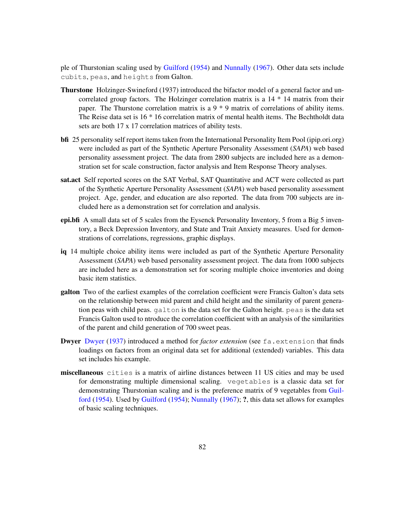ple of Thurstonian scaling used by Guilford (1954) and Nunnally (1967). Other data sets include cubits, peas, and heights from Galton.

- Thurstone Holzinger-Swineford (1937) introduced the bifactor model of a general factor and uncorrelated group factors. The Holzinger correlation matrix is a 14 \* 14 matrix from their paper. The Thurstone correlation matrix is a  $9 * 9$  matrix of correlations of ability items. The Reise data set is 16 \* 16 correlation matrix of mental health items. The Bechtholdt data sets are both 17 x 17 correlation matrices of ability tests.
- bfi 25 personality self report items taken from the International Personality Item Pool (ipip.ori.org) were included as part of the Synthetic Aperture Personality Assessment (*SAPA*) web based personality assessment project. The data from 2800 subjects are included here as a demonstration set for scale construction, factor analysis and Item Response Theory analyses.
- sat.act Self reported scores on the SAT Verbal, SAT Quantitative and ACT were collected as part of the Synthetic Aperture Personality Assessment (*SAPA*) web based personality assessment project. Age, gender, and education are also reported. The data from 700 subjects are included here as a demonstration set for correlation and analysis.
- epi.bfi A small data set of 5 scales from the Eysenck Personality Inventory, 5 from a Big 5 inventory, a Beck Depression Inventory, and State and Trait Anxiety measures. Used for demonstrations of correlations, regressions, graphic displays.
- iq 14 multiple choice ability items were included as part of the Synthetic Aperture Personality Assessment (*SAPA*) web based personality assessment project. The data from 1000 subjects are included here as a demonstration set for scoring multiple choice inventories and doing basic item statistics.
- galton Two of the earliest examples of the correlation coefficient were Francis Galton's data sets on the relationship between mid parent and child height and the similarity of parent generation peas with child peas. galton is the data set for the Galton height. peas is the data set Francis Galton used to ntroduce the correlation coefficient with an analysis of the similarities of the parent and child generation of 700 sweet peas.
- Dwyer Dwyer (1937) introduced a method for *factor extension* (see fa.extension that finds loadings on factors from an original data set for additional (extended) variables. This data set includes his example.
- miscellaneous cities is a matrix of airline distances between 11 US cities and may be used for demonstrating multiple dimensional scaling. vegetables is a classic data set for demonstrating Thurstonian scaling and is the preference matrix of 9 vegetables from Guilford (1954). Used by Guilford (1954); Nunnally (1967); ?, this data set allows for examples of basic scaling techniques.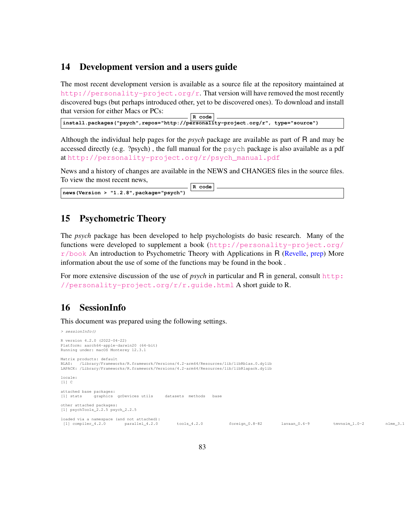### 14 Development version and a users guide

The most recent development version is available as a source file at the repository maintained at [http://personality-project.org/r]( href="http://personality-project.org/r"). That version will have removed the most recently discovered bugs (but perhaps introduced other, yet to be discovered ones). To download and install that version for either Macs or PCs:

**R code install.packages("psych",repos="http://personality-project.org/r", type="source")**

Although the individual help pages for the *psych* package are available as part of R and may be accessed directly (e.g. ?psych) , the full manual for the psych package is also available as a pdf at [http://personality-project.org/r/psych\\_manual.pdf](http://personality-project.org/r/psych_manual.pdf)

News and a history of changes are available in the NEWS and CHANGES files in the source files. To view the most recent news,

|                                                   | R code |  |
|---------------------------------------------------|--------|--|
| $\vert$ news (Version > "1.2.8", package="psych") |        |  |

#### 15 Psychometric Theory

The *psych* package has been developed to help psychologists do basic research. Many of the functions were developed to supplement a book ([http://personality-project.org/](http://personality-project.org/r/book)  $r/b$ ook An introduction to Psychometric Theory with Applications in R (Revelle, prep) More information about the use of some of the functions may be found in the book .

For more extensive discussion of the use of *psych* in particular and R in general, consult [http:](http://personality-project.org/r/r.guide.html) [//personality-project.org/r/r.guide.html](http://personality-project.org/r/r.guide.html) A short guide to R.

## 16 SessionInfo

This document was prepared using the following settings.

```
> sessionInfo()
R version 4.2.0 (2022-04-22)
Platform: aarch64-apple-darwin20 (64-bit)
Running under: macOS Monterey 12.3.1
Matrix products: default
BLAS: /Library/Frameworks/R.framework/Versions/4.2-arm64/Resources/lib/libRblas.0.dylib
LAPACK: /Library/Frameworks/R.framework/Versions/4.2-arm64/Resources/lib/libRlapack.dylib
locale:
[1] C
attached base packages:
[1] stats graphics grDevices utils datasets methods base
other attached packages:
[1] psychTools_2.2.5 psych_2.2.5
loaded via a namespace (and not attached):<br>[1] compiler_4.2.0 parallel 4.2.0
 [1] compiler_4.2.0 parallel_4.2.0 tools_4.2.0 foreign_0.8-82 lavaan_0.6-9 tmvnsim_1.0-2 nlme_3.1-157
```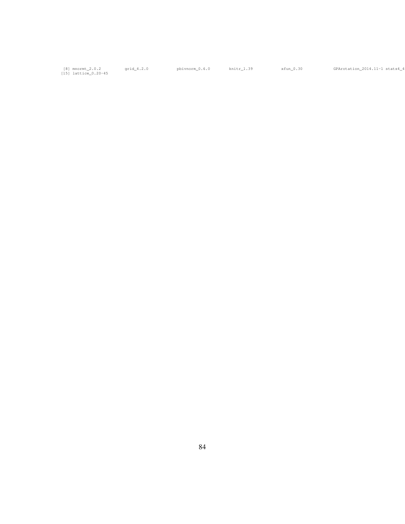[8] mnormt\_2.0.2<br>[15] lattice\_0.20-45

qrid\_4.2.0 pbivnorm\_0.6.0 knitr\_1.39 xfun\_0.30 GPArotation\_2014.11-1 stats4\_4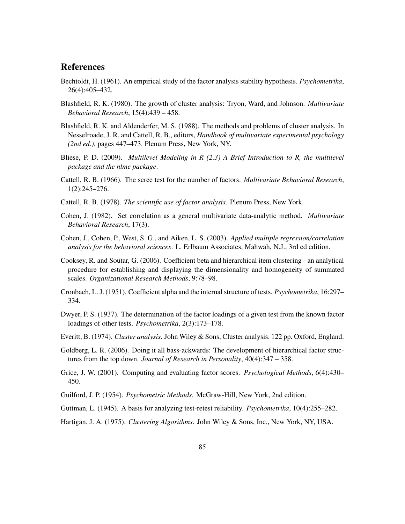## **References**

- Bechtoldt, H. (1961). An empirical study of the factor analysis stability hypothesis. *Psychometrika*, 26(4):405–432.
- Blashfield, R. K. (1980). The growth of cluster analysis: Tryon, Ward, and Johnson. *Multivariate Behavioral Research*, 15(4):439 – 458.
- Blashfield, R. K. and Aldenderfer, M. S. (1988). The methods and problems of cluster analysis. In Nesselroade, J. R. and Cattell, R. B., editors, *Handbook of multivariate experimental psychology (2nd ed.)*, pages 447–473. Plenum Press, New York, NY.
- Bliese, P. D. (2009). *Multilevel Modeling in R (2.3) A Brief Introduction to R, the multilevel package and the nlme package*.
- Cattell, R. B. (1966). The scree test for the number of factors. *Multivariate Behavioral Research*, 1(2):245–276.
- Cattell, R. B. (1978). *The scientific use of factor analysis*. Plenum Press, New York.
- Cohen, J. (1982). Set correlation as a general multivariate data-analytic method. *Multivariate Behavioral Research*, 17(3).
- Cohen, J., Cohen, P., West, S. G., and Aiken, L. S. (2003). *Applied multiple regression/correlation analysis for the behavioral sciences*. L. Erlbaum Associates, Mahwah, N.J., 3rd ed edition.
- Cooksey, R. and Soutar, G. (2006). Coefficient beta and hierarchical item clustering an analytical procedure for establishing and displaying the dimensionality and homogeneity of summated scales. *Organizational Research Methods*, 9:78–98.
- Cronbach, L. J. (1951). Coefficient alpha and the internal structure of tests. *Psychometrika*, 16:297– 334.
- Dwyer, P. S. (1937). The determination of the factor loadings of a given test from the known factor loadings of other tests. *Psychometrika*, 2(3):173–178.
- Everitt, B. (1974). *Cluster analysis*. John Wiley & Sons, Cluster analysis. 122 pp. Oxford, England.
- Goldberg, L. R. (2006). Doing it all bass-ackwards: The development of hierarchical factor structures from the top down. *Journal of Research in Personality*, 40(4):347 – 358.
- Grice, J. W. (2001). Computing and evaluating factor scores. *Psychological Methods*, 6(4):430– 450.
- Guilford, J. P. (1954). *Psychometric Methods*. McGraw-Hill, New York, 2nd edition.
- Guttman, L. (1945). A basis for analyzing test-retest reliability. *Psychometrika*, 10(4):255–282.
- Hartigan, J. A. (1975). *Clustering Algorithms*. John Wiley & Sons, Inc., New York, NY, USA.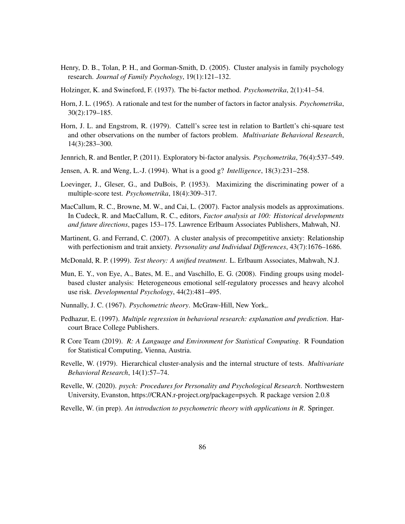- Henry, D. B., Tolan, P. H., and Gorman-Smith, D. (2005). Cluster analysis in family psychology research. *Journal of Family Psychology*, 19(1):121–132.
- Holzinger, K. and Swineford, F. (1937). The bi-factor method. *Psychometrika*, 2(1):41–54.
- Horn, J. L. (1965). A rationale and test for the number of factors in factor analysis. *Psychometrika*, 30(2):179–185.
- Horn, J. L. and Engstrom, R. (1979). Cattell's scree test in relation to Bartlett's chi-square test and other observations on the number of factors problem. *Multivariate Behavioral Research*, 14(3):283–300.
- Jennrich, R. and Bentler, P. (2011). Exploratory bi-factor analysis. *Psychometrika*, 76(4):537–549.
- Jensen, A. R. and Weng, L.-J. (1994). What is a good g? *Intelligence*, 18(3):231–258.
- Loevinger, J., Gleser, G., and DuBois, P. (1953). Maximizing the discriminating power of a multiple-score test. *Psychometrika*, 18(4):309–317.
- MacCallum, R. C., Browne, M. W., and Cai, L. (2007). Factor analysis models as approximations. In Cudeck, R. and MacCallum, R. C., editors, *Factor analysis at 100: Historical developments and future directions*, pages 153–175. Lawrence Erlbaum Associates Publishers, Mahwah, NJ.
- Martinent, G. and Ferrand, C. (2007). A cluster analysis of precompetitive anxiety: Relationship with perfectionism and trait anxiety. *Personality and Individual Differences*, 43(7):1676–1686.
- McDonald, R. P. (1999). *Test theory: A unified treatment*. L. Erlbaum Associates, Mahwah, N.J.
- Mun, E. Y., von Eye, A., Bates, M. E., and Vaschillo, E. G. (2008). Finding groups using modelbased cluster analysis: Heterogeneous emotional self-regulatory processes and heavy alcohol use risk. *Developmental Psychology*, 44(2):481–495.
- Nunnally, J. C. (1967). *Psychometric theory*. McGraw-Hill, New York,.
- Pedhazur, E. (1997). *Multiple regression in behavioral research: explanation and prediction*. Harcourt Brace College Publishers.
- R Core Team (2019). *R: A Language and Environment for Statistical Computing*. R Foundation for Statistical Computing, Vienna, Austria.
- Revelle, W. (1979). Hierarchical cluster-analysis and the internal structure of tests. *Multivariate Behavioral Research*, 14(1):57–74.
- Revelle, W. (2020). *psych: Procedures for Personality and Psychological Research*. Northwestern University, Evanston, https://CRAN.r-project.org/package=psych. R package version 2.0.8
- Revelle, W. (in prep). *An introduction to psychometric theory with applications in R*. Springer.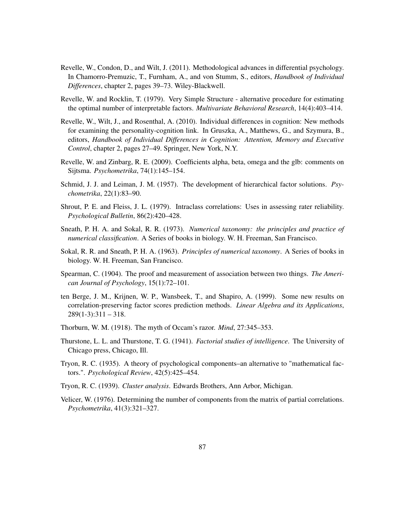- Revelle, W., Condon, D., and Wilt, J. (2011). Methodological advances in differential psychology. In Chamorro-Premuzic, T., Furnham, A., and von Stumm, S., editors, *Handbook of Individual Differences*, chapter 2, pages 39–73. Wiley-Blackwell.
- Revelle, W. and Rocklin, T. (1979). Very Simple Structure alternative procedure for estimating the optimal number of interpretable factors. *Multivariate Behavioral Research*, 14(4):403–414.
- Revelle, W., Wilt, J., and Rosenthal, A. (2010). Individual differences in cognition: New methods for examining the personality-cognition link. In Gruszka, A., Matthews, G., and Szymura, B., editors, *Handbook of Individual Differences in Cognition: Attention, Memory and Executive Control*, chapter 2, pages 27–49. Springer, New York, N.Y.
- Revelle, W. and Zinbarg, R. E. (2009). Coefficients alpha, beta, omega and the glb: comments on Sijtsma. *Psychometrika*, 74(1):145–154.
- Schmid, J. J. and Leiman, J. M. (1957). The development of hierarchical factor solutions. *Psychometrika*, 22(1):83–90.
- Shrout, P. E. and Fleiss, J. L. (1979). Intraclass correlations: Uses in assessing rater reliability. *Psychological Bulletin*, 86(2):420–428.
- Sneath, P. H. A. and Sokal, R. R. (1973). *Numerical taxonomy: the principles and practice of numerical classification*. A Series of books in biology. W. H. Freeman, San Francisco.
- Sokal, R. R. and Sneath, P. H. A. (1963). *Principles of numerical taxonomy*. A Series of books in biology. W. H. Freeman, San Francisco.
- Spearman, C. (1904). The proof and measurement of association between two things. *The American Journal of Psychology*, 15(1):72–101.
- ten Berge, J. M., Krijnen, W. P., Wansbeek, T., and Shapiro, A. (1999). Some new results on correlation-preserving factor scores prediction methods. *Linear Algebra and its Applications*,  $289(1-3):311-318.$
- Thorburn, W. M. (1918). The myth of Occam's razor. *Mind*, 27:345–353.
- Thurstone, L. L. and Thurstone, T. G. (1941). *Factorial studies of intelligence*. The University of Chicago press, Chicago, Ill.
- Tryon, R. C. (1935). A theory of psychological components–an alternative to "mathematical factors.". *Psychological Review*, 42(5):425–454.
- Tryon, R. C. (1939). *Cluster analysis*. Edwards Brothers, Ann Arbor, Michigan.
- Velicer, W. (1976). Determining the number of components from the matrix of partial correlations. *Psychometrika*, 41(3):321–327.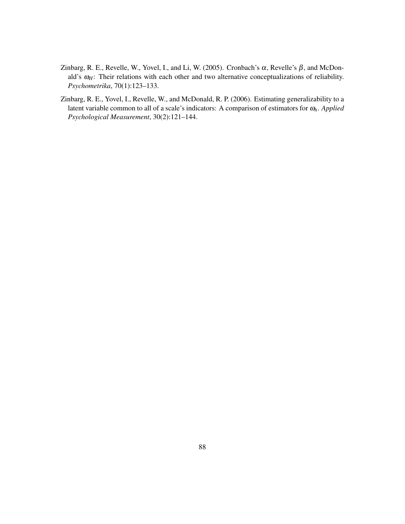- Zinbarg, R. E., Revelle, W., Yovel, I., and Li, W. (2005). Cronbach's  $\alpha$ , Revelle's  $\beta$ , and McDonald's  $ω_H$ : Their relations with each other and two alternative conceptualizations of reliability. *Psychometrika*, 70(1):123–133.
- Zinbarg, R. E., Yovel, I., Revelle, W., and McDonald, R. P. (2006). Estimating generalizability to a latent variable common to all of a scale's indicators: A comparison of estimators for <sup>ω</sup>*h*. *Applied Psychological Measurement*, 30(2):121–144.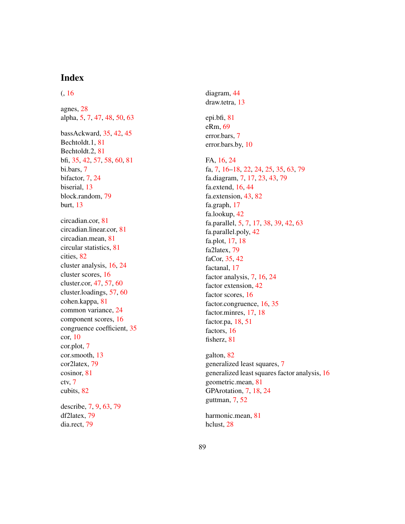# Index

#### $(, 16)$

agnes, 28 alpha, 5, 7, 47, 48, 50, 63 bassAckward, 35 , 42 , 45 Bechtoldt.1, 81 Bechtoldt.2, 81 bfi, 35, 42, 57, 58, 60, 81 bi.bars, 7 bifactor, 7 , 24 biserial, 13 block.random, 79 burt, 13 circadian.cor, 81 circadian.linear.cor, 81 circadian.mean, 81 circular statistics, 81 cities, 82 cluster analysis, 16 , 24 cluster scores, 16 cluster.cor, 47 , 57 , 60 cluster.loadings, 57 , 60 cohen.kappa, 81 common variance, 24 component scores, 16 congruence coefficient, 35 cor, 10 cor.plot, 7 cor.smooth, 13 cor2latex, 79 cosinor, 81 ctv, 7 cubits, 82 describe, 7, 9, 63, 79 df2latex, 79 dia.rect, 79

diagram, 44 draw.tetra, 13

epi.bfi, 81 eRm, 69 error.bars, 7 error.bars.by, 10

FA, 16, 24 fa, 7, 16–18, 22, 24, 25, 35, 63, 79 fa.diagram, 7, 17, 23, 43, 79 fa.extend, 16 , 44 fa.extension, 43, 82 fa.graph, 17 fa.lookup, 42 fa.parallel, 5, 7, 17, 38, 39, 42, 63 fa.parallel.poly, 42 fa.plot, 17 , 18 fa2latex, 79 faCor, 35 , 42 factanal, 17 factor analysis, 7, 16, 24 factor extension, 42 factor scores, 16 factor.congruence, 16 , 35 factor.minres, 17 , 18 factor.pa, 18, 51 factors, 16 fisherz, 81

galton, 82 generalized least squares, 7 generalized least squares factor analysis, 16 geometric.mean, 81 GPArotation, 7 , 18 , 24 guttman, 7 , 52

harmonic.mean, 81 hclust, 28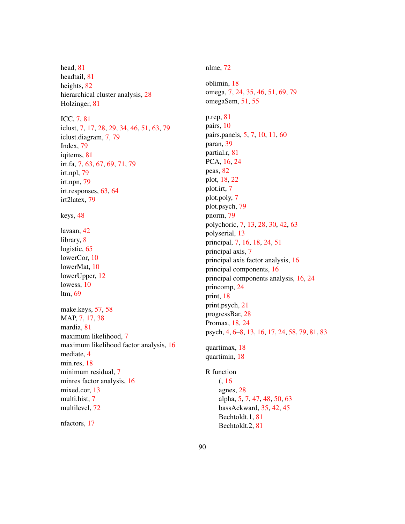head, 81 headtail, 81 heights, 82 hierarchical cluster analysis, 28 Holzinger, 81

ICC, 7, 81 iclust, 7, 17, 28, 29, 34, 46, 51, 63, 79 iclust.diagram, 7, 79 Index, 79 iqitems, 81 irt.fa, 7, 63, 67, 69, 71, 79 irt.npl, 79 irt.npn, 79 irt.responses, 63, 64 irt2latex, 79

keys, 48

lavaan, 42 library, 8 logistic, 65 lowerCor, 10 lowerMat, 10 lowerUpper, 12 lowess, 10 ltm, 69

make.keys, 57, 58 MAP, 7, 17, 38 mardia, 81 maximum likelihood, 7 maximum likelihood factor analysis, 16 mediate, 4 min.res, 18 minimum residual, 7 minres factor analysis, 16 mixed.cor, 13 multi.hist, 7 multilevel, 72

nfactors, 17

nlme, 72

oblimin, 18 omega, 7, 24, 35, 46, 51, 69, 79 omegaSem, 51, 55 p.rep, 81 pairs, 10 pairs.panels, 5, 7, 10, 11, 60 paran, 39 partial.r, 81 PCA, 16, 24 peas, 82 plot, 18, 22 plot.irt, 7 plot.poly, 7 plot.psych, 79 pnorm, 79 polychoric, 7, 13, 28, 30, 42, 63 polyserial, 13 principal, 7, 16, 18, 24, 51 principal axis, 7 principal axis factor analysis, 16 principal components, 16 principal components analysis, 16, 24 princomp, 24 print, 18 print.psych, 21 progressBar, 28 Promax, 18, 24 psych, 4, 6–8, 13, 16, 17, 24, 58, 79, 81, 83 quartimax, 18 quartimin, 18 R function (, 16 agnes, 28 alpha, 5, 7, 47, 48, 50, 63 bassAckward, 35, 42, 45

Bechtoldt.1, 81 Bechtoldt.2, 81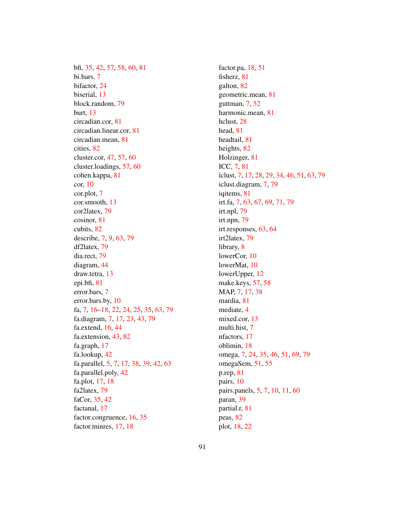bfi, 35, 42, 57, 58, 60, 81 bi.bars, 7 bifactor, 24 biserial, 13 block.random, 79 burt, 13 circadian.cor, 81 circadian.linear.cor, 81 circadian.mean, 81 cities, 82 cluster.cor, 47, 57, 60 cluster.loadings, 57, 60 cohen.kappa, 81 cor, 10 cor.plot, 7 cor.smooth, 13 cor2latex, 79 cosinor, 81 cubits, 82 describe, 7, 9, 63, 79 df2latex, 79 dia.rect, 79 diagram, 44 draw.tetra, 13 epi.bfi, 81 error.bars, 7 error.bars.by, 10 fa, 7, 16–18, 22, 24, 25, 35, 63, 79 fa.diagram, 7, 17, 23, 43, 79 fa.extend, 16, 44 fa.extension, 43, 82 fa.graph, 17 fa.lookup, 42 fa.parallel, 5, 7, 17, 38, 39, 42, 63 fa.parallel.poly, 42 fa.plot, 17, 18 fa2latex, 79 faCor, 35, 42 factanal, 17 factor.congruence, 16, 35 factor.minres, 17, 18

factor.pa, 18, 51 fisherz, 81 galton, 82 geometric.mean, 81 guttman, 7, 52 harmonic.mean, 81 hclust, 28 head, 81 headtail, 81 heights, 82 Holzinger, 81 ICC, 7, 81 iclust, 7, 17, 28, 29, 34, 46, 51, 63, 79 iclust.diagram, 7, 79 iqitems, 81 irt.fa, 7, 63, 67, 69, 71, 79 irt.npl, 79 irt.npn, 79 irt.responses, 63, 64 irt2latex, 79 library, 8 lowerCor, 10 lowerMat, 10 lowerUpper, 12 make.keys, 57, 58 MAP, 7, 17, 38 mardia, 81 mediate, 4 mixed.cor, 13 multi.hist, 7 nfactors, 17 oblimin, 18 omega, 7, 24, 35, 46, 51, 69, 79 omegaSem, 51, 55 p.rep, 81 pairs, 10 pairs.panels, 5, 7, 10, 11, 60 paran, 39 partial.r, 81 peas, 82 plot, 18, 22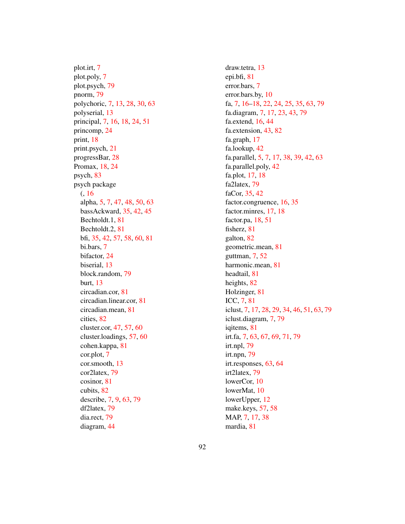plot.irt, 7 plot.poly, 7 plot.psych, 79 pnorm, 79 polychoric, 7, 13, 28, 30, 63 polyserial, 13 principal, 7, 16, 18, 24, 51 princomp, 24 print, 18 print.psych, 21 progressBar, 28 Promax, 18, 24 psych, 83 psych package (, 16 alpha, 5, 7, 47, 48, 50, 63 bassAckward, 35, 42, 45 Bechtoldt.1, 81 Bechtoldt.2, 81 bfi, 35, 42, 57, 58, 60, 81 bi.bars, 7 bifactor, 24 biserial, 13 block.random, 79 burt, 13 circadian.cor, 81 circadian.linear.cor, 81 circadian.mean, 81 cities, 82 cluster.cor, 47, 57, 60 cluster.loadings, 57, 60 cohen.kappa, 81 cor.plot, 7 cor.smooth, 13 cor2latex, 79 cosinor, 81 cubits, 82 describe, 7, 9, 63, 79 df2latex, 79 dia.rect, 79 diagram, 44

draw.tetra, 13 epi.bfi, 81 error.bars, 7 error.bars.by, 10 fa, 7, 16–18, 22, 24, 25, 35, 63, 79 fa.diagram, 7, 17, 23, 43, 79 fa.extend, 16, 44 fa.extension, 43, 82 fa.graph, 17 fa.lookup, 42 fa.parallel, 5, 7, 17, 38, 39, 42, 63 fa.parallel.poly, 42 fa.plot, 17, 18 fa2latex, 79 faCor, 35, 42 factor.congruence, 16, 35 factor.minres, 17, 18 factor.pa, 18, 51 fisherz, 81 galton, 82 geometric.mean, 81 guttman, 7, 52 harmonic.mean, 81 headtail, 81 heights, 82 Holzinger, 81 ICC, 7, 81 iclust, 7, 17, 28, 29, 34, 46, 51, 63, 79 iclust.diagram, 7, 79 iqitems, 81 irt.fa, 7, 63, 67, 69, 71, 79 irt.npl, 79 irt.npn, 79 irt.responses, 63, 64 irt2latex, 79 lowerCor, 10 lowerMat, 10 lowerUpper, 12 make.keys, 57, 58 MAP, 7, 17, 38 mardia, 81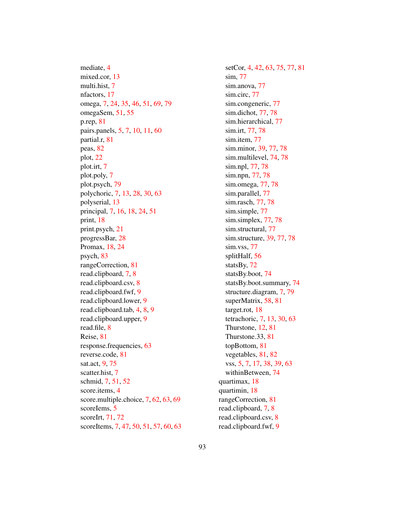mediate, 4 mixed.cor, 13 multi.hist, 7 nfactors, 17 omega, 7, 24, 35, 46, 51, 69, 79 omegaSem, 51, 55 p.rep, 81 pairs.panels, 5, 7, 10, 11, 60 partial.r, 81 peas, 82 plot, 22 plot.irt, 7 plot.poly, 7 plot.psych, 79 polychoric, 7, 13, 28, 30, 63 polyserial, 13 principal, 7, 16, 18, 24, 51 print, 18 print.psych, 21 progressBar, 28 Promax, 18, 24 psych, 83 rangeCorrection, 81 read.clipboard, 7, 8 read.clipboard.csv, 8 read.clipboard.fwf, 9 read.clipboard.lower, 9 read.clipboard.tab, 4, 8, 9 read.clipboard.upper, 9 read.file, 8 Reise, 81 response.frequencies, 63 reverse.code, 81 sat.act, 9, 75 scatter.hist, 7 schmid, 7, 51, 52 score.items, 4 score.multiple.choice, 7, 62, 63, 69 scoreIems, 5 scoreIrt, 71, 72 scoreItems, 7, 47, 50, 51, 57, 60, 63

setCor, 4, 42, 63, 75, 77, 81 sim, 77 sim.anova, 77 sim.circ, 77 sim.congeneric, 77 sim.dichot, 77, 78 sim.hierarchical, 77 sim.irt, 77, 78 sim.item, 77 sim.minor, 39, 77, 78 sim.multilevel, 74, 78 sim.npl, 77, 78 sim.npn, 77, 78 sim.omega, 77, 78 sim.parallel, 77 sim.rasch, 77, 78 sim.simple, 77 sim.simplex, 77, 78 sim.structural, 77 sim.structure, 39, 77, 78 sim.vss, 77 splitHalf, 56 statsBy, 72 statsBy.boot, 74 statsBy.boot.summary, 74 structure.diagram, 7, 79 superMatrix, 58, 81 target.rot, 18 tetrachoric, 7, 13, 30, 63 Thurstone, 12, 81 Thurstone.33, 81 topBottom, 81 vegetables, 81, 82 vss, 5, 7, 17, 38, 39, 63 withinBetween, 74 quartimax, 18 quartimin, 18 rangeCorrection, 81 read.clipboard, 7, 8 read.clipboard.csv, 8 read.clipboard.fwf, 9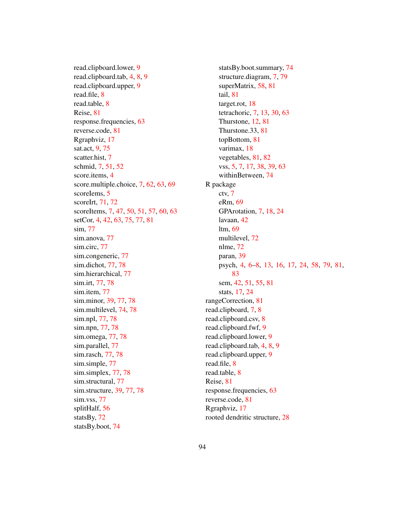read.clipboard.lower, 9 read.clipboard.tab, 4, 8, 9 read.clipboard.upper, 9 read.file, 8 read.table, 8 Reise, 81 response.frequencies, 63 reverse.code, 81 Rgraphviz, 17 sat.act, 9, 75 scatter.hist, 7 schmid, 7, 51, 52 score.items, 4 score.multiple.choice, 7, 62, 63, 69 scoreIems, 5 scoreIrt, 71, 72 scoreItems, 7, 47, 50, 51, 57, 60, 63 setCor, 4, 42, 63, 75, 77, 81 sim, 77 sim.anova, 77 sim.circ, 77 sim.congeneric, 77 sim.dichot, 77, 78 sim.hierarchical, 77 sim.irt, 77, 78 sim.item, 77 sim.minor, 39, 77, 78 sim.multilevel, 74, 78 sim.npl, 77, 78 sim.npn, 77, 78 sim.omega, 77, 78 sim.parallel, 77 sim.rasch, 77, 78 sim.simple, 77 sim.simplex, 77, 78 sim.structural, 77 sim.structure, 39, 77, 78 sim.vss, 77 splitHalf, 56 statsBy, 72 statsBy.boot, 74

statsBy.boot.summary, 74 structure.diagram, 7, 79 superMatrix, 58, 81 tail, 81 target.rot, 18 tetrachoric, 7, 13, 30, 63 Thurstone, 12, 81 Thurstone.33, 81 topBottom, 81 varimax, 18 vegetables, 81, 82 vss, 5, 7, 17, 38, 39, 63 withinBetween, 74 R package ctv, 7 eRm, 69 GPArotation, 7, 18, 24 lavaan, 42 ltm, 69 multilevel, 72 nlme, 72 paran, 39 psych, 4, 6–8, 13, 16, 17, 24, 58, 79, 81, 83 sem, 42, 51, 55, 81 stats, 17, 24 rangeCorrection, 81 read.clipboard, 7, 8 read.clipboard.csv, 8 read.clipboard.fwf, 9 read.clipboard.lower, 9 read.clipboard.tab, 4, 8, 9 read.clipboard.upper, 9 read.file, 8 read.table, 8 Reise, 81 response.frequencies, 63 reverse.code, 81 Rgraphviz, 17 rooted dendritic structure, 28